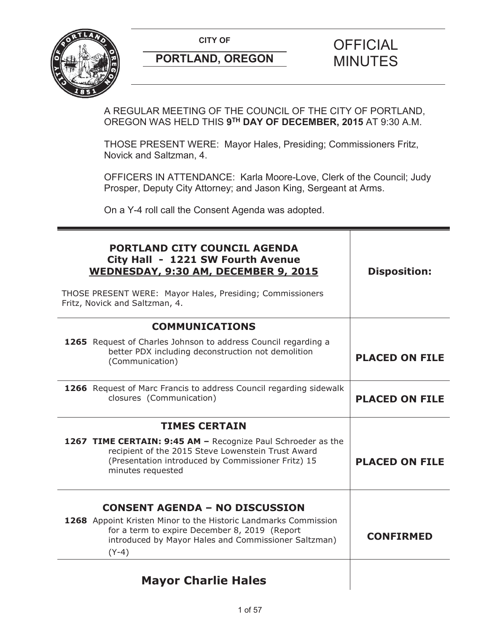

A REGULAR MEETING OF THE COUNCIL OF THE CITY OF PORTLAND, OREGON WAS HELD THIS **9TH DAY OF DECEMBER, 2015** AT 9:30 A.M.

THOSE PRESENT WERE: Mayor Hales, Presiding; Commissioners Fritz, Novick and Saltzman, 4.

OFFICERS IN ATTENDANCE: Karla Moore-Love, Clerk of the Council; Judy Prosper, Deputy City Attorney; and Jason King, Sergeant at Arms.

On a Y-4 roll call the Consent Agenda was adopted.

| <b>PORTLAND CITY COUNCIL AGENDA</b><br>City Hall - 1221 SW Fourth Avenue<br>WEDNESDAY, 9:30 AM, DECEMBER 9, 2015                                                                                                             | <b>Disposition:</b>   |
|------------------------------------------------------------------------------------------------------------------------------------------------------------------------------------------------------------------------------|-----------------------|
| THOSE PRESENT WERE: Mayor Hales, Presiding; Commissioners<br>Fritz, Novick and Saltzman, 4.                                                                                                                                  |                       |
| <b>COMMUNICATIONS</b>                                                                                                                                                                                                        |                       |
| 1265 Request of Charles Johnson to address Council regarding a<br>better PDX including deconstruction not demolition<br>(Communication)                                                                                      | <b>PLACED ON FILE</b> |
| <b>1266</b> Request of Marc Francis to address Council regarding sidewalk<br>closures (Communication)                                                                                                                        | <b>PLACED ON FILE</b> |
| <b>TIMES CERTAIN</b>                                                                                                                                                                                                         |                       |
| 1267 TIME CERTAIN: 9:45 AM - Recognize Paul Schroeder as the<br>recipient of the 2015 Steve Lowenstein Trust Award<br>(Presentation introduced by Commissioner Fritz) 15<br>minutes requested                                | <b>PLACED ON FILE</b> |
| <b>CONSENT AGENDA - NO DISCUSSION</b><br>1268 Appoint Kristen Minor to the Historic Landmarks Commission<br>for a term to expire December 8, 2019 (Report<br>introduced by Mayor Hales and Commissioner Saltzman)<br>$(Y-4)$ | <b>CONFIRMED</b>      |
| <b>Mayor Charlie Hales</b>                                                                                                                                                                                                   |                       |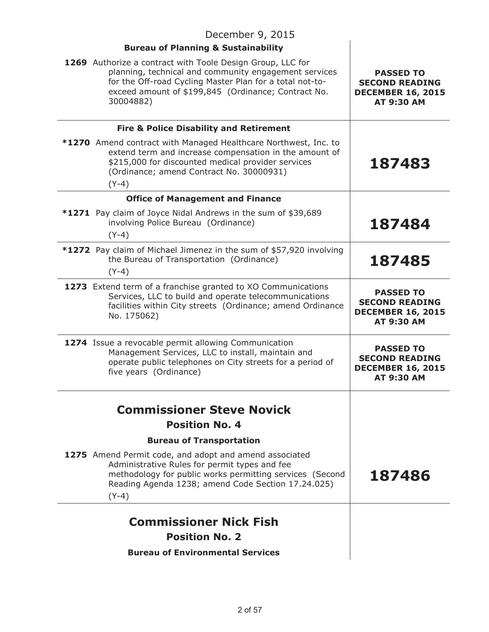| December 9, 2015                                                                                                                                                                                                                                    |                                                                                            |  |
|-----------------------------------------------------------------------------------------------------------------------------------------------------------------------------------------------------------------------------------------------------|--------------------------------------------------------------------------------------------|--|
| <b>Bureau of Planning &amp; Sustainability</b>                                                                                                                                                                                                      |                                                                                            |  |
| 1269 Authorize a contract with Toole Design Group, LLC for<br>planning, technical and community engagement services<br>for the Off-road Cycling Master Plan for a total not-to-<br>exceed amount of \$199,845 (Ordinance; Contract No.<br>30004882) | <b>PASSED TO</b><br><b>SECOND READING</b><br><b>DECEMBER 16, 2015</b><br><b>AT 9:30 AM</b> |  |
| <b>Fire &amp; Police Disability and Retirement</b>                                                                                                                                                                                                  |                                                                                            |  |
| <b>*1270</b> Amend contract with Managed Healthcare Northwest, Inc. to<br>extend term and increase compensation in the amount of<br>\$215,000 for discounted medical provider services<br>(Ordinance; amend Contract No. 30000931)<br>$(Y-4)$       | 187483                                                                                     |  |
| <b>Office of Management and Finance</b>                                                                                                                                                                                                             |                                                                                            |  |
| <b>*1271</b> Pay claim of Joyce Nidal Andrews in the sum of \$39,689<br>involving Police Bureau (Ordinance)<br>$(Y-4)$                                                                                                                              | 187484                                                                                     |  |
| *1272 Pay claim of Michael Jimenez in the sum of \$57,920 involving<br>the Bureau of Transportation (Ordinance)<br>$(Y-4)$                                                                                                                          | 187485                                                                                     |  |
| 1273 Extend term of a franchise granted to XO Communications<br>Services, LLC to build and operate telecommunications<br>facilities within City streets (Ordinance; amend Ordinance<br>No. 175062)                                                  | <b>PASSED TO</b><br><b>SECOND READING</b><br><b>DECEMBER 16, 2015</b><br>AT 9:30 AM        |  |
| 1274 Issue a revocable permit allowing Communication<br>Management Services, LLC to install, maintain and<br>operate public telephones on City streets for a period of<br>five years (Ordinance)                                                    | <b>PASSED TO</b><br><b>SECOND READING</b><br><b>DECEMBER 16, 2015</b><br><b>AT 9:30 AM</b> |  |
|                                                                                                                                                                                                                                                     |                                                                                            |  |
| <b>Commissioner Steve Novick</b>                                                                                                                                                                                                                    |                                                                                            |  |
| <b>Position No. 4</b>                                                                                                                                                                                                                               |                                                                                            |  |
| <b>Bureau of Transportation</b><br>1275 Amend Permit code, and adopt and amend associated                                                                                                                                                           |                                                                                            |  |
| Administrative Rules for permit types and fee<br>methodology for public works permitting services (Second<br>Reading Agenda 1238; amend Code Section 17.24.025)<br>$(Y-4)$                                                                          | 187486                                                                                     |  |
| <b>Commissioner Nick Fish</b>                                                                                                                                                                                                                       |                                                                                            |  |
| <b>Position No. 2</b>                                                                                                                                                                                                                               |                                                                                            |  |
| <b>Bureau of Environmental Services</b>                                                                                                                                                                                                             |                                                                                            |  |
|                                                                                                                                                                                                                                                     |                                                                                            |  |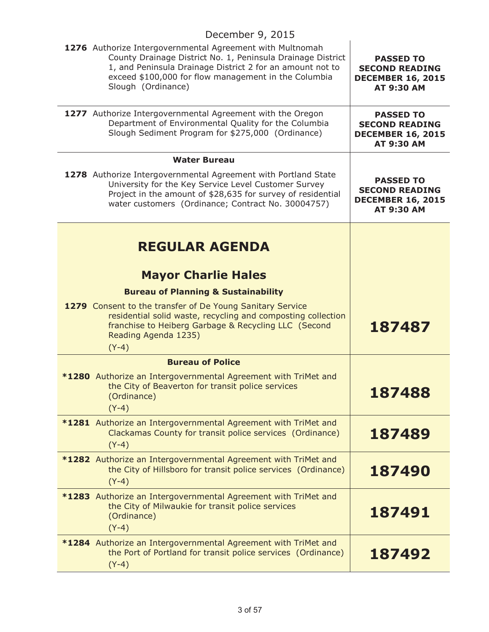#### December 9, 2015 **1276** Authorize Intergovernmental Agreement with Multnomah County Drainage District No. 1, Peninsula Drainage District 1, and Peninsula Drainage District 2 for an amount not to exceed \$100,000 for flow management in the Columbia Slough (Ordinance) **PASSED TO SECOND READING DECEMBER 16, 2015 AT 9:30 AM 1277** Authorize Intergovernmental Agreement with the Oregon Department of Environmental Quality for the Columbia Slough Sediment Program for \$275,000 (Ordinance) **PASSED TO SECOND READING DECEMBER 16, 2015 AT 9:30 AM Water Bureau 1278** Authorize Intergovernmental Agreement with Portland State University for the Key Service Level Customer Survey Project in the amount of \$28,635 for survey of residential water customers (Ordinance; Contract No. 30004757) **PASSED TO SECOND READING DECEMBER 16, 2015 AT 9:30 AM REGULAR AGENDA Mayor Charlie Hales Bureau of Planning & Sustainability 1279** Consent to the transfer of De Young Sanitary Service residential solid waste, recycling and composting collection franchise to Heiberg Garbage & Recycling LLC (Second Reading Agenda 1235) (Y-4) **187487 Bureau of Police \*1280** Authorize an Intergovernmental Agreement with TriMet and the City of Beaverton for transit police services (Ordinance) (Y-4) **187488 \*1281** Authorize an Intergovernmental Agreement with TriMet and Clackamas County for transit police services (Ordinance) (Y-4) **187489 \*1282** Authorize an Intergovernmental Agreement with TriMet and the City of Hillsboro for transit police services (Ordinance) (Y-4) **187490 \*1283** Authorize an Intergovernmental Agreement with TriMet and the City of Milwaukie for transit police services (Ordinance) (Y-4) **187491 \*1284** Authorize an Intergovernmental Agreement with TriMet and the Port of Portland for transit police services (Ordinance) (Y-4) **187492**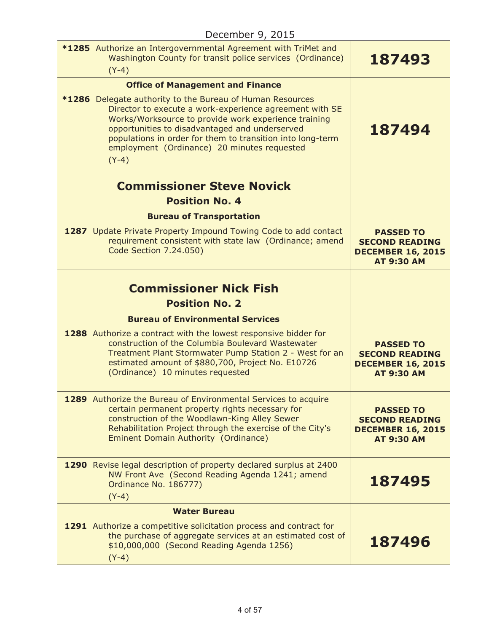| $D$ ccc $D$ cripting $D$ $\sim$ $D$ $\sim$ $D$                                                                                                                                                                                                                                                                                                                |                                                                                            |
|---------------------------------------------------------------------------------------------------------------------------------------------------------------------------------------------------------------------------------------------------------------------------------------------------------------------------------------------------------------|--------------------------------------------------------------------------------------------|
| <b>*1285</b> Authorize an Intergovernmental Agreement with TriMet and<br>Washington County for transit police services (Ordinance)<br>$(Y-4)$                                                                                                                                                                                                                 | 187493                                                                                     |
| <b>Office of Management and Finance</b>                                                                                                                                                                                                                                                                                                                       |                                                                                            |
| <b>*1286</b> Delegate authority to the Bureau of Human Resources<br>Director to execute a work-experience agreement with SE<br>Works/Worksource to provide work experience training<br>opportunities to disadvantaged and underserved<br>populations in order for them to transition into long-term<br>employment (Ordinance) 20 minutes requested<br>$(Y-4)$ | 187494                                                                                     |
| <b>Commissioner Steve Novick</b>                                                                                                                                                                                                                                                                                                                              |                                                                                            |
| <b>Position No. 4</b>                                                                                                                                                                                                                                                                                                                                         |                                                                                            |
| <b>Bureau of Transportation</b>                                                                                                                                                                                                                                                                                                                               |                                                                                            |
| 1287 Update Private Property Impound Towing Code to add contact<br>requirement consistent with state law (Ordinance; amend<br>Code Section 7.24.050)                                                                                                                                                                                                          | <b>PASSED TO</b><br><b>SECOND READING</b><br><b>DECEMBER 16, 2015</b><br><b>AT 9:30 AM</b> |
|                                                                                                                                                                                                                                                                                                                                                               |                                                                                            |
| <b>Commissioner Nick Fish</b>                                                                                                                                                                                                                                                                                                                                 |                                                                                            |
| <b>Position No. 2</b>                                                                                                                                                                                                                                                                                                                                         |                                                                                            |
| <b>Bureau of Environmental Services</b>                                                                                                                                                                                                                                                                                                                       |                                                                                            |
| 1288 Authorize a contract with the lowest responsive bidder for<br>construction of the Columbia Boulevard Wastewater<br>Treatment Plant Stormwater Pump Station 2 - West for an<br>estimated amount of \$880,700, Project No. E10726<br>(Ordinance) 10 minutes requested                                                                                      | <b>PASSED TO</b><br><b>SECOND READING</b><br><b>DECEMBER 16, 2015</b><br><b>AT 9:30 AM</b> |
| 1289 Authorize the Bureau of Environmental Services to acquire<br>certain permanent property rights necessary for<br>construction of the Woodlawn-King Alley Sewer<br>Rehabilitation Project through the exercise of the City's<br><b>Eminent Domain Authority (Ordinance)</b>                                                                                | <b>PASSED TO</b><br><b>SECOND READING</b><br><b>DECEMBER 16, 2015</b><br><b>AT 9:30 AM</b> |
| 1290 Revise legal description of property declared surplus at 2400<br>NW Front Ave (Second Reading Agenda 1241; amend<br>Ordinance No. 186777)<br>$(Y-4)$                                                                                                                                                                                                     | 187495                                                                                     |
| <b>Water Bureau</b>                                                                                                                                                                                                                                                                                                                                           |                                                                                            |
| 1291 Authorize a competitive solicitation process and contract for<br>the purchase of aggregate services at an estimated cost of<br>\$10,000,000 (Second Reading Agenda 1256)<br>$(Y-4)$                                                                                                                                                                      | 187496                                                                                     |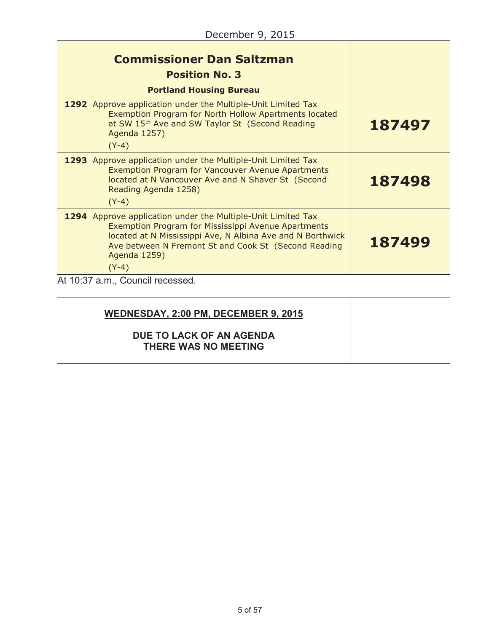| <b>Commissioner Dan Saltzman</b><br><b>Position No. 3</b><br><b>Portland Housing Bureau</b>                                                                                                                                                                          |        |
|----------------------------------------------------------------------------------------------------------------------------------------------------------------------------------------------------------------------------------------------------------------------|--------|
| 1292 Approve application under the Multiple-Unit Limited Tax<br>Exemption Program for North Hollow Apartments located<br>at SW 15th Ave and SW Taylor St (Second Reading<br>Agenda 1257)<br>$(Y-4)$                                                                  | 187497 |
| 1293 Approve application under the Multiple-Unit Limited Tax<br><b>Exemption Program for Vancouver Avenue Apartments</b><br>located at N Vancouver Ave and N Shaver St (Second<br>Reading Agenda 1258)<br>$(Y-4)$                                                    | 187498 |
| 1294 Approve application under the Multiple-Unit Limited Tax<br>Exemption Program for Mississippi Avenue Apartments<br>located at N Mississippi Ave, N Albina Ave and N Borthwick<br>Ave between N Fremont St and Cook St (Second Reading<br>Agenda 1259)<br>$(Y-4)$ | 187499 |
| At 10:37 a.m., Council recessed.                                                                                                                                                                                                                                     |        |

| WEDNESDAY, 2:00 PM, DECEMBER 9, 2015             |  |
|--------------------------------------------------|--|
| DUE TO LACK OF AN AGENDA<br>THERE WAS NO MEETING |  |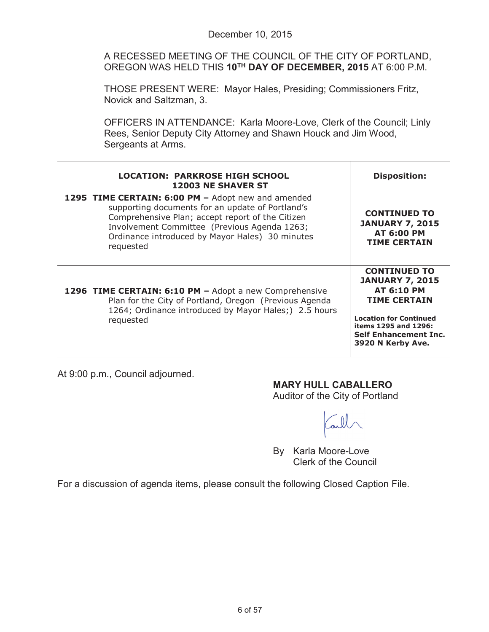A RECESSED MEETING OF THE COUNCIL OF THE CITY OF PORTLAND, OREGON WAS HELD THIS **10TH DAY OF DECEMBER, 2015** AT 6:00 P.M.

THOSE PRESENT WERE: Mayor Hales, Presiding; Commissioners Fritz, Novick and Saltzman, 3.

OFFICERS IN ATTENDANCE: Karla Moore-Love, Clerk of the Council; Linly Rees, Senior Deputy City Attorney and Shawn Houck and Jim Wood, Sergeants at Arms.

| <b>LOCATION: PARKROSE HIGH SCHOOL</b><br><b>12003 NE SHAVER ST</b>                                                                                                                                                                                                         | <b>Disposition:</b>                                                                                                                                                                                     |
|----------------------------------------------------------------------------------------------------------------------------------------------------------------------------------------------------------------------------------------------------------------------------|---------------------------------------------------------------------------------------------------------------------------------------------------------------------------------------------------------|
| 1295 TIME CERTAIN: 6:00 PM - Adopt new and amended<br>supporting documents for an update of Portland's<br>Comprehensive Plan; accept report of the Citizen<br>Involvement Committee (Previous Agenda 1263;<br>Ordinance introduced by Mayor Hales) 30 minutes<br>requested | <b>CONTINUED TO</b><br><b>JANUARY 7, 2015</b><br><b>AT 6:00 PM</b><br><b>TIME CERTAIN</b>                                                                                                               |
| 1296 TIME CERTAIN: 6:10 PM - Adopt a new Comprehensive<br>Plan for the City of Portland, Oregon (Previous Agenda<br>1264; Ordinance introduced by Mayor Hales;) 2.5 hours<br>requested                                                                                     | <b>CONTINUED TO</b><br><b>JANUARY 7, 2015</b><br><b>AT 6:10 PM</b><br><b>TIME CERTAIN</b><br><b>Location for Continued</b><br>items 1295 and 1296:<br><b>Self Enhancement Inc.</b><br>3920 N Kerby Ave. |

At 9:00 p.m., Council adjourned.

**MARY HULL CABALLERO** Auditor of the City of Portland

By Karla Moore-Love Clerk of the Council

For a discussion of agenda items, please consult the following Closed Caption File.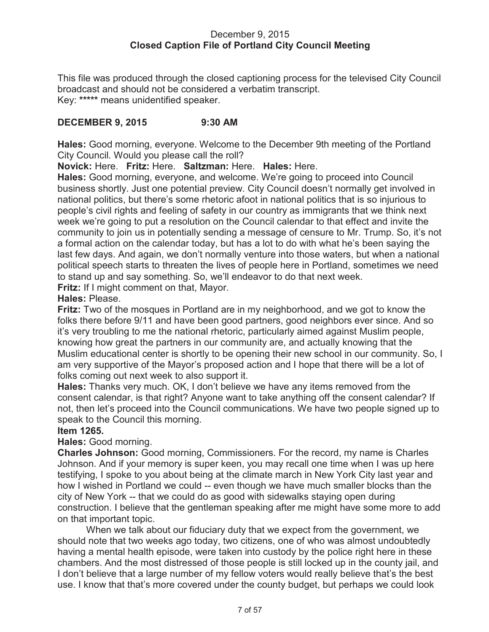#### December 9, 2015 **Closed Caption File of Portland City Council Meeting**

This file was produced through the closed captioning process for the televised City Council broadcast and should not be considered a verbatim transcript. Key: **\*\*\*\*\*** means unidentified speaker.

### **DECEMBER 9, 2015 9:30 AM**

**Hales:** Good morning, everyone. Welcome to the December 9th meeting of the Portland City Council. Would you please call the roll?

**Novick:** Here. **Fritz:** Here. **Saltzman:** Here. **Hales:** Here.

**Hales:** Good morning, everyone, and welcome. We're going to proceed into Council business shortly. Just one potential preview. City Council doesn't normally get involved in national politics, but there's some rhetoric afoot in national politics that is so injurious to people's civil rights and feeling of safety in our country as immigrants that we think next week we're going to put a resolution on the Council calendar to that effect and invite the community to join us in potentially sending a message of censure to Mr. Trump. So, it's not a formal action on the calendar today, but has a lot to do with what he's been saying the last few days. And again, we don't normally venture into those waters, but when a national political speech starts to threaten the lives of people here in Portland, sometimes we need to stand up and say something. So, we'll endeavor to do that next week.

**Fritz:** If I might comment on that, Mayor.

**Hales:** Please.

**Fritz:** Two of the mosques in Portland are in my neighborhood, and we got to know the folks there before 9/11 and have been good partners, good neighbors ever since. And so it's very troubling to me the national rhetoric, particularly aimed against Muslim people, knowing how great the partners in our community are, and actually knowing that the Muslim educational center is shortly to be opening their new school in our community. So, I am very supportive of the Mayor's proposed action and I hope that there will be a lot of folks coming out next week to also support it.

**Hales:** Thanks very much. OK, I don't believe we have any items removed from the consent calendar, is that right? Anyone want to take anything off the consent calendar? If not, then let's proceed into the Council communications. We have two people signed up to speak to the Council this morning.

### **Item 1265.**

**Hales:** Good morning.

**Charles Johnson:** Good morning, Commissioners. For the record, my name is Charles Johnson. And if your memory is super keen, you may recall one time when I was up here testifying, I spoke to you about being at the climate march in New York City last year and how I wished in Portland we could -- even though we have much smaller blocks than the city of New York -- that we could do as good with sidewalks staying open during construction. I believe that the gentleman speaking after me might have some more to add on that important topic.

When we talk about our fiduciary duty that we expect from the government, we should note that two weeks ago today, two citizens, one of who was almost undoubtedly having a mental health episode, were taken into custody by the police right here in these chambers. And the most distressed of those people is still locked up in the county jail, and I don't believe that a large number of my fellow voters would really believe that's the best use. I know that that's more covered under the county budget, but perhaps we could look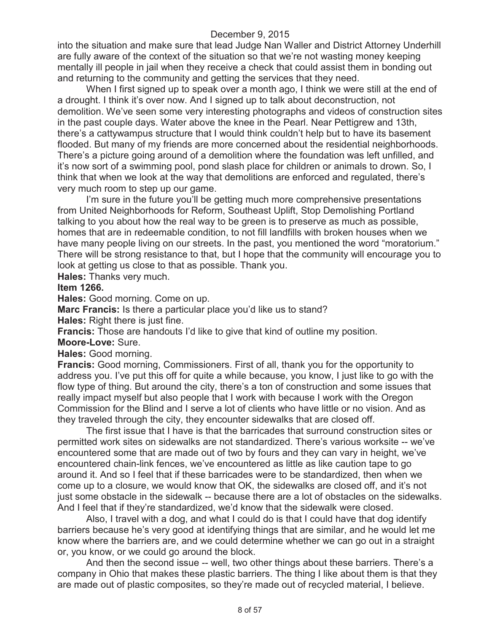into the situation and make sure that lead Judge Nan Waller and District Attorney Underhill are fully aware of the context of the situation so that we're not wasting money keeping mentally ill people in jail when they receive a check that could assist them in bonding out and returning to the community and getting the services that they need.

When I first signed up to speak over a month ago, I think we were still at the end of a drought. I think it's over now. And I signed up to talk about deconstruction, not demolition. We've seen some very interesting photographs and videos of construction sites in the past couple days. Water above the knee in the Pearl. Near Pettigrew and 13th, there's a cattywampus structure that I would think couldn't help but to have its basement flooded. But many of my friends are more concerned about the residential neighborhoods. There's a picture going around of a demolition where the foundation was left unfilled, and it's now sort of a swimming pool, pond slash place for children or animals to drown. So, I think that when we look at the way that demolitions are enforced and regulated, there's very much room to step up our game.

I'm sure in the future you'll be getting much more comprehensive presentations from United Neighborhoods for Reform, Southeast Uplift, Stop Demolishing Portland talking to you about how the real way to be green is to preserve as much as possible, homes that are in redeemable condition, to not fill landfills with broken houses when we have many people living on our streets. In the past, you mentioned the word "moratorium." There will be strong resistance to that, but I hope that the community will encourage you to look at getting us close to that as possible. Thank you.

**Hales:** Thanks very much.

#### **Item 1266.**

**Hales:** Good morning. Come on up.

**Marc Francis:** Is there a particular place you'd like us to stand?

**Hales:** Right there is just fine.

**Francis:** Those are handouts I'd like to give that kind of outline my position.

**Moore-Love:** Sure.

**Hales:** Good morning.

**Francis:** Good morning, Commissioners. First of all, thank you for the opportunity to address you. I've put this off for quite a while because, you know, I just like to go with the flow type of thing. But around the city, there's a ton of construction and some issues that really impact myself but also people that I work with because I work with the Oregon Commission for the Blind and I serve a lot of clients who have little or no vision. And as they traveled through the city, they encounter sidewalks that are closed off.

The first issue that I have is that the barricades that surround construction sites or permitted work sites on sidewalks are not standardized. There's various worksite -- we've encountered some that are made out of two by fours and they can vary in height, we've encountered chain-link fences, we've encountered as little as like caution tape to go around it. And so I feel that if these barricades were to be standardized, then when we come up to a closure, we would know that OK, the sidewalks are closed off, and it's not just some obstacle in the sidewalk -- because there are a lot of obstacles on the sidewalks. And I feel that if they're standardized, we'd know that the sidewalk were closed.

Also, I travel with a dog, and what I could do is that I could have that dog identify barriers because he's very good at identifying things that are similar, and he would let me know where the barriers are, and we could determine whether we can go out in a straight or, you know, or we could go around the block.

And then the second issue -- well, two other things about these barriers. There's a company in Ohio that makes these plastic barriers. The thing I like about them is that they are made out of plastic composites, so they're made out of recycled material, I believe.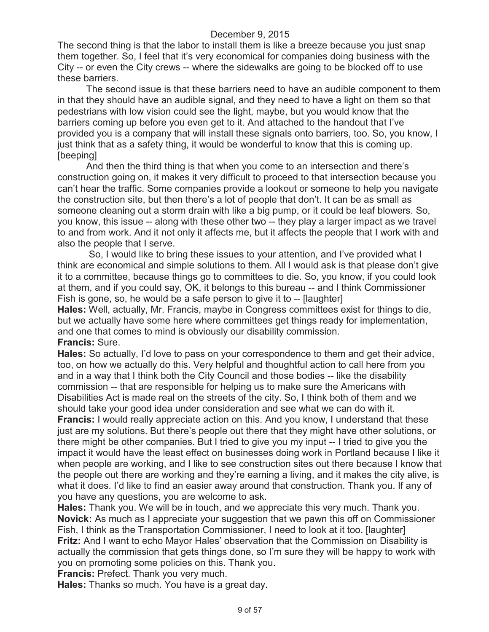The second thing is that the labor to install them is like a breeze because you just snap them together. So, I feel that it's very economical for companies doing business with the City -- or even the City crews -- where the sidewalks are going to be blocked off to use these barriers.

The second issue is that these barriers need to have an audible component to them in that they should have an audible signal, and they need to have a light on them so that pedestrians with low vision could see the light, maybe, but you would know that the barriers coming up before you even get to it. And attached to the handout that I've provided you is a company that will install these signals onto barriers, too. So, you know, I just think that as a safety thing, it would be wonderful to know that this is coming up. [beeping]

And then the third thing is that when you come to an intersection and there's construction going on, it makes it very difficult to proceed to that intersection because you can't hear the traffic. Some companies provide a lookout or someone to help you navigate the construction site, but then there's a lot of people that don't. It can be as small as someone cleaning out a storm drain with like a big pump, or it could be leaf blowers. So, you know, this issue -- along with these other two -- they play a larger impact as we travel to and from work. And it not only it affects me, but it affects the people that I work with and also the people that I serve.

So, I would like to bring these issues to your attention, and I've provided what I think are economical and simple solutions to them. All I would ask is that please don't give it to a committee, because things go to committees to die. So, you know, if you could look at them, and if you could say, OK, it belongs to this bureau -- and I think Commissioner Fish is gone, so, he would be a safe person to give it to -- [laughter]

**Hales:** Well, actually, Mr. Francis, maybe in Congress committees exist for things to die, but we actually have some here where committees get things ready for implementation, and one that comes to mind is obviously our disability commission. **Francis:** Sure.

**Hales:** So actually, I'd love to pass on your correspondence to them and get their advice, too, on how we actually do this. Very helpful and thoughtful action to call here from you and in a way that I think both the City Council and those bodies -- like the disability commission -- that are responsible for helping us to make sure the Americans with Disabilities Act is made real on the streets of the city. So, I think both of them and we should take your good idea under consideration and see what we can do with it.

**Francis:** I would really appreciate action on this. And you know, I understand that these just are my solutions. But there's people out there that they might have other solutions, or there might be other companies. But I tried to give you my input -- I tried to give you the impact it would have the least effect on businesses doing work in Portland because I like it when people are working, and I like to see construction sites out there because I know that the people out there are working and they're earning a living, and it makes the city alive, is what it does. I'd like to find an easier away around that construction. Thank you. If any of you have any questions, you are welcome to ask.

**Hales:** Thank you. We will be in touch, and we appreciate this very much. Thank you. **Novick:** As much as I appreciate your suggestion that we pawn this off on Commissioner Fish, I think as the Transportation Commissioner, I need to look at it too. [laughter] **Fritz:** And I want to echo Mayor Hales' observation that the Commission on Disability is actually the commission that gets things done, so I'm sure they will be happy to work with you on promoting some policies on this. Thank you.

**Francis:** Prefect. Thank you very much.

**Hales:** Thanks so much. You have is a great day.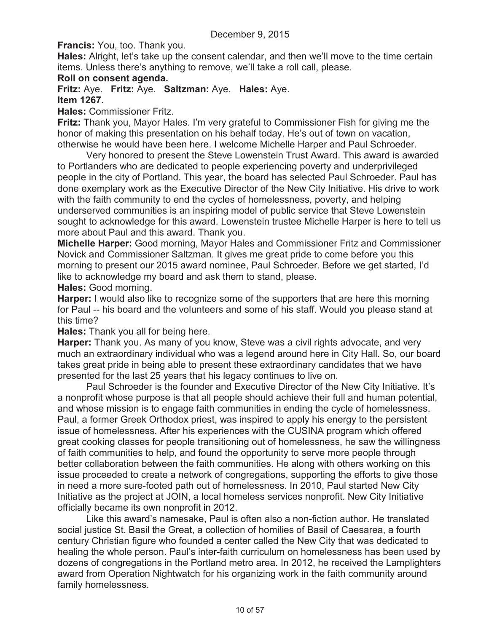**Francis:** You, too. Thank you.

**Hales:** Alright, let's take up the consent calendar, and then we'll move to the time certain items. Unless there's anything to remove, we'll take a roll call, please.

#### **Roll on consent agenda.**

**Fritz:** Aye. **Fritz:** Aye. **Saltzman:** Aye. **Hales:** Aye. **Item 1267.**

**Hales:** Commissioner Fritz.

**Fritz:** Thank you, Mayor Hales. I'm very grateful to Commissioner Fish for giving me the honor of making this presentation on his behalf today. He's out of town on vacation, otherwise he would have been here. I welcome Michelle Harper and Paul Schroeder.

Very honored to present the Steve Lowenstein Trust Award. This award is awarded to Portlanders who are dedicated to people experiencing poverty and underprivileged people in the city of Portland. This year, the board has selected Paul Schroeder. Paul has done exemplary work as the Executive Director of the New City Initiative. His drive to work with the faith community to end the cycles of homelessness, poverty, and helping underserved communities is an inspiring model of public service that Steve Lowenstein sought to acknowledge for this award. Lowenstein trustee Michelle Harper is here to tell us more about Paul and this award. Thank you.

**Michelle Harper:** Good morning, Mayor Hales and Commissioner Fritz and Commissioner Novick and Commissioner Saltzman. It gives me great pride to come before you this morning to present our 2015 award nominee, Paul Schroeder. Before we get started, I'd like to acknowledge my board and ask them to stand, please.

**Hales:** Good morning.

**Harper:** I would also like to recognize some of the supporters that are here this morning for Paul -- his board and the volunteers and some of his staff. Would you please stand at this time?

**Hales:** Thank you all for being here.

**Harper:** Thank you. As many of you know, Steve was a civil rights advocate, and very much an extraordinary individual who was a legend around here in City Hall. So, our board takes great pride in being able to present these extraordinary candidates that we have presented for the last 25 years that his legacy continues to live on.

Paul Schroeder is the founder and Executive Director of the New City Initiative. It's a nonprofit whose purpose is that all people should achieve their full and human potential, and whose mission is to engage faith communities in ending the cycle of homelessness. Paul, a former Greek Orthodox priest, was inspired to apply his energy to the persistent issue of homelessness. After his experiences with the CUSINA program which offered great cooking classes for people transitioning out of homelessness, he saw the willingness of faith communities to help, and found the opportunity to serve more people through better collaboration between the faith communities. He along with others working on this issue proceeded to create a network of congregations, supporting the efforts to give those in need a more sure-footed path out of homelessness. In 2010, Paul started New City Initiative as the project at JOIN, a local homeless services nonprofit. New City Initiative officially became its own nonprofit in 2012.

Like this award's namesake, Paul is often also a non-fiction author. He translated social justice St. Basil the Great, a collection of homilies of Basil of Caesarea, a fourth century Christian figure who founded a center called the New City that was dedicated to healing the whole person. Paul's inter-faith curriculum on homelessness has been used by dozens of congregations in the Portland metro area. In 2012, he received the Lamplighters award from Operation Nightwatch for his organizing work in the faith community around family homelessness.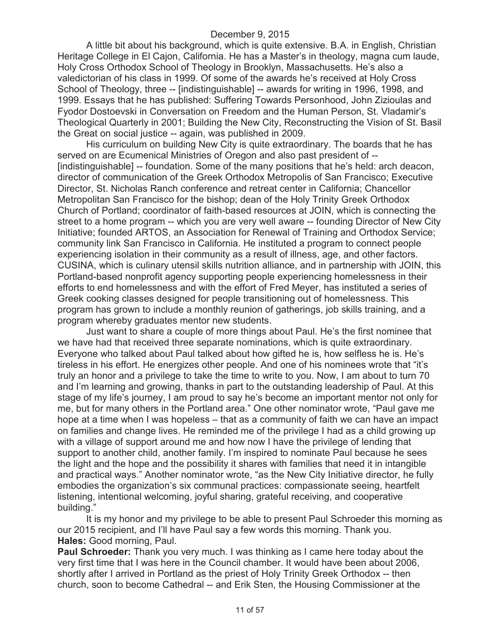A little bit about his background, which is quite extensive. B.A. in English, Christian Heritage College in El Cajon, California. He has a Master's in theology, magna cum laude, Holy Cross Orthodox School of Theology in Brooklyn, Massachusetts. He's also a valedictorian of his class in 1999. Of some of the awards he's received at Holy Cross School of Theology, three -- [indistinguishable] -- awards for writing in 1996, 1998, and 1999. Essays that he has published: Suffering Towards Personhood, John Zizioulas and Fyodor Dostoevski in Conversation on Freedom and the Human Person, St. Vladamir's Theological Quarterly in 2001; Building the New City, Reconstructing the Vision of St. Basil the Great on social justice -- again, was published in 2009.

His curriculum on building New City is quite extraordinary. The boards that he has served on are Ecumenical Ministries of Oregon and also past president of -- [indistinguishable] -- foundation. Some of the many positions that he's held: arch deacon, director of communication of the Greek Orthodox Metropolis of San Francisco; Executive Director, St. Nicholas Ranch conference and retreat center in California; Chancellor Metropolitan San Francisco for the bishop; dean of the Holy Trinity Greek Orthodox Church of Portland; coordinator of faith-based resources at JOIN, which is connecting the street to a home program -- which you are very well aware -- founding Director of New City Initiative; founded ARTOS, an Association for Renewal of Training and Orthodox Service; community link San Francisco in California. He instituted a program to connect people experiencing isolation in their community as a result of illness, age, and other factors. CUSINA, which is culinary utensil skills nutrition alliance, and in partnership with JOIN, this Portland-based nonprofit agency supporting people experiencing homelessness in their efforts to end homelessness and with the effort of Fred Meyer, has instituted a series of Greek cooking classes designed for people transitioning out of homelessness. This program has grown to include a monthly reunion of gatherings, job skills training, and a program whereby graduates mentor new students.

Just want to share a couple of more things about Paul. He's the first nominee that we have had that received three separate nominations, which is quite extraordinary. Everyone who talked about Paul talked about how gifted he is, how selfless he is. He's tireless in his effort. He energizes other people. And one of his nominees wrote that "it's truly an honor and a privilege to take the time to write to you. Now, I am about to turn 70 and I'm learning and growing, thanks in part to the outstanding leadership of Paul. At this stage of my life's journey, I am proud to say he's become an important mentor not only for me, but for many others in the Portland area." One other nominator wrote, "Paul gave me hope at a time when I was hopeless – that as a community of faith we can have an impact on families and change lives. He reminded me of the privilege I had as a child growing up with a village of support around me and how now I have the privilege of lending that support to another child, another family. I'm inspired to nominate Paul because he sees the light and the hope and the possibility it shares with families that need it in intangible and practical ways." Another nominator wrote, "as the New City Initiative director, he fully embodies the organization's six communal practices: compassionate seeing, heartfelt listening, intentional welcoming, joyful sharing, grateful receiving, and cooperative building."

It is my honor and my privilege to be able to present Paul Schroeder this morning as our 2015 recipient, and I'll have Paul say a few words this morning. Thank you. **Hales:** Good morning, Paul.

**Paul Schroeder:** Thank you very much. I was thinking as I came here today about the very first time that I was here in the Council chamber. It would have been about 2006, shortly after I arrived in Portland as the priest of Holy Trinity Greek Orthodox -- then church, soon to become Cathedral -- and Erik Sten, the Housing Commissioner at the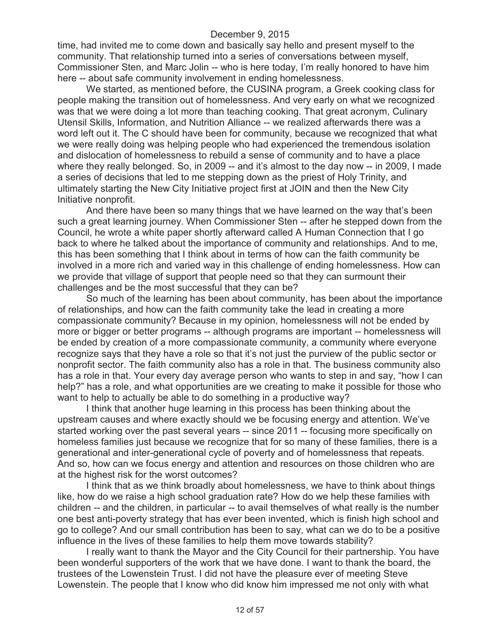time, had invited me to come down and basically say hello and present myself to the community. That relationship turned into a series of conversations between myself, Commissioner Sten, and Marc Jolin -- who is here today, I'm really honored to have him here -- about safe community involvement in ending homelessness.

We started, as mentioned before, the CUSINA program, a Greek cooking class for people making the transition out of homelessness. And very early on what we recognized was that we were doing a lot more than teaching cooking. That great acronym, Culinary Utensil Skills, Information, and Nutrition Alliance -- we realized afterwards there was a word left out it. The C should have been for community, because we recognized that what we were really doing was helping people who had experienced the tremendous isolation and dislocation of homelessness to rebuild a sense of community and to have a place where they really belonged. So, in 2009 -- and it's almost to the day now -- in 2009, I made a series of decisions that led to me stepping down as the priest of Holy Trinity, and ultimately starting the New City Initiative project first at JOIN and then the New City Initiative nonprofit.

And there have been so many things that we have learned on the way that's been such a great learning journey. When Commissioner Sten -- after he stepped down from the Council, he wrote a white paper shortly afterward called A Human Connection that I go back to where he talked about the importance of community and relationships. And to me, this has been something that I think about in terms of how can the faith community be involved in a more rich and varied way in this challenge of ending homelessness. How can we provide that village of support that people need so that they can surmount their challenges and be the most successful that they can be?

So much of the learning has been about community, has been about the importance of relationships, and how can the faith community take the lead in creating a more compassionate community? Because in my opinion, homelessness will not be ended by more or bigger or better programs -- although programs are important -- homelessness will be ended by creation of a more compassionate community, a community where everyone recognize says that they have a role so that it's not just the purview of the public sector or nonprofit sector. The faith community also has a role in that. The business community also has a role in that. Your every day average person who wants to step in and say, "how I can help?" has a role, and what opportunities are we creating to make it possible for those who want to help to actually be able to do something in a productive way?

I think that another huge learning in this process has been thinking about the upstream causes and where exactly should we be focusing energy and attention. We've started working over the past several years -- since 2011 -- focusing more specifically on homeless families just because we recognize that for so many of these families, there is a generational and inter-generational cycle of poverty and of homelessness that repeats. And so, how can we focus energy and attention and resources on those children who are at the highest risk for the worst outcomes?

I think that as we think broadly about homelessness, we have to think about things like, how do we raise a high school graduation rate? How do we help these families with children -- and the children, in particular -- to avail themselves of what really is the number one best anti-poverty strategy that has ever been invented, which is finish high school and go to college? And our small contribution has been to say, what can we do to be a positive influence in the lives of these families to help them move towards stability?

I really want to thank the Mayor and the City Council for their partnership. You have been wonderful supporters of the work that we have done. I want to thank the board, the trustees of the Lowenstein Trust. I did not have the pleasure ever of meeting Steve Lowenstein. The people that I know who did know him impressed me not only with what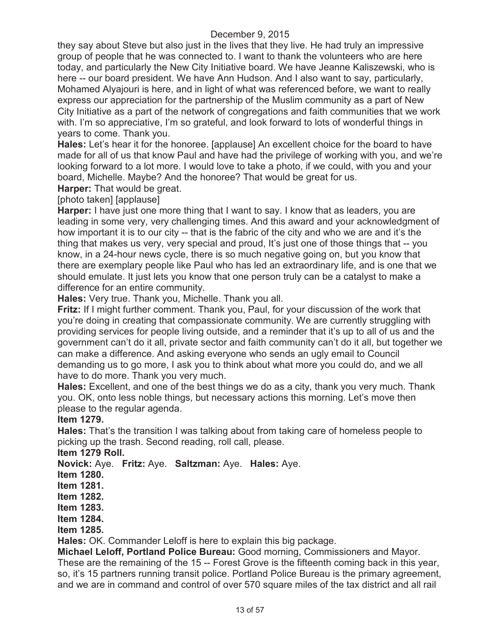they say about Steve but also just in the lives that they live. He had truly an impressive group of people that he was connected to. I want to thank the volunteers who are here today, and particularly the New City Initiative board. We have Jeanne Kaliszewski, who is here -- our board president. We have Ann Hudson. And I also want to say, particularly, Mohamed Alyajouri is here, and in light of what was referenced before, we want to really express our appreciation for the partnership of the Muslim community as a part of New City Initiative as a part of the network of congregations and faith communities that we work with. I'm so appreciative, I'm so grateful, and look forward to lots of wonderful things in years to come. Thank you.

**Hales:** Let's hear it for the honoree. [applause] An excellent choice for the board to have made for all of us that know Paul and have had the privilege of working with you, and we're looking forward to a lot more. I would love to take a photo, if we could, with you and your board, Michelle. Maybe? And the honoree? That would be great for us.

**Harper:** That would be great.

[photo taken] [applause]

**Harper:** I have just one more thing that I want to say. I know that as leaders, you are leading in some very, very challenging times. And this award and your acknowledgment of how important it is to our city -- that is the fabric of the city and who we are and it's the thing that makes us very, very special and proud, It's just one of those things that -- you know, in a 24-hour news cycle, there is so much negative going on, but you know that there are exemplary people like Paul who has led an extraordinary life, and is one that we should emulate. It just lets you know that one person truly can be a catalyst to make a difference for an entire community.

**Hales:** Very true. Thank you, Michelle. Thank you all.

**Fritz:** If I might further comment. Thank you, Paul, for your discussion of the work that you're doing in creating that compassionate community. We are currently struggling with providing services for people living outside, and a reminder that it's up to all of us and the government can't do it all, private sector and faith community can't do it all, but together we can make a difference. And asking everyone who sends an ugly email to Council demanding us to go more, I ask you to think about what more you could do, and we all have to do more. Thank you very much.

**Hales:** Excellent, and one of the best things we do as a city, thank you very much. Thank you. OK, onto less noble things, but necessary actions this morning. Let's move then please to the regular agenda.

#### **Item 1279.**

**Hales:** That's the transition I was talking about from taking care of homeless people to picking up the trash. Second reading, roll call, please.

**Item 1279 Roll.**

**Novick:** Aye. **Fritz:** Aye. **Saltzman:** Aye. **Hales:** Aye.

**Item 1280.**

**Item 1281.**

**Item 1282.**

**Item 1283.**

**Item 1284.**

**Item 1285.**

**Hales:** OK. Commander Leloff is here to explain this big package.

**Michael Leloff, Portland Police Bureau:** Good morning, Commissioners and Mayor. These are the remaining of the 15 -- Forest Grove is the fifteenth coming back in this year, so, it's 15 partners running transit police. Portland Police Bureau is the primary agreement, and we are in command and control of over 570 square miles of the tax district and all rail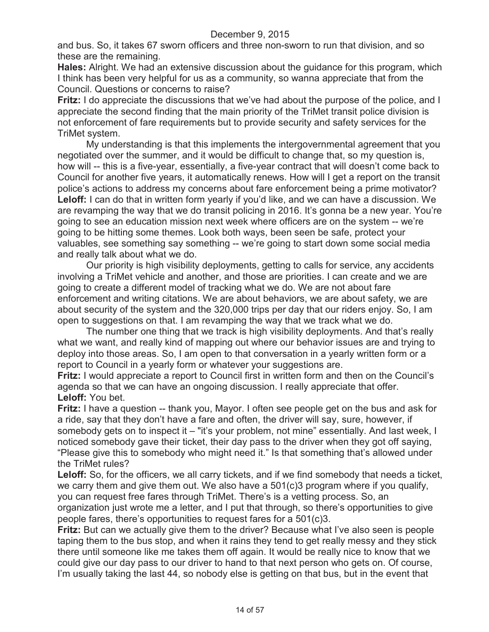and bus. So, it takes 67 sworn officers and three non-sworn to run that division, and so these are the remaining.

**Hales:** Alright. We had an extensive discussion about the guidance for this program, which I think has been very helpful for us as a community, so wanna appreciate that from the Council. Questions or concerns to raise?

**Fritz:** I do appreciate the discussions that we've had about the purpose of the police, and I appreciate the second finding that the main priority of the TriMet transit police division is not enforcement of fare requirements but to provide security and safety services for the TriMet system.

My understanding is that this implements the intergovernmental agreement that you negotiated over the summer, and it would be difficult to change that, so my question is, how will -- this is a five-year, essentially, a five-year contract that will doesn't come back to Council for another five years, it automatically renews. How will I get a report on the transit police's actions to address my concerns about fare enforcement being a prime motivator? **Leloff:** I can do that in written form yearly if you'd like, and we can have a discussion. We are revamping the way that we do transit policing in 2016. It's gonna be a new year. You're going to see an education mission next week where officers are on the system -- we're going to be hitting some themes. Look both ways, been seen be safe, protect your valuables, see something say something -- we're going to start down some social media and really talk about what we do.

Our priority is high visibility deployments, getting to calls for service, any accidents involving a TriMet vehicle and another, and those are priorities. I can create and we are going to create a different model of tracking what we do. We are not about fare enforcement and writing citations. We are about behaviors, we are about safety, we are about security of the system and the 320,000 trips per day that our riders enjoy. So, I am open to suggestions on that. I am revamping the way that we track what we do.

The number one thing that we track is high visibility deployments. And that's really what we want, and really kind of mapping out where our behavior issues are and trying to deploy into those areas. So, I am open to that conversation in a yearly written form or a report to Council in a yearly form or whatever your suggestions are.

**Fritz:** I would appreciate a report to Council first in written form and then on the Council's agenda so that we can have an ongoing discussion. I really appreciate that offer. **Leloff:** You bet.

**Fritz:** I have a question -- thank you, Mayor. I often see people get on the bus and ask for a ride, say that they don't have a fare and often, the driver will say, sure, however, if somebody gets on to inspect it – "it's your problem, not mine" essentially. And last week, I noticed somebody gave their ticket, their day pass to the driver when they got off saying, "Please give this to somebody who might need it." Is that something that's allowed under the TriMet rules?

Leloff: So, for the officers, we all carry tickets, and if we find somebody that needs a ticket, we carry them and give them out. We also have a 501(c)3 program where if you qualify, you can request free fares through TriMet. There's is a vetting process. So, an organization just wrote me a letter, and I put that through, so there's opportunities to give people fares, there's opportunities to request fares for a 501(c)3.

**Fritz:** But can we actually give them to the driver? Because what I've also seen is people taping them to the bus stop, and when it rains they tend to get really messy and they stick there until someone like me takes them off again. It would be really nice to know that we could give our day pass to our driver to hand to that next person who gets on. Of course, I'm usually taking the last 44, so nobody else is getting on that bus, but in the event that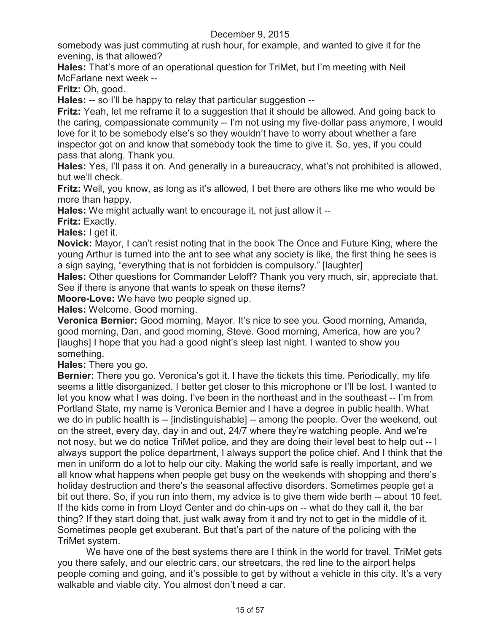somebody was just commuting at rush hour, for example, and wanted to give it for the evening, is that allowed?

**Hales:** That's more of an operational question for TriMet, but I'm meeting with Neil McFarlane next week --

**Fritz:** Oh, good.

**Hales:** -- so I'll be happy to relay that particular suggestion --

**Fritz:** Yeah, let me reframe it to a suggestion that it should be allowed. And going back to the caring, compassionate community -- I'm not using my five-dollar pass anymore, I would love for it to be somebody else's so they wouldn't have to worry about whether a fare inspector got on and know that somebody took the time to give it. So, yes, if you could pass that along. Thank you.

**Hales:** Yes, I'll pass it on. And generally in a bureaucracy, what's not prohibited is allowed, but we'll check.

**Fritz:** Well, you know, as long as it's allowed, I bet there are others like me who would be more than happy.

**Hales:** We might actually want to encourage it, not just allow it --

**Fritz:** Exactly.

**Hales:** I get it.

**Novick:** Mayor, I can't resist noting that in the book The Once and Future King, where the young Arthur is turned into the ant to see what any society is like, the first thing he sees is a sign saying, "everything that is not forbidden is compulsory." [laughter]

**Hales:** Other questions for Commander Leloff? Thank you very much, sir, appreciate that. See if there is anyone that wants to speak on these items?

**Moore-Love:** We have two people signed up.

**Hales:** Welcome. Good morning.

**Veronica Bernier:** Good morning, Mayor. It's nice to see you. Good morning, Amanda, good morning, Dan, and good morning, Steve. Good morning, America, how are you? [laughs] I hope that you had a good night's sleep last night. I wanted to show you something.

**Hales:** There you go.

**Bernier:** There you go. Veronica's got it. I have the tickets this time. Periodically, my life seems a little disorganized. I better get closer to this microphone or I'll be lost. I wanted to let you know what I was doing. I've been in the northeast and in the southeast -- I'm from Portland State, my name is Veronica Bernier and I have a degree in public health. What we do in public health is -- [indistinguishable] -- among the people. Over the weekend, out on the street, every day, day in and out, 24/7 where they're watching people. And we're not nosy, but we do notice TriMet police, and they are doing their level best to help out -- I always support the police department, I always support the police chief. And I think that the men in uniform do a lot to help our city. Making the world safe is really important, and we all know what happens when people get busy on the weekends with shopping and there's holiday destruction and there's the seasonal affective disorders. Sometimes people get a bit out there. So, if you run into them, my advice is to give them wide berth -- about 10 feet. If the kids come in from Lloyd Center and do chin-ups on -- what do they call it, the bar thing? If they start doing that, just walk away from it and try not to get in the middle of it. Sometimes people get exuberant. But that's part of the nature of the policing with the TriMet system.

We have one of the best systems there are I think in the world for travel. TriMet gets you there safely, and our electric cars, our streetcars, the red line to the airport helps people coming and going, and it's possible to get by without a vehicle in this city. It's a very walkable and viable city. You almost don't need a car.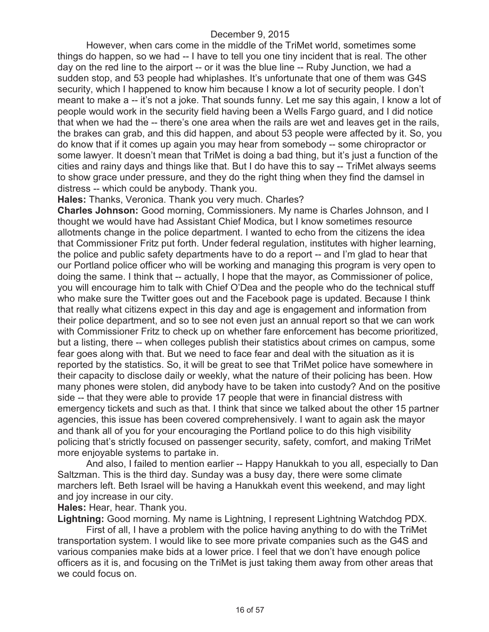However, when cars come in the middle of the TriMet world, sometimes some things do happen, so we had -- I have to tell you one tiny incident that is real. The other day on the red line to the airport -- or it was the blue line -- Ruby Junction, we had a sudden stop, and 53 people had whiplashes. It's unfortunate that one of them was G4S security, which I happened to know him because I know a lot of security people. I don't meant to make a -- it's not a joke. That sounds funny. Let me say this again, I know a lot of people would work in the security field having been a Wells Fargo guard, and I did notice that when we had the -- there's one area when the rails are wet and leaves get in the rails, the brakes can grab, and this did happen, and about 53 people were affected by it. So, you do know that if it comes up again you may hear from somebody -- some chiropractor or some lawyer. It doesn't mean that TriMet is doing a bad thing, but it's just a function of the cities and rainy days and things like that. But I do have this to say -- TriMet always seems to show grace under pressure, and they do the right thing when they find the damsel in distress -- which could be anybody. Thank you.

**Hales:** Thanks, Veronica. Thank you very much. Charles?

**Charles Johnson:** Good morning, Commissioners. My name is Charles Johnson, and I thought we would have had Assistant Chief Modica, but I know sometimes resource allotments change in the police department. I wanted to echo from the citizens the idea that Commissioner Fritz put forth. Under federal regulation, institutes with higher learning, the police and public safety departments have to do a report -- and I'm glad to hear that our Portland police officer who will be working and managing this program is very open to doing the same. I think that -- actually, I hope that the mayor, as Commissioner of police, you will encourage him to talk with Chief O'Dea and the people who do the technical stuff who make sure the Twitter goes out and the Facebook page is updated. Because I think that really what citizens expect in this day and age is engagement and information from their police department, and so to see not even just an annual report so that we can work with Commissioner Fritz to check up on whether fare enforcement has become prioritized, but a listing, there -- when colleges publish their statistics about crimes on campus, some fear goes along with that. But we need to face fear and deal with the situation as it is reported by the statistics. So, it will be great to see that TriMet police have somewhere in their capacity to disclose daily or weekly, what the nature of their policing has been. How many phones were stolen, did anybody have to be taken into custody? And on the positive side -- that they were able to provide 17 people that were in financial distress with emergency tickets and such as that. I think that since we talked about the other 15 partner agencies, this issue has been covered comprehensively. I want to again ask the mayor and thank all of you for your encouraging the Portland police to do this high visibility policing that's strictly focused on passenger security, safety, comfort, and making TriMet more enjoyable systems to partake in.

And also, I failed to mention earlier -- Happy Hanukkah to you all, especially to Dan Saltzman. This is the third day. Sunday was a busy day, there were some climate marchers left. Beth Israel will be having a Hanukkah event this weekend, and may light and joy increase in our city.

**Hales:** Hear, hear. Thank you.

**Lightning:** Good morning. My name is Lightning, I represent Lightning Watchdog PDX.

First of all, I have a problem with the police having anything to do with the TriMet transportation system. I would like to see more private companies such as the G4S and various companies make bids at a lower price. I feel that we don't have enough police officers as it is, and focusing on the TriMet is just taking them away from other areas that we could focus on.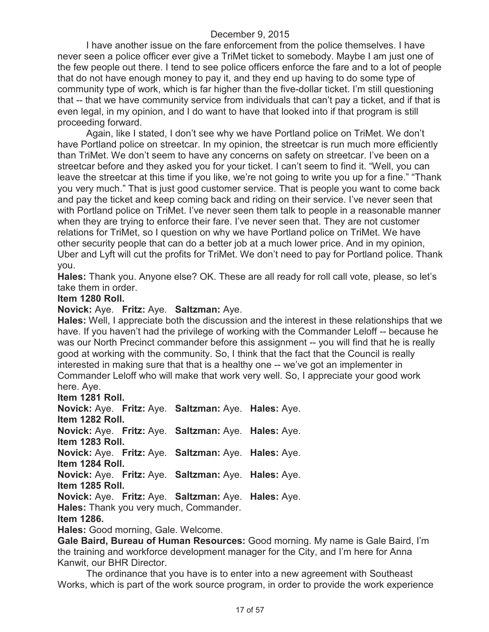I have another issue on the fare enforcement from the police themselves. I have never seen a police officer ever give a TriMet ticket to somebody. Maybe I am just one of the few people out there. I tend to see police officers enforce the fare and to a lot of people that do not have enough money to pay it, and they end up having to do some type of community type of work, which is far higher than the five-dollar ticket. I'm still questioning that -- that we have community service from individuals that can't pay a ticket, and if that is even legal, in my opinion, and I do want to have that looked into if that program is still proceeding forward.

Again, like I stated, I don't see why we have Portland police on TriMet. We don't have Portland police on streetcar. In my opinion, the streetcar is run much more efficiently than TriMet. We don't seem to have any concerns on safety on streetcar. I've been on a streetcar before and they asked you for your ticket. I can't seem to find it. "Well, you can leave the streetcar at this time if you like, we're not going to write you up for a fine." "Thank you very much." That is just good customer service. That is people you want to come back and pay the ticket and keep coming back and riding on their service. I've never seen that with Portland police on TriMet. I've never seen them talk to people in a reasonable manner when they are trying to enforce their fare. I've never seen that. They are not customer relations for TriMet, so I question on why we have Portland police on TriMet. We have other security people that can do a better job at a much lower price. And in my opinion, Uber and Lyft will cut the profits for TriMet. We don't need to pay for Portland police. Thank you.

**Hales:** Thank you. Anyone else? OK. These are all ready for roll call vote, please, so let's take them in order.

#### **Item 1280 Roll.**

#### **Novick:** Aye. **Fritz:** Aye. **Saltzman:** Aye.

**Hales:** Well, I appreciate both the discussion and the interest in these relationships that we have. If you haven't had the privilege of working with the Commander Leloff -- because he was our North Precinct commander before this assignment -- you will find that he is really good at working with the community. So, I think that the fact that the Council is really interested in making sure that that is a healthy one -- we've got an implementer in Commander Leloff who will make that work very well. So, I appreciate your good work here. Aye.

**Item 1281 Roll.**

**Novick:** Aye. **Fritz:** Aye. **Saltzman:** Aye. **Hales:** Aye. **Item 1282 Roll. Novick:** Aye. **Fritz:** Aye. **Saltzman:** Aye. **Hales:** Aye. **Item 1283 Roll. Novick:** Aye. **Fritz:** Aye. **Saltzman:** Aye. **Hales:** Aye. **Item 1284 Roll.**

**Novick:** Aye. **Fritz:** Aye. **Saltzman:** Aye. **Hales:** Aye.

**Item 1285 Roll.**

**Novick:** Aye. **Fritz:** Aye. **Saltzman:** Aye. **Hales:** Aye.

**Hales:** Thank you very much, Commander.

**Item 1286.**

**Hales:** Good morning, Gale. Welcome.

**Gale Baird, Bureau of Human Resources:** Good morning. My name is Gale Baird, I'm the training and workforce development manager for the City, and I'm here for Anna Kanwit, our BHR Director.

The ordinance that you have is to enter into a new agreement with Southeast Works, which is part of the work source program, in order to provide the work experience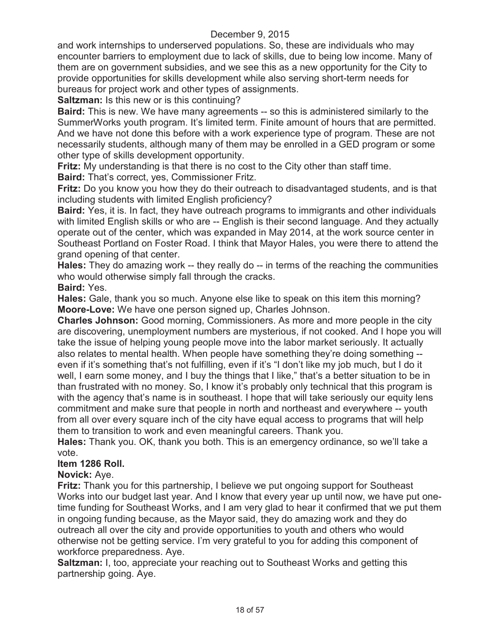and work internships to underserved populations. So, these are individuals who may encounter barriers to employment due to lack of skills, due to being low income. Many of them are on government subsidies, and we see this as a new opportunity for the City to provide opportunities for skills development while also serving short-term needs for bureaus for project work and other types of assignments.

**Saltzman:** Is this new or is this continuing?

**Baird:** This is new. We have many agreements -- so this is administered similarly to the SummerWorks youth program. It's limited term. Finite amount of hours that are permitted. And we have not done this before with a work experience type of program. These are not necessarily students, although many of them may be enrolled in a GED program or some other type of skills development opportunity.

**Fritz:** My understanding is that there is no cost to the City other than staff time. **Baird:** That's correct, yes, Commissioner Fritz.

**Fritz:** Do you know you how they do their outreach to disadvantaged students, and is that including students with limited English proficiency?

**Baird:** Yes, it is. In fact, they have outreach programs to immigrants and other individuals with limited English skills or who are -- English is their second language. And they actually operate out of the center, which was expanded in May 2014, at the work source center in Southeast Portland on Foster Road. I think that Mayor Hales, you were there to attend the grand opening of that center.

**Hales:** They do amazing work -- they really do -- in terms of the reaching the communities who would otherwise simply fall through the cracks.

**Baird:** Yes.

**Hales:** Gale, thank you so much. Anyone else like to speak on this item this morning? **Moore-Love:** We have one person signed up, Charles Johnson.

**Charles Johnson:** Good morning, Commissioners. As more and more people in the city are discovering, unemployment numbers are mysterious, if not cooked. And I hope you will take the issue of helping young people move into the labor market seriously. It actually also relates to mental health. When people have something they're doing something - even if it's something that's not fulfilling, even if it's "I don't like my job much, but I do it well, I earn some money, and I buy the things that I like," that's a better situation to be in than frustrated with no money. So, I know it's probably only technical that this program is with the agency that's name is in southeast. I hope that will take seriously our equity lens commitment and make sure that people in north and northeast and everywhere -- youth from all over every square inch of the city have equal access to programs that will help them to transition to work and even meaningful careers. Thank you.

**Hales:** Thank you. OK, thank you both. This is an emergency ordinance, so we'll take a vote.

### **Item 1286 Roll.**

### **Novick:** Aye.

**Fritz:** Thank you for this partnership, I believe we put ongoing support for Southeast Works into our budget last year. And I know that every year up until now, we have put onetime funding for Southeast Works, and I am very glad to hear it confirmed that we put them in ongoing funding because, as the Mayor said, they do amazing work and they do outreach all over the city and provide opportunities to youth and others who would otherwise not be getting service. I'm very grateful to you for adding this component of workforce preparedness. Aye.

**Saltzman:** I, too, appreciate your reaching out to Southeast Works and getting this partnership going. Aye.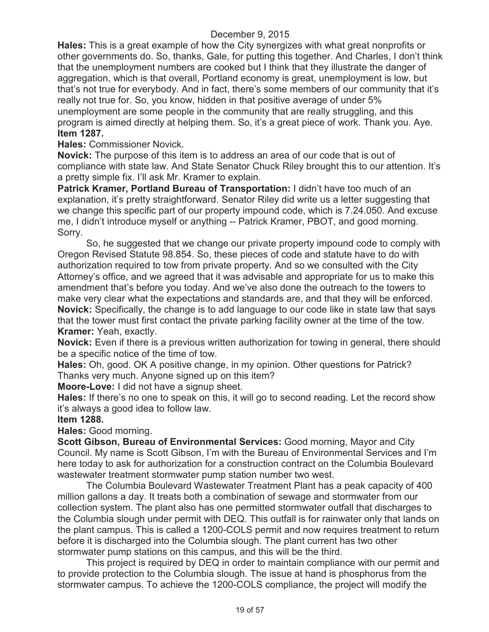**Hales:** This is a great example of how the City synergizes with what great nonprofits or other governments do. So, thanks, Gale, for putting this together. And Charles, I don't think that the unemployment numbers are cooked but I think that they illustrate the danger of aggregation, which is that overall, Portland economy is great, unemployment is low, but that's not true for everybody. And in fact, there's some members of our community that it's really not true for. So, you know, hidden in that positive average of under 5% unemployment are some people in the community that are really struggling, and this program is aimed directly at helping them. So, it's a great piece of work. Thank you. Aye. **Item 1287.**

**Hales:** Commissioner Novick.

**Novick:** The purpose of this item is to address an area of our code that is out of compliance with state law. And State Senator Chuck Riley brought this to our attention. It's a pretty simple fix. I'll ask Mr. Kramer to explain.

**Patrick Kramer, Portland Bureau of Transportation:** I didn't have too much of an explanation, it's pretty straightforward. Senator Riley did write us a letter suggesting that we change this specific part of our property impound code, which is 7.24.050. And excuse me, I didn't introduce myself or anything -- Patrick Kramer, PBOT, and good morning. Sorry.

So, he suggested that we change our private property impound code to comply with Oregon Revised Statute 98.854. So, these pieces of code and statute have to do with authorization required to tow from private property. And so we consulted with the City Attorney's office, and we agreed that it was advisable and appropriate for us to make this amendment that's before you today. And we've also done the outreach to the towers to make very clear what the expectations and standards are, and that they will be enforced. **Novick:** Specifically, the change is to add language to our code like in state law that says that the tower must first contact the private parking facility owner at the time of the tow. **Kramer:** Yeah, exactly.

**Novick:** Even if there is a previous written authorization for towing in general, there should be a specific notice of the time of tow.

**Hales:** Oh, good. OK A positive change, in my opinion. Other questions for Patrick? Thanks very much. Anyone signed up on this item?

**Moore-Love:** I did not have a signup sheet.

**Hales:** If there's no one to speak on this, it will go to second reading. Let the record show it's always a good idea to follow law.

### **Item 1288.**

**Hales:** Good morning.

**Scott Gibson, Bureau of Environmental Services:** Good morning, Mayor and City Council. My name is Scott Gibson, I'm with the Bureau of Environmental Services and I'm here today to ask for authorization for a construction contract on the Columbia Boulevard wastewater treatment stormwater pump station number two west.

The Columbia Boulevard Wastewater Treatment Plant has a peak capacity of 400 million gallons a day. It treats both a combination of sewage and stormwater from our collection system. The plant also has one permitted stormwater outfall that discharges to the Columbia slough under permit with DEQ. This outfall is for rainwater only that lands on the plant campus. This is called a 1200-COLS permit and now requires treatment to return before it is discharged into the Columbia slough. The plant current has two other stormwater pump stations on this campus, and this will be the third.

This project is required by DEQ in order to maintain compliance with our permit and to provide protection to the Columbia slough. The issue at hand is phosphorus from the stormwater campus. To achieve the 1200-COLS compliance, the project will modify the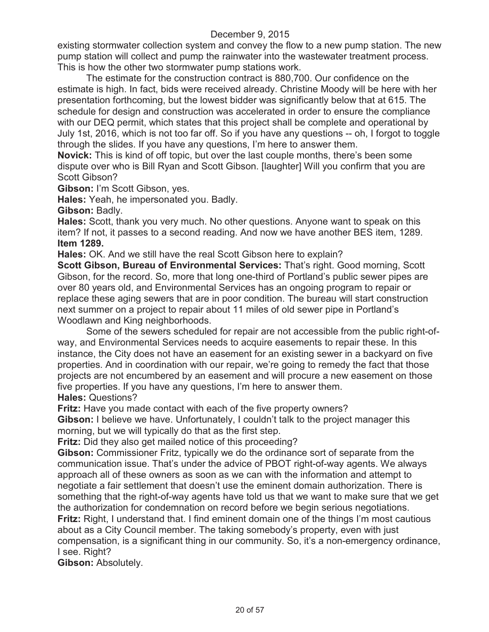existing stormwater collection system and convey the flow to a new pump station. The new pump station will collect and pump the rainwater into the wastewater treatment process. This is how the other two stormwater pump stations work.

The estimate for the construction contract is 880,700. Our confidence on the estimate is high. In fact, bids were received already. Christine Moody will be here with her presentation forthcoming, but the lowest bidder was significantly below that at 615. The schedule for design and construction was accelerated in order to ensure the compliance with our DEQ permit, which states that this project shall be complete and operational by July 1st, 2016, which is not too far off. So if you have any questions -- oh, I forgot to toggle through the slides. If you have any questions, I'm here to answer them.

**Novick:** This is kind of off topic, but over the last couple months, there's been some dispute over who is Bill Ryan and Scott Gibson. [laughter] Will you confirm that you are Scott Gibson?

**Gibson:** I'm Scott Gibson, yes.

**Hales:** Yeah, he impersonated you. Badly.

**Gibson:** Badly.

**Hales:** Scott, thank you very much. No other questions. Anyone want to speak on this item? If not, it passes to a second reading. And now we have another BES item, 1289. **Item 1289.**

**Hales:** OK. And we still have the real Scott Gibson here to explain?

**Scott Gibson, Bureau of Environmental Services:** That's right. Good morning, Scott Gibson, for the record. So, more that long one-third of Portland's public sewer pipes are over 80 years old, and Environmental Services has an ongoing program to repair or replace these aging sewers that are in poor condition. The bureau will start construction next summer on a project to repair about 11 miles of old sewer pipe in Portland's Woodlawn and King neighborhoods.

Some of the sewers scheduled for repair are not accessible from the public right-ofway, and Environmental Services needs to acquire easements to repair these. In this instance, the City does not have an easement for an existing sewer in a backyard on five properties. And in coordination with our repair, we're going to remedy the fact that those projects are not encumbered by an easement and will procure a new easement on those five properties. If you have any questions, I'm here to answer them. **Hales:** Questions?

**Fritz:** Have you made contact with each of the five property owners?

**Gibson:** I believe we have. Unfortunately, I couldn't talk to the project manager this morning, but we will typically do that as the first step.

**Fritz:** Did they also get mailed notice of this proceeding?

**Gibson:** Commissioner Fritz, typically we do the ordinance sort of separate from the communication issue. That's under the advice of PBOT right-of-way agents. We always approach all of these owners as soon as we can with the information and attempt to negotiate a fair settlement that doesn't use the eminent domain authorization. There is something that the right-of-way agents have told us that we want to make sure that we get the authorization for condemnation on record before we begin serious negotiations. **Fritz:** Right, I understand that. I find eminent domain one of the things I'm most cautious

about as a City Council member. The taking somebody's property, even with just compensation, is a significant thing in our community. So, it's a non-emergency ordinance, I see. Right?

**Gibson:** Absolutely.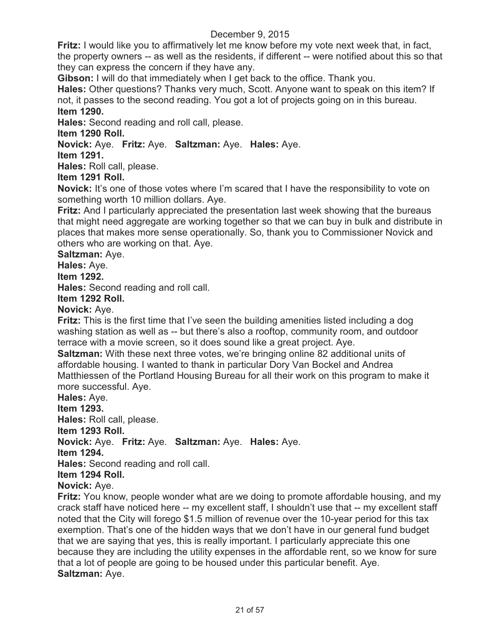**Fritz:** I would like you to affirmatively let me know before my vote next week that, in fact, the property owners -- as well as the residents, if different -- were notified about this so that they can express the concern if they have any.

**Gibson:** I will do that immediately when I get back to the office. Thank you.

**Hales:** Other questions? Thanks very much, Scott. Anyone want to speak on this item? If not, it passes to the second reading. You got a lot of projects going on in this bureau. **Item 1290.**

**Hales:** Second reading and roll call, please.

**Item 1290 Roll.**

### **Novick:** Aye. **Fritz:** Aye. **Saltzman:** Aye. **Hales:** Aye.

**Item 1291.**

**Hales:** Roll call, please.

**Item 1291 Roll.**

**Novick:** It's one of those votes where I'm scared that I have the responsibility to vote on something worth 10 million dollars. Aye.

**Fritz:** And I particularly appreciated the presentation last week showing that the bureaus that might need aggregate are working together so that we can buy in bulk and distribute in places that makes more sense operationally. So, thank you to Commissioner Novick and others who are working on that. Aye.

**Saltzman:** Aye.

**Hales:** Aye.

#### **Item 1292.**

**Hales:** Second reading and roll call.

### **Item 1292 Roll.**

**Novick:** Aye.

**Fritz:** This is the first time that I've seen the building amenities listed including a dog washing station as well as -- but there's also a rooftop, community room, and outdoor terrace with a movie screen, so it does sound like a great project. Aye.

**Saltzman:** With these next three votes, we're bringing online 82 additional units of affordable housing. I wanted to thank in particular Dory Van Bockel and Andrea Matthiessen of the Portland Housing Bureau for all their work on this program to make it more successful. Aye.

**Hales:** Aye.

**Item 1293.**

**Hales:** Roll call, please.

**Item 1293 Roll.**

**Novick:** Aye. **Fritz:** Aye. **Saltzman:** Aye. **Hales:** Aye.

**Item 1294.**

**Hales:** Second reading and roll call.

# **Item 1294 Roll.**

**Novick:** Aye.

**Fritz:** You know, people wonder what are we doing to promote affordable housing, and my crack staff have noticed here -- my excellent staff, I shouldn't use that -- my excellent staff noted that the City will forego \$1.5 million of revenue over the 10-year period for this tax exemption. That's one of the hidden ways that we don't have in our general fund budget that we are saying that yes, this is really important. I particularly appreciate this one because they are including the utility expenses in the affordable rent, so we know for sure that a lot of people are going to be housed under this particular benefit. Aye. **Saltzman:** Aye.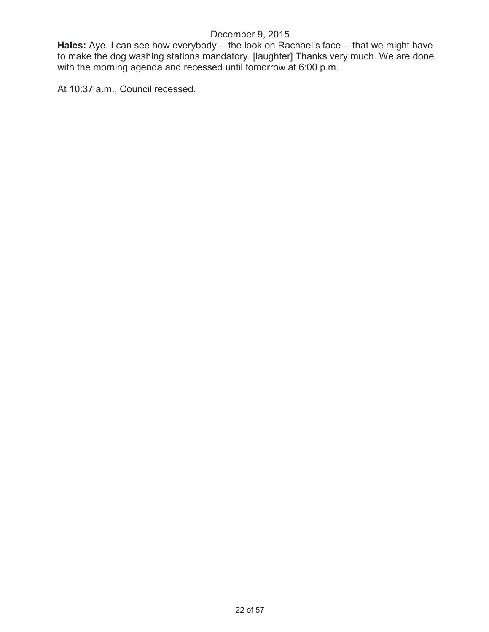**Hales:** Aye. I can see how everybody -- the look on Rachael's face -- that we might have to make the dog washing stations mandatory. [laughter] Thanks very much. We are done with the morning agenda and recessed until tomorrow at 6:00 p.m.

At 10:37 a.m., Council recessed.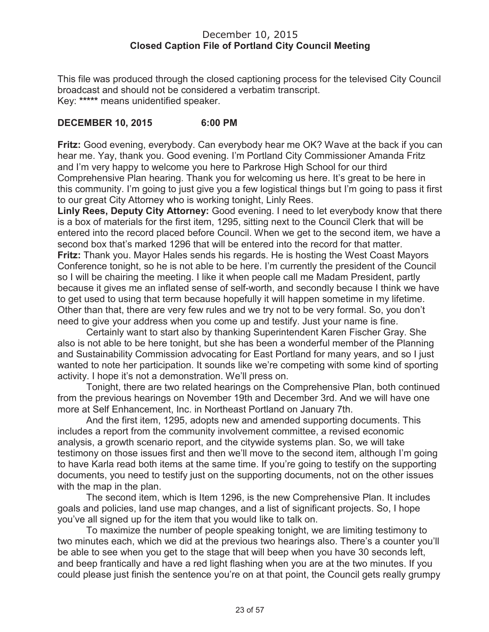### December 10, 2015 **Closed Caption File of Portland City Council Meeting**

This file was produced through the closed captioning process for the televised City Council broadcast and should not be considered a verbatim transcript. Key: **\*\*\*\*\*** means unidentified speaker.

### **DECEMBER 10, 2015 6:00 PM**

**Fritz:** Good evening, everybody. Can everybody hear me OK? Wave at the back if you can hear me. Yay, thank you. Good evening. I'm Portland City Commissioner Amanda Fritz and I'm very happy to welcome you here to Parkrose High School for our third Comprehensive Plan hearing. Thank you for welcoming us here. It's great to be here in this community. I'm going to just give you a few logistical things but I'm going to pass it first to our great City Attorney who is working tonight, Linly Rees.

**Linly Rees, Deputy City Attorney:** Good evening. I need to let everybody know that there is a box of materials for the first item, 1295, sitting next to the Council Clerk that will be entered into the record placed before Council. When we get to the second item, we have a second box that's marked 1296 that will be entered into the record for that matter. **Fritz:** Thank you. Mayor Hales sends his regards. He is hosting the West Coast Mayors Conference tonight, so he is not able to be here. I'm currently the president of the Council so I will be chairing the meeting. I like it when people call me Madam President, partly because it gives me an inflated sense of self-worth, and secondly because I think we have to get used to using that term because hopefully it will happen sometime in my lifetime. Other than that, there are very few rules and we try not to be very formal. So, you don't need to give your address when you come up and testify. Just your name is fine.

Certainly want to start also by thanking Superintendent Karen Fischer Gray. She also is not able to be here tonight, but she has been a wonderful member of the Planning and Sustainability Commission advocating for East Portland for many years, and so I just wanted to note her participation. It sounds like we're competing with some kind of sporting activity. I hope it's not a demonstration. We'll press on.

Tonight, there are two related hearings on the Comprehensive Plan, both continued from the previous hearings on November 19th and December 3rd. And we will have one more at Self Enhancement, Inc. in Northeast Portland on January 7th.

And the first item, 1295, adopts new and amended supporting documents. This includes a report from the community involvement committee, a revised economic analysis, a growth scenario report, and the citywide systems plan. So, we will take testimony on those issues first and then we'll move to the second item, although I'm going to have Karla read both items at the same time. If you're going to testify on the supporting documents, you need to testify just on the supporting documents, not on the other issues with the map in the plan.

The second item, which is Item 1296, is the new Comprehensive Plan. It includes goals and policies, land use map changes, and a list of significant projects. So, I hope you've all signed up for the item that you would like to talk on.

To maximize the number of people speaking tonight, we are limiting testimony to two minutes each, which we did at the previous two hearings also. There's a counter you'll be able to see when you get to the stage that will beep when you have 30 seconds left, and beep frantically and have a red light flashing when you are at the two minutes. If you could please just finish the sentence you're on at that point, the Council gets really grumpy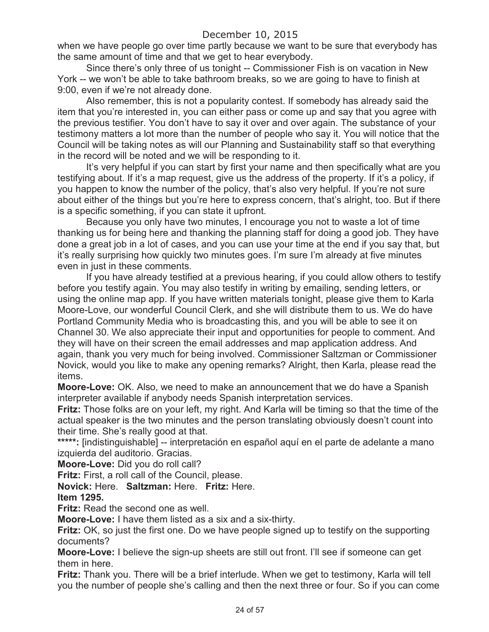when we have people go over time partly because we want to be sure that everybody has the same amount of time and that we get to hear everybody.

Since there's only three of us tonight -- Commissioner Fish is on vacation in New York -- we won't be able to take bathroom breaks, so we are going to have to finish at 9:00, even if we're not already done.

Also remember, this is not a popularity contest. If somebody has already said the item that you're interested in, you can either pass or come up and say that you agree with the previous testifier. You don't have to say it over and over again. The substance of your testimony matters a lot more than the number of people who say it. You will notice that the Council will be taking notes as will our Planning and Sustainability staff so that everything in the record will be noted and we will be responding to it.

It's very helpful if you can start by first your name and then specifically what are you testifying about. If it's a map request, give us the address of the property. If it's a policy, if you happen to know the number of the policy, that's also very helpful. If you're not sure about either of the things but you're here to express concern, that's alright, too. But if there is a specific something, if you can state it upfront.

Because you only have two minutes, I encourage you not to waste a lot of time thanking us for being here and thanking the planning staff for doing a good job. They have done a great job in a lot of cases, and you can use your time at the end if you say that, but it's really surprising how quickly two minutes goes. I'm sure I'm already at five minutes even in just in these comments.

If you have already testified at a previous hearing, if you could allow others to testify before you testify again. You may also testify in writing by emailing, sending letters, or using the online map app. If you have written materials tonight, please give them to Karla Moore-Love, our wonderful Council Clerk, and she will distribute them to us. We do have Portland Community Media who is broadcasting this, and you will be able to see it on Channel 30. We also appreciate their input and opportunities for people to comment. And they will have on their screen the email addresses and map application address. And again, thank you very much for being involved. Commissioner Saltzman or Commissioner Novick, would you like to make any opening remarks? Alright, then Karla, please read the items.

**Moore-Love:** OK. Also, we need to make an announcement that we do have a Spanish interpreter available if anybody needs Spanish interpretation services.

**Fritz:** Those folks are on your left, my right. And Karla will be timing so that the time of the actual speaker is the two minutes and the person translating obviously doesn't count into their time. She's really good at that.

\*\*\*\*\*: [indistinguishable] -- interpretación en español aquí en el parte de adelante a mano izquierda del auditorio. Gracias.

**Moore-Love:** Did you do roll call?

**Fritz:** First, a roll call of the Council, please.

**Novick:** Here. **Saltzman:** Here. **Fritz:** Here.

**Item 1295.**

**Fritz:** Read the second one as well.

**Moore-Love:** I have them listed as a six and a six-thirty.

**Fritz:** OK, so just the first one. Do we have people signed up to testify on the supporting documents?

**Moore-Love:** I believe the sign-up sheets are still out front. I'll see if someone can get them in here.

**Fritz:** Thank you. There will be a brief interlude. When we get to testimony, Karla will tell you the number of people she's calling and then the next three or four. So if you can come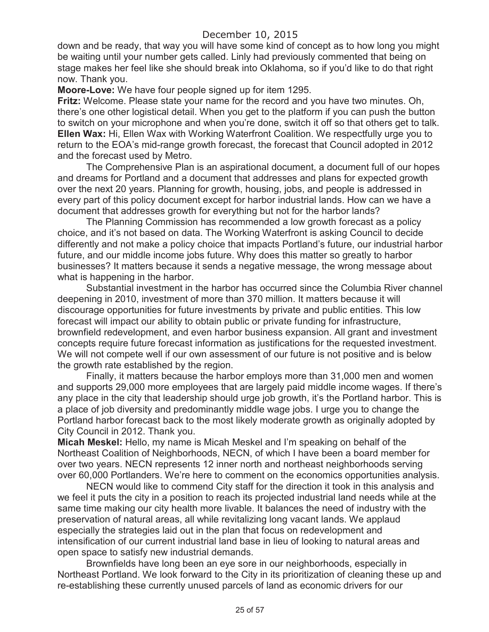down and be ready, that way you will have some kind of concept as to how long you might be waiting until your number gets called. Linly had previously commented that being on stage makes her feel like she should break into Oklahoma, so if you'd like to do that right now. Thank you.

**Moore-Love:** We have four people signed up for item 1295.

**Fritz:** Welcome. Please state your name for the record and you have two minutes. Oh, there's one other logistical detail. When you get to the platform if you can push the button to switch on your microphone and when you're done, switch it off so that others get to talk. **Ellen Wax:** Hi, Ellen Wax with Working Waterfront Coalition. We respectfully urge you to return to the EOA's mid-range growth forecast, the forecast that Council adopted in 2012 and the forecast used by Metro.

The Comprehensive Plan is an aspirational document, a document full of our hopes and dreams for Portland and a document that addresses and plans for expected growth over the next 20 years. Planning for growth, housing, jobs, and people is addressed in every part of this policy document except for harbor industrial lands. How can we have a document that addresses growth for everything but not for the harbor lands?

The Planning Commission has recommended a low growth forecast as a policy choice, and it's not based on data. The Working Waterfront is asking Council to decide differently and not make a policy choice that impacts Portland's future, our industrial harbor future, and our middle income jobs future. Why does this matter so greatly to harbor businesses? It matters because it sends a negative message, the wrong message about what is happening in the harbor.

Substantial investment in the harbor has occurred since the Columbia River channel deepening in 2010, investment of more than 370 million. It matters because it will discourage opportunities for future investments by private and public entities. This low forecast will impact our ability to obtain public or private funding for infrastructure, brownfield redevelopment, and even harbor business expansion. All grant and investment concepts require future forecast information as justifications for the requested investment. We will not compete well if our own assessment of our future is not positive and is below the growth rate established by the region.

Finally, it matters because the harbor employs more than 31,000 men and women and supports 29,000 more employees that are largely paid middle income wages. If there's any place in the city that leadership should urge job growth, it's the Portland harbor. This is a place of job diversity and predominantly middle wage jobs. I urge you to change the Portland harbor forecast back to the most likely moderate growth as originally adopted by City Council in 2012. Thank you.

**Micah Meskel:** Hello, my name is Micah Meskel and I'm speaking on behalf of the Northeast Coalition of Neighborhoods, NECN, of which I have been a board member for over two years. NECN represents 12 inner north and northeast neighborhoods serving over 60,000 Portlanders. We're here to comment on the economics opportunities analysis.

NECN would like to commend City staff for the direction it took in this analysis and we feel it puts the city in a position to reach its projected industrial land needs while at the same time making our city health more livable. It balances the need of industry with the preservation of natural areas, all while revitalizing long vacant lands. We applaud especially the strategies laid out in the plan that focus on redevelopment and intensification of our current industrial land base in lieu of looking to natural areas and open space to satisfy new industrial demands.

Brownfields have long been an eye sore in our neighborhoods, especially in Northeast Portland. We look forward to the City in its prioritization of cleaning these up and re-establishing these currently unused parcels of land as economic drivers for our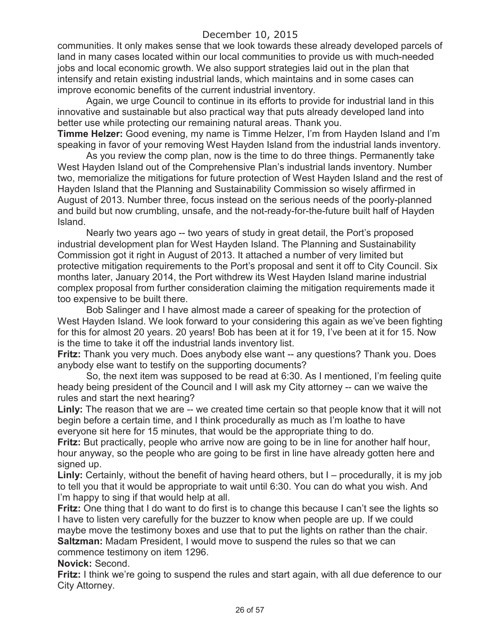communities. It only makes sense that we look towards these already developed parcels of land in many cases located within our local communities to provide us with much-needed jobs and local economic growth. We also support strategies laid out in the plan that intensify and retain existing industrial lands, which maintains and in some cases can improve economic benefits of the current industrial inventory.

Again, we urge Council to continue in its efforts to provide for industrial land in this innovative and sustainable but also practical way that puts already developed land into better use while protecting our remaining natural areas. Thank you.

**Timme Helzer:** Good evening, my name is Timme Helzer, I'm from Hayden Island and I'm speaking in favor of your removing West Hayden Island from the industrial lands inventory.

As you review the comp plan, now is the time to do three things. Permanently take West Hayden Island out of the Comprehensive Plan's industrial lands inventory. Number two, memorialize the mitigations for future protection of West Hayden Island and the rest of Hayden Island that the Planning and Sustainability Commission so wisely affirmed in August of 2013. Number three, focus instead on the serious needs of the poorly-planned and build but now crumbling, unsafe, and the not-ready-for-the-future built half of Hayden Island.

Nearly two years ago -- two years of study in great detail, the Port's proposed industrial development plan for West Hayden Island. The Planning and Sustainability Commission got it right in August of 2013. It attached a number of very limited but protective mitigation requirements to the Port's proposal and sent it off to City Council. Six months later, January 2014, the Port withdrew its West Hayden Island marine industrial complex proposal from further consideration claiming the mitigation requirements made it too expensive to be built there.

Bob Salinger and I have almost made a career of speaking for the protection of West Hayden Island. We look forward to your considering this again as we've been fighting for this for almost 20 years. 20 years! Bob has been at it for 19, I've been at it for 15. Now is the time to take it off the industrial lands inventory list.

**Fritz:** Thank you very much. Does anybody else want -- any questions? Thank you. Does anybody else want to testify on the supporting documents?

So, the next item was supposed to be read at 6:30. As I mentioned, I'm feeling quite heady being president of the Council and I will ask my City attorney -- can we waive the rules and start the next hearing?

**Linly:** The reason that we are -- we created time certain so that people know that it will not begin before a certain time, and I think procedurally as much as I'm loathe to have everyone sit here for 15 minutes, that would be the appropriate thing to do.

**Fritz:** But practically, people who arrive now are going to be in line for another half hour, hour anyway, so the people who are going to be first in line have already gotten here and signed up.

**Linly:** Certainly, without the benefit of having heard others, but I – procedurally, it is my job to tell you that it would be appropriate to wait until 6:30. You can do what you wish. And I'm happy to sing if that would help at all.

**Fritz:** One thing that I do want to do first is to change this because I can't see the lights so I have to listen very carefully for the buzzer to know when people are up. If we could maybe move the testimony boxes and use that to put the lights on rather than the chair. **Saltzman:** Madam President, I would move to suspend the rules so that we can commence testimony on item 1296.

**Novick:** Second.

**Fritz:** I think we're going to suspend the rules and start again, with all due deference to our City Attorney.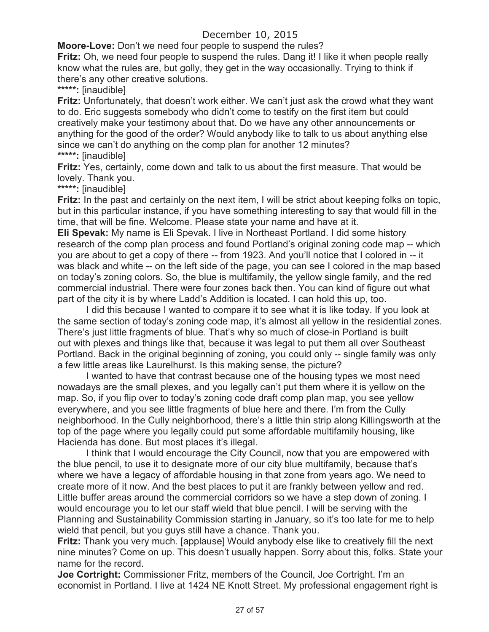**Moore-Love:** Don't we need four people to suspend the rules?

**Fritz:** Oh, we need four people to suspend the rules. Dang it! I like it when people really know what the rules are, but golly, they get in the way occasionally. Trying to think if there's any other creative solutions.

**\*\*\*\*\*:** [inaudible]

**Fritz:** Unfortunately, that doesn't work either. We can't just ask the crowd what they want to do. Eric suggests somebody who didn't come to testify on the first item but could creatively make your testimony about that. Do we have any other announcements or anything for the good of the order? Would anybody like to talk to us about anything else since we can't do anything on the comp plan for another 12 minutes? **\*\*\*\*\*:** [inaudible]

**Fritz:** Yes, certainly, come down and talk to us about the first measure. That would be lovely. Thank you.

**\*\*\*\*\*:** [inaudible]

**Fritz:** In the past and certainly on the next item, I will be strict about keeping folks on topic, but in this particular instance, if you have something interesting to say that would fill in the time, that will be fine. Welcome. Please state your name and have at it.

**Eli Spevak:** My name is Eli Spevak. I live in Northeast Portland. I did some history research of the comp plan process and found Portland's original zoning code map -- which you are about to get a copy of there -- from 1923. And you'll notice that I colored in -- it was black and white -- on the left side of the page, you can see I colored in the map based on today's zoning colors. So, the blue is multifamily, the yellow single family, and the red commercial industrial. There were four zones back then. You can kind of figure out what part of the city it is by where Ladd's Addition is located. I can hold this up, too.

I did this because I wanted to compare it to see what it is like today. If you look at the same section of today's zoning code map, it's almost all yellow in the residential zones. There's just little fragments of blue. That's why so much of close-in Portland is built out with plexes and things like that, because it was legal to put them all over Southeast Portland. Back in the original beginning of zoning, you could only -- single family was only a few little areas like Laurelhurst. Is this making sense, the picture?

I wanted to have that contrast because one of the housing types we most need nowadays are the small plexes, and you legally can't put them where it is yellow on the map. So, if you flip over to today's zoning code draft comp plan map, you see yellow everywhere, and you see little fragments of blue here and there. I'm from the Cully neighborhood. In the Cully neighborhood, there's a little thin strip along Killingsworth at the top of the page where you legally could put some affordable multifamily housing, like Hacienda has done. But most places it's illegal.

I think that I would encourage the City Council, now that you are empowered with the blue pencil, to use it to designate more of our city blue multifamily, because that's where we have a legacy of affordable housing in that zone from years ago. We need to create more of it now. And the best places to put it are frankly between yellow and red. Little buffer areas around the commercial corridors so we have a step down of zoning. I would encourage you to let our staff wield that blue pencil. I will be serving with the Planning and Sustainability Commission starting in January, so it's too late for me to help wield that pencil, but you guys still have a chance. Thank you.

**Fritz:** Thank you very much. [applause] Would anybody else like to creatively fill the next nine minutes? Come on up. This doesn't usually happen. Sorry about this, folks. State your name for the record.

**Joe Cortright:** Commissioner Fritz, members of the Council, Joe Cortright. I'm an economist in Portland. I live at 1424 NE Knott Street. My professional engagement right is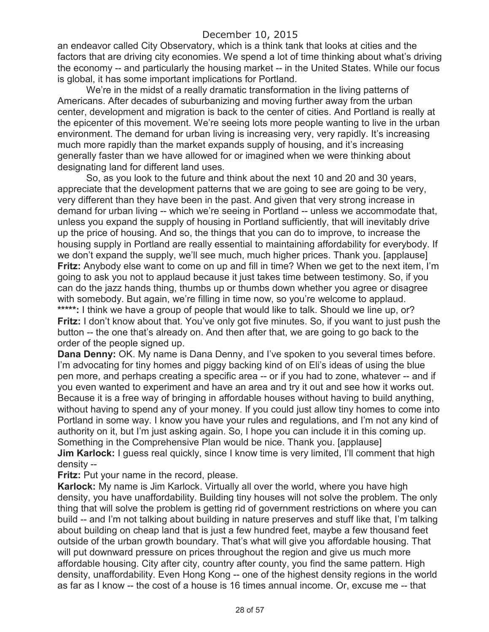an endeavor called City Observatory, which is a think tank that looks at cities and the factors that are driving city economies. We spend a lot of time thinking about what's driving the economy -- and particularly the housing market -- in the United States. While our focus is global, it has some important implications for Portland.

We're in the midst of a really dramatic transformation in the living patterns of Americans. After decades of suburbanizing and moving further away from the urban center, development and migration is back to the center of cities. And Portland is really at the epicenter of this movement. We're seeing lots more people wanting to live in the urban environment. The demand for urban living is increasing very, very rapidly. It's increasing much more rapidly than the market expands supply of housing, and it's increasing generally faster than we have allowed for or imagined when we were thinking about designating land for different land uses.

So, as you look to the future and think about the next 10 and 20 and 30 years, appreciate that the development patterns that we are going to see are going to be very, very different than they have been in the past. And given that very strong increase in demand for urban living -- which we're seeing in Portland -- unless we accommodate that, unless you expand the supply of housing in Portland sufficiently, that will inevitably drive up the price of housing. And so, the things that you can do to improve, to increase the housing supply in Portland are really essential to maintaining affordability for everybody. If we don't expand the supply, we'll see much, much higher prices. Thank you. [applause] **Fritz:** Anybody else want to come on up and fill in time? When we get to the next item, I'm going to ask you not to applaud because it just takes time between testimony. So, if you can do the jazz hands thing, thumbs up or thumbs down whether you agree or disagree with somebody. But again, we're filling in time now, so you're welcome to applaud. **\*\*\*\*\*:** I think we have a group of people that would like to talk. Should we line up, or? **Fritz:** I don't know about that. You've only got five minutes. So, if you want to just push the button -- the one that's already on. And then after that, we are going to go back to the order of the people signed up.

**Dana Denny:** OK. My name is Dana Denny, and I've spoken to you several times before. I'm advocating for tiny homes and piggy backing kind of on Eli's ideas of using the blue pen more, and perhaps creating a specific area -- or if you had to zone, whatever -- and if you even wanted to experiment and have an area and try it out and see how it works out. Because it is a free way of bringing in affordable houses without having to build anything, without having to spend any of your money. If you could just allow tiny homes to come into Portland in some way. I know you have your rules and regulations, and I'm not any kind of authority on it, but I'm just asking again. So, I hope you can include it in this coming up. Something in the Comprehensive Plan would be nice. Thank you. [applause] **Jim Karlock:** I guess real quickly, since I know time is very limited, I'll comment that high density --

**Fritz:** Put your name in the record, please.

**Karlock:** My name is Jim Karlock. Virtually all over the world, where you have high density, you have unaffordability. Building tiny houses will not solve the problem. The only thing that will solve the problem is getting rid of government restrictions on where you can build -- and I'm not talking about building in nature preserves and stuff like that, I'm talking about building on cheap land that is just a few hundred feet, maybe a few thousand feet outside of the urban growth boundary. That's what will give you affordable housing. That will put downward pressure on prices throughout the region and give us much more affordable housing. City after city, country after county, you find the same pattern. High density, unaffordability. Even Hong Kong -- one of the highest density regions in the world as far as I know -- the cost of a house is 16 times annual income. Or, excuse me -- that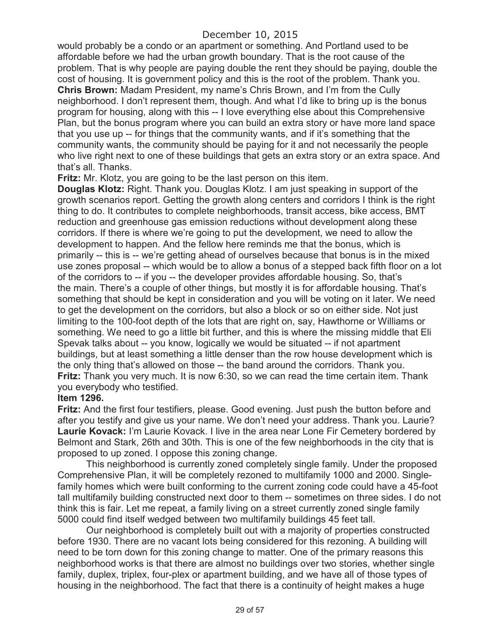would probably be a condo or an apartment or something. And Portland used to be affordable before we had the urban growth boundary. That is the root cause of the problem. That is why people are paying double the rent they should be paying, double the cost of housing. It is government policy and this is the root of the problem. Thank you. **Chris Brown:** Madam President, my name's Chris Brown, and I'm from the Cully neighborhood. I don't represent them, though. And what I'd like to bring up is the bonus program for housing, along with this -- I love everything else about this Comprehensive Plan, but the bonus program where you can build an extra story or have more land space that you use up -- for things that the community wants, and if it's something that the community wants, the community should be paying for it and not necessarily the people who live right next to one of these buildings that gets an extra story or an extra space. And that's all. Thanks.

**Fritz:** Mr. Klotz, you are going to be the last person on this item.

**Douglas Klotz:** Right. Thank you. Douglas Klotz. I am just speaking in support of the growth scenarios report. Getting the growth along centers and corridors I think is the right thing to do. It contributes to complete neighborhoods, transit access, bike access, BMT reduction and greenhouse gas emission reductions without development along these corridors. If there is where we're going to put the development, we need to allow the development to happen. And the fellow here reminds me that the bonus, which is primarily -- this is -- we're getting ahead of ourselves because that bonus is in the mixed use zones proposal -- which would be to allow a bonus of a stepped back fifth floor on a lot of the corridors to -- if you -- the developer provides affordable housing. So, that's the main. There's a couple of other things, but mostly it is for affordable housing. That's something that should be kept in consideration and you will be voting on it later. We need to get the development on the corridors, but also a block or so on either side. Not just limiting to the 100-foot depth of the lots that are right on, say, Hawthorne or Williams or something. We need to go a little bit further, and this is where the missing middle that Eli Spevak talks about -- you know, logically we would be situated -- if not apartment buildings, but at least something a little denser than the row house development which is the only thing that's allowed on those -- the band around the corridors. Thank you. **Fritz:** Thank you very much. It is now 6:30, so we can read the time certain item. Thank you everybody who testified.

### **Item 1296.**

**Fritz:** And the first four testifiers, please. Good evening. Just push the button before and after you testify and give us your name. We don't need your address. Thank you. Laurie? **Laurie Kovack:** I'm Laurie Kovack. I live in the area near Lone Fir Cemetery bordered by Belmont and Stark, 26th and 30th. This is one of the few neighborhoods in the city that is proposed to up zoned. I oppose this zoning change.

This neighborhood is currently zoned completely single family. Under the proposed Comprehensive Plan, it will be completely rezoned to multifamily 1000 and 2000. Singlefamily homes which were built conforming to the current zoning code could have a 45-foot tall multifamily building constructed next door to them -- sometimes on three sides. I do not think this is fair. Let me repeat, a family living on a street currently zoned single family 5000 could find itself wedged between two multifamily buildings 45 feet tall.

Our neighborhood is completely built out with a majority of properties constructed before 1930. There are no vacant lots being considered for this rezoning. A building will need to be torn down for this zoning change to matter. One of the primary reasons this neighborhood works is that there are almost no buildings over two stories, whether single family, duplex, triplex, four-plex or apartment building, and we have all of those types of housing in the neighborhood. The fact that there is a continuity of height makes a huge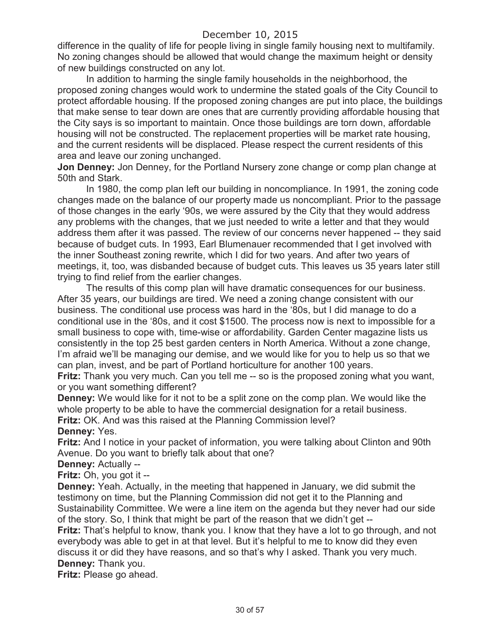difference in the quality of life for people living in single family housing next to multifamily. No zoning changes should be allowed that would change the maximum height or density of new buildings constructed on any lot.

In addition to harming the single family households in the neighborhood, the proposed zoning changes would work to undermine the stated goals of the City Council to protect affordable housing. If the proposed zoning changes are put into place, the buildings that make sense to tear down are ones that are currently providing affordable housing that the City says is so important to maintain. Once those buildings are torn down, affordable housing will not be constructed. The replacement properties will be market rate housing, and the current residents will be displaced. Please respect the current residents of this area and leave our zoning unchanged.

**Jon Denney:** Jon Denney, for the Portland Nursery zone change or comp plan change at 50th and Stark.

In 1980, the comp plan left our building in noncompliance. In 1991, the zoning code changes made on the balance of our property made us noncompliant. Prior to the passage of those changes in the early '90s, we were assured by the City that they would address any problems with the changes, that we just needed to write a letter and that they would address them after it was passed. The review of our concerns never happened -- they said because of budget cuts. In 1993, Earl Blumenauer recommended that I get involved with the inner Southeast zoning rewrite, which I did for two years. And after two years of meetings, it, too, was disbanded because of budget cuts. This leaves us 35 years later still trying to find relief from the earlier changes.

The results of this comp plan will have dramatic consequences for our business. After 35 years, our buildings are tired. We need a zoning change consistent with our business. The conditional use process was hard in the '80s, but I did manage to do a conditional use in the '80s, and it cost \$1500. The process now is next to impossible for a small business to cope with, time-wise or affordability. Garden Center magazine lists us consistently in the top 25 best garden centers in North America. Without a zone change, I'm afraid we'll be managing our demise, and we would like for you to help us so that we can plan, invest, and be part of Portland horticulture for another 100 years.

**Fritz:** Thank you very much. Can you tell me -- so is the proposed zoning what you want, or you want something different?

**Denney:** We would like for it not to be a split zone on the comp plan. We would like the whole property to be able to have the commercial designation for a retail business. **Fritz:** OK. And was this raised at the Planning Commission level?

### **Denney:** Yes.

**Fritz:** And I notice in your packet of information, you were talking about Clinton and 90th Avenue. Do you want to briefly talk about that one?

### **Denney:** Actually --

**Fritz:** Oh, you got it --

**Denney:** Yeah. Actually, in the meeting that happened in January, we did submit the testimony on time, but the Planning Commission did not get it to the Planning and Sustainability Committee. We were a line item on the agenda but they never had our side of the story. So, I think that might be part of the reason that we didn't get --

**Fritz:** That's helpful to know, thank you. I know that they have a lot to go through, and not everybody was able to get in at that level. But it's helpful to me to know did they even discuss it or did they have reasons, and so that's why I asked. Thank you very much. **Denney:** Thank you.

**Fritz:** Please go ahead.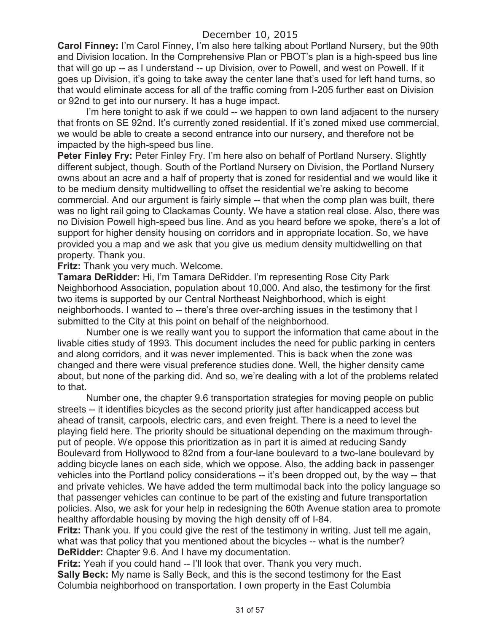**Carol Finney:** I'm Carol Finney, I'm also here talking about Portland Nursery, but the 90th and Division location. In the Comprehensive Plan or PBOT's plan is a high-speed bus line that will go up -- as I understand -- up Division, over to Powell, and west on Powell. If it goes up Division, it's going to take away the center lane that's used for left hand turns, so that would eliminate access for all of the traffic coming from I-205 further east on Division or 92nd to get into our nursery. It has a huge impact.

I'm here tonight to ask if we could -- we happen to own land adjacent to the nursery that fronts on SE 92nd. It's currently zoned residential. If it's zoned mixed use commercial, we would be able to create a second entrance into our nursery, and therefore not be impacted by the high-speed bus line.

**Peter Finley Fry:** Peter Finley Fry. I'm here also on behalf of Portland Nursery. Slightly different subject, though. South of the Portland Nursery on Division, the Portland Nursery owns about an acre and a half of property that is zoned for residential and we would like it to be medium density multidwelling to offset the residential we're asking to become commercial. And our argument is fairly simple -- that when the comp plan was built, there was no light rail going to Clackamas County. We have a station real close. Also, there was no Division Powell high-speed bus line. And as you heard before we spoke, there's a lot of support for higher density housing on corridors and in appropriate location. So, we have provided you a map and we ask that you give us medium density multidwelling on that property. Thank you.

**Fritz:** Thank you very much. Welcome.

**Tamara DeRidder:** Hi, I'm Tamara DeRidder. I'm representing Rose City Park Neighborhood Association, population about 10,000. And also, the testimony for the first two items is supported by our Central Northeast Neighborhood, which is eight neighborhoods. I wanted to -- there's three over-arching issues in the testimony that I submitted to the City at this point on behalf of the neighborhood.

Number one is we really want you to support the information that came about in the livable cities study of 1993. This document includes the need for public parking in centers and along corridors, and it was never implemented. This is back when the zone was changed and there were visual preference studies done. Well, the higher density came about, but none of the parking did. And so, we're dealing with a lot of the problems related to that.

Number one, the chapter 9.6 transportation strategies for moving people on public streets -- it identifies bicycles as the second priority just after handicapped access but ahead of transit, carpools, electric cars, and even freight. There is a need to level the playing field here. The priority should be situational depending on the maximum throughput of people. We oppose this prioritization as in part it is aimed at reducing Sandy Boulevard from Hollywood to 82nd from a four-lane boulevard to a two-lane boulevard by adding bicycle lanes on each side, which we oppose. Also, the adding back in passenger vehicles into the Portland policy considerations -- it's been dropped out, by the way -- that and private vehicles. We have added the term multimodal back into the policy language so that passenger vehicles can continue to be part of the existing and future transportation policies. Also, we ask for your help in redesigning the 60th Avenue station area to promote healthy affordable housing by moving the high density off of I-84.

**Fritz:** Thank you. If you could give the rest of the testimony in writing. Just tell me again, what was that policy that you mentioned about the bicycles -- what is the number? **DeRidder:** Chapter 9.6. And I have my documentation.

**Fritz:** Yeah if you could hand -- I'll look that over. Thank you very much. **Sally Beck:** My name is Sally Beck, and this is the second testimony for the East Columbia neighborhood on transportation. I own property in the East Columbia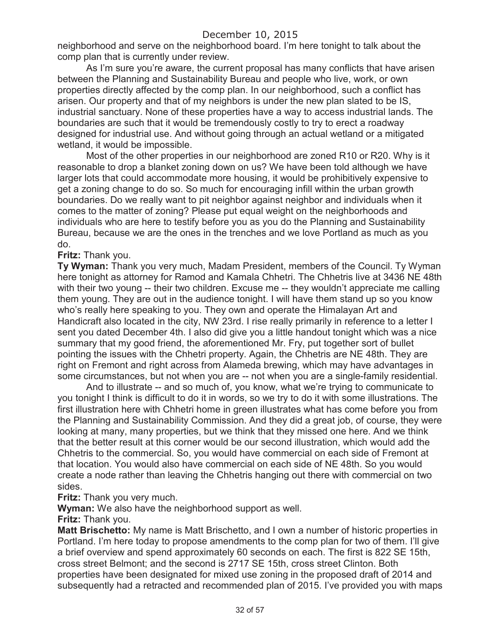neighborhood and serve on the neighborhood board. I'm here tonight to talk about the comp plan that is currently under review.

As I'm sure you're aware, the current proposal has many conflicts that have arisen between the Planning and Sustainability Bureau and people who live, work, or own properties directly affected by the comp plan. In our neighborhood, such a conflict has arisen. Our property and that of my neighbors is under the new plan slated to be IS, industrial sanctuary. None of these properties have a way to access industrial lands. The boundaries are such that it would be tremendously costly to try to erect a roadway designed for industrial use. And without going through an actual wetland or a mitigated wetland, it would be impossible.

Most of the other properties in our neighborhood are zoned R10 or R20. Why is it reasonable to drop a blanket zoning down on us? We have been told although we have larger lots that could accommodate more housing, it would be prohibitively expensive to get a zoning change to do so. So much for encouraging infill within the urban growth boundaries. Do we really want to pit neighbor against neighbor and individuals when it comes to the matter of zoning? Please put equal weight on the neighborhoods and individuals who are here to testify before you as you do the Planning and Sustainability Bureau, because we are the ones in the trenches and we love Portland as much as you do.

### **Fritz:** Thank you.

**Ty Wyman:** Thank you very much, Madam President, members of the Council. Ty Wyman here tonight as attorney for Ramod and Kamala Chhetri. The Chhetris live at 3436 NE 48th with their two young -- their two children. Excuse me -- they wouldn't appreciate me calling them young. They are out in the audience tonight. I will have them stand up so you know who's really here speaking to you. They own and operate the Himalayan Art and Handicraft also located in the city, NW 23rd. I rise really primarily in reference to a letter I sent you dated December 4th. I also did give you a little handout tonight which was a nice summary that my good friend, the aforementioned Mr. Fry, put together sort of bullet pointing the issues with the Chhetri property. Again, the Chhetris are NE 48th. They are right on Fremont and right across from Alameda brewing, which may have advantages in some circumstances, but not when you are -- not when you are a single-family residential.

And to illustrate -- and so much of, you know, what we're trying to communicate to you tonight I think is difficult to do it in words, so we try to do it with some illustrations. The first illustration here with Chhetri home in green illustrates what has come before you from the Planning and Sustainability Commission. And they did a great job, of course, they were looking at many, many properties, but we think that they missed one here. And we think that the better result at this corner would be our second illustration, which would add the Chhetris to the commercial. So, you would have commercial on each side of Fremont at that location. You would also have commercial on each side of NE 48th. So you would create a node rather than leaving the Chhetris hanging out there with commercial on two sides.

**Fritz:** Thank you very much.

**Wyman:** We also have the neighborhood support as well.

**Fritz:** Thank you.

**Matt Brischetto:** My name is Matt Brischetto, and I own a number of historic properties in Portland. I'm here today to propose amendments to the comp plan for two of them. I'll give a brief overview and spend approximately 60 seconds on each. The first is 822 SE 15th, cross street Belmont; and the second is 2717 SE 15th, cross street Clinton. Both properties have been designated for mixed use zoning in the proposed draft of 2014 and subsequently had a retracted and recommended plan of 2015. I've provided you with maps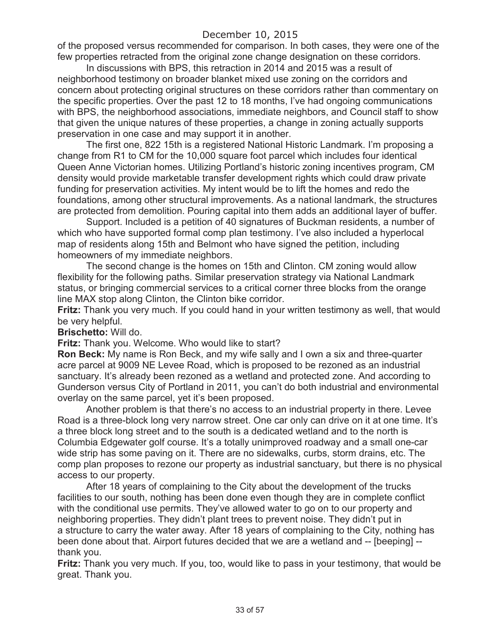of the proposed versus recommended for comparison. In both cases, they were one of the few properties retracted from the original zone change designation on these corridors.

In discussions with BPS, this retraction in 2014 and 2015 was a result of neighborhood testimony on broader blanket mixed use zoning on the corridors and concern about protecting original structures on these corridors rather than commentary on the specific properties. Over the past 12 to 18 months, I've had ongoing communications with BPS, the neighborhood associations, immediate neighbors, and Council staff to show that given the unique natures of these properties, a change in zoning actually supports preservation in one case and may support it in another.

The first one, 822 15th is a registered National Historic Landmark. I'm proposing a change from R1 to CM for the 10,000 square foot parcel which includes four identical Queen Anne Victorian homes. Utilizing Portland's historic zoning incentives program, CM density would provide marketable transfer development rights which could draw private funding for preservation activities. My intent would be to lift the homes and redo the foundations, among other structural improvements. As a national landmark, the structures are protected from demolition. Pouring capital into them adds an additional layer of buffer.

Support. Included is a petition of 40 signatures of Buckman residents, a number of which who have supported formal comp plan testimony. I've also included a hyperlocal map of residents along 15th and Belmont who have signed the petition, including homeowners of my immediate neighbors.

The second change is the homes on 15th and Clinton. CM zoning would allow flexibility for the following paths. Similar preservation strategy via National Landmark status, or bringing commercial services to a critical corner three blocks from the orange line MAX stop along Clinton, the Clinton bike corridor.

**Fritz:** Thank you very much. If you could hand in your written testimony as well, that would be very helpful.

**Brischetto:** Will do.

**Fritz:** Thank you. Welcome. Who would like to start?

**Ron Beck:** My name is Ron Beck, and my wife sally and I own a six and three-quarter acre parcel at 9009 NE Levee Road, which is proposed to be rezoned as an industrial sanctuary. It's already been rezoned as a wetland and protected zone. And according to Gunderson versus City of Portland in 2011, you can't do both industrial and environmental overlay on the same parcel, yet it's been proposed.

Another problem is that there's no access to an industrial property in there. Levee Road is a three-block long very narrow street. One car only can drive on it at one time. It's a three block long street and to the south is a dedicated wetland and to the north is Columbia Edgewater golf course. It's a totally unimproved roadway and a small one-car wide strip has some paving on it. There are no sidewalks, curbs, storm drains, etc. The comp plan proposes to rezone our property as industrial sanctuary, but there is no physical access to our property.

After 18 years of complaining to the City about the development of the trucks facilities to our south, nothing has been done even though they are in complete conflict with the conditional use permits. They've allowed water to go on to our property and neighboring properties. They didn't plant trees to prevent noise. They didn't put in a structure to carry the water away. After 18 years of complaining to the City, nothing has been done about that. Airport futures decided that we are a wetland and -- [beeping] - thank you.

**Fritz:** Thank you very much. If you, too, would like to pass in your testimony, that would be great. Thank you.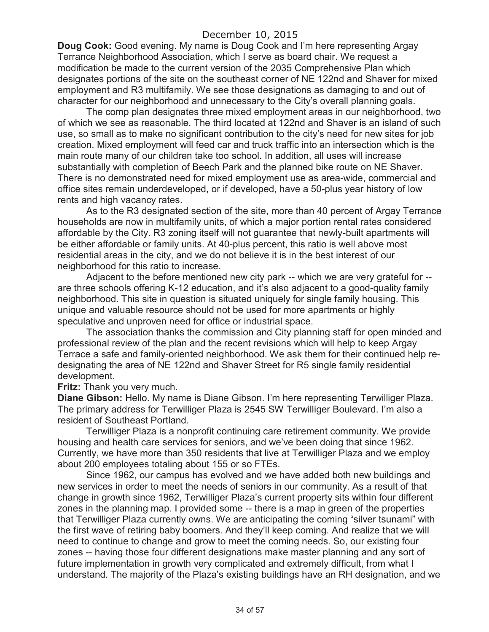**Doug Cook:** Good evening. My name is Doug Cook and I'm here representing Argay Terrance Neighborhood Association, which I serve as board chair. We request a modification be made to the current version of the 2035 Comprehensive Plan which designates portions of the site on the southeast corner of NE 122nd and Shaver for mixed employment and R3 multifamily. We see those designations as damaging to and out of character for our neighborhood and unnecessary to the City's overall planning goals.

The comp plan designates three mixed employment areas in our neighborhood, two of which we see as reasonable. The third located at 122nd and Shaver is an island of such use, so small as to make no significant contribution to the city's need for new sites for job creation. Mixed employment will feed car and truck traffic into an intersection which is the main route many of our children take too school. In addition, all uses will increase substantially with completion of Beech Park and the planned bike route on NE Shaver. There is no demonstrated need for mixed employment use as area-wide, commercial and office sites remain underdeveloped, or if developed, have a 50-plus year history of low rents and high vacancy rates.

As to the R3 designated section of the site, more than 40 percent of Argay Terrance households are now in multifamily units, of which a major portion rental rates considered affordable by the City. R3 zoning itself will not guarantee that newly-built apartments will be either affordable or family units. At 40-plus percent, this ratio is well above most residential areas in the city, and we do not believe it is in the best interest of our neighborhood for this ratio to increase.

Adjacent to the before mentioned new city park -- which we are very grateful for - are three schools offering K-12 education, and it's also adjacent to a good-quality family neighborhood. This site in question is situated uniquely for single family housing. This unique and valuable resource should not be used for more apartments or highly speculative and unproven need for office or industrial space.

The association thanks the commission and City planning staff for open minded and professional review of the plan and the recent revisions which will help to keep Argay Terrace a safe and family-oriented neighborhood. We ask them for their continued help redesignating the area of NE 122nd and Shaver Street for R5 single family residential development.

**Fritz:** Thank you very much.

**Diane Gibson:** Hello. My name is Diane Gibson. I'm here representing Terwilliger Plaza. The primary address for Terwilliger Plaza is 2545 SW Terwilliger Boulevard. I'm also a resident of Southeast Portland.

Terwilliger Plaza is a nonprofit continuing care retirement community. We provide housing and health care services for seniors, and we've been doing that since 1962. Currently, we have more than 350 residents that live at Terwilliger Plaza and we employ about 200 employees totaling about 155 or so FTEs.

Since 1962, our campus has evolved and we have added both new buildings and new services in order to meet the needs of seniors in our community. As a result of that change in growth since 1962, Terwilliger Plaza's current property sits within four different zones in the planning map. I provided some -- there is a map in green of the properties that Terwilliger Plaza currently owns. We are anticipating the coming "silver tsunami" with the first wave of retiring baby boomers. And they'll keep coming. And realize that we will need to continue to change and grow to meet the coming needs. So, our existing four zones -- having those four different designations make master planning and any sort of future implementation in growth very complicated and extremely difficult, from what I understand. The majority of the Plaza's existing buildings have an RH designation, and we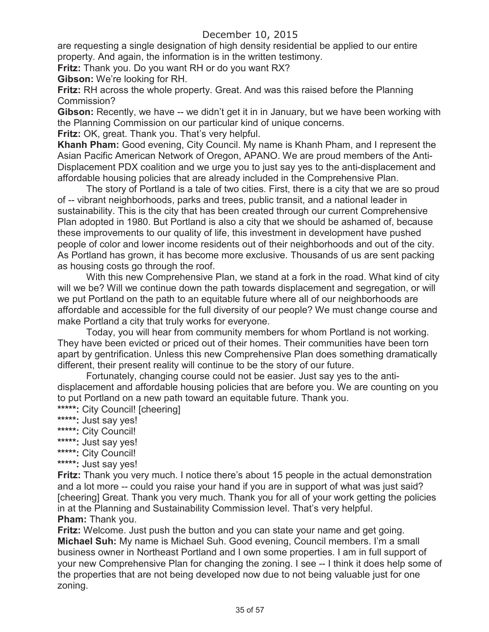are requesting a single designation of high density residential be applied to our entire property. And again, the information is in the written testimony.

**Fritz:** Thank you. Do you want RH or do you want RX?

**Gibson:** We're looking for RH.

**Fritz:** RH across the whole property. Great. And was this raised before the Planning Commission?

**Gibson:** Recently, we have -- we didn't get it in in January, but we have been working with the Planning Commission on our particular kind of unique concerns.

**Fritz:** OK, great. Thank you. That's very helpful.

**Khanh Pham:** Good evening, City Council. My name is Khanh Pham, and I represent the Asian Pacific American Network of Oregon, APANO. We are proud members of the Anti-Displacement PDX coalition and we urge you to just say yes to the anti-displacement and affordable housing policies that are already included in the Comprehensive Plan.

The story of Portland is a tale of two cities. First, there is a city that we are so proud of -- vibrant neighborhoods, parks and trees, public transit, and a national leader in sustainability. This is the city that has been created through our current Comprehensive Plan adopted in 1980. But Portland is also a city that we should be ashamed of, because these improvements to our quality of life, this investment in development have pushed people of color and lower income residents out of their neighborhoods and out of the city. As Portland has grown, it has become more exclusive. Thousands of us are sent packing as housing costs go through the roof.

With this new Comprehensive Plan, we stand at a fork in the road. What kind of city will we be? Will we continue down the path towards displacement and segregation, or will we put Portland on the path to an equitable future where all of our neighborhoods are affordable and accessible for the full diversity of our people? We must change course and make Portland a city that truly works for everyone.

Today, you will hear from community members for whom Portland is not working. They have been evicted or priced out of their homes. Their communities have been torn apart by gentrification. Unless this new Comprehensive Plan does something dramatically different, their present reality will continue to be the story of our future.

Fortunately, changing course could not be easier. Just say yes to the antidisplacement and affordable housing policies that are before you. We are counting on you to put Portland on a new path toward an equitable future. Thank you.

**\*\*\*\*\*:** City Council! [cheering]

- **\*\*\*\*\*:** Just say yes!
- **\*\*\*\*\*:** City Council!
- **\*\*\*\*\*:** Just say yes!
- **\*\*\*\*\*:** City Council!
- **\*\*\*\*\*:** Just say yes!

**Fritz:** Thank you very much. I notice there's about 15 people in the actual demonstration and a lot more -- could you raise your hand if you are in support of what was just said? [cheering] Great. Thank you very much. Thank you for all of your work getting the policies in at the Planning and Sustainability Commission level. That's very helpful. **Pham:** Thank you.

**Fritz:** Welcome. Just push the button and you can state your name and get going. **Michael Suh:** My name is Michael Suh. Good evening, Council members. I'm a small business owner in Northeast Portland and I own some properties. I am in full support of your new Comprehensive Plan for changing the zoning. I see -- I think it does help some of the properties that are not being developed now due to not being valuable just for one zoning.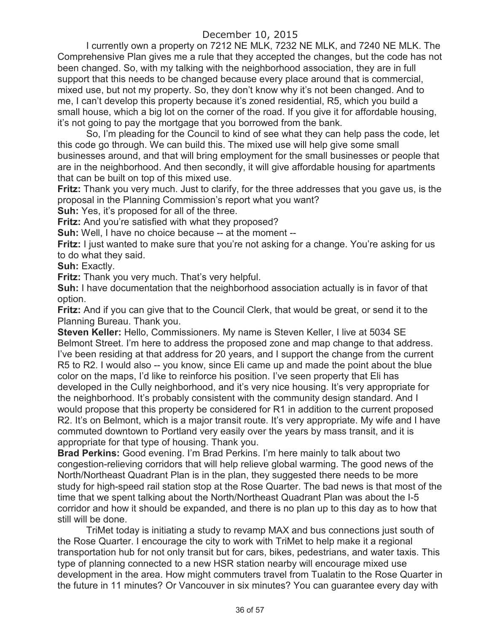I currently own a property on 7212 NE MLK, 7232 NE MLK, and 7240 NE MLK. The Comprehensive Plan gives me a rule that they accepted the changes, but the code has not been changed. So, with my talking with the neighborhood association, they are in full support that this needs to be changed because every place around that is commercial, mixed use, but not my property. So, they don't know why it's not been changed. And to me, I can't develop this property because it's zoned residential, R5, which you build a small house, which a big lot on the corner of the road. If you give it for affordable housing, it's not going to pay the mortgage that you borrowed from the bank.

So, I'm pleading for the Council to kind of see what they can help pass the code, let this code go through. We can build this. The mixed use will help give some small businesses around, and that will bring employment for the small businesses or people that are in the neighborhood. And then secondly, it will give affordable housing for apartments that can be built on top of this mixed use.

**Fritz:** Thank you very much. Just to clarify, for the three addresses that you gave us, is the proposal in the Planning Commission's report what you want?

**Suh:** Yes, it's proposed for all of the three.

**Fritz:** And you're satisfied with what they proposed?

**Suh:** Well, I have no choice because -- at the moment --

**Fritz:** I just wanted to make sure that you're not asking for a change. You're asking for us to do what they said.

**Suh:** Exactly.

**Fritz:** Thank you very much. That's very helpful.

**Suh:** I have documentation that the neighborhood association actually is in favor of that option.

**Fritz:** And if you can give that to the Council Clerk, that would be great, or send it to the Planning Bureau. Thank you.

**Steven Keller:** Hello, Commissioners. My name is Steven Keller, I live at 5034 SE Belmont Street. I'm here to address the proposed zone and map change to that address. I've been residing at that address for 20 years, and I support the change from the current R5 to R2. I would also -- you know, since Eli came up and made the point about the blue color on the maps, I'd like to reinforce his position. I've seen property that Eli has developed in the Cully neighborhood, and it's very nice housing. It's very appropriate for the neighborhood. It's probably consistent with the community design standard. And I would propose that this property be considered for R1 in addition to the current proposed R2. It's on Belmont, which is a major transit route. It's very appropriate. My wife and I have commuted downtown to Portland very easily over the years by mass transit, and it is appropriate for that type of housing. Thank you.

**Brad Perkins:** Good evening. I'm Brad Perkins. I'm here mainly to talk about two congestion-relieving corridors that will help relieve global warming. The good news of the North/Northeast Quadrant Plan is in the plan, they suggested there needs to be more study for high-speed rail station stop at the Rose Quarter. The bad news is that most of the time that we spent talking about the North/Northeast Quadrant Plan was about the I-5 corridor and how it should be expanded, and there is no plan up to this day as to how that still will be done.

TriMet today is initiating a study to revamp MAX and bus connections just south of the Rose Quarter. I encourage the city to work with TriMet to help make it a regional transportation hub for not only transit but for cars, bikes, pedestrians, and water taxis. This type of planning connected to a new HSR station nearby will encourage mixed use development in the area. How might commuters travel from Tualatin to the Rose Quarter in the future in 11 minutes? Or Vancouver in six minutes? You can guarantee every day with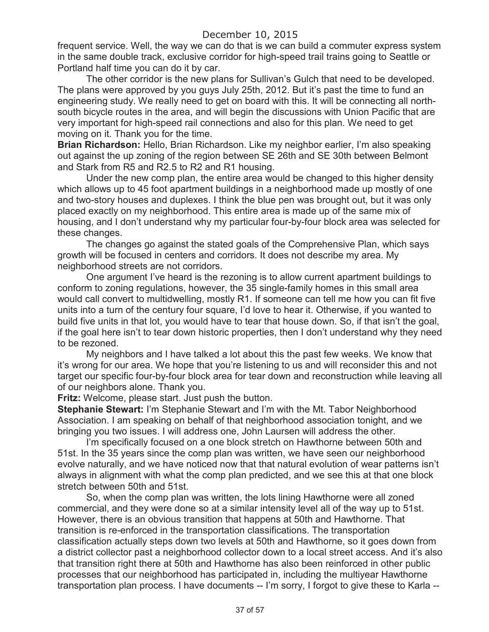frequent service. Well, the way we can do that is we can build a commuter express system in the same double track, exclusive corridor for high-speed trail trains going to Seattle or Portland half time you can do it by car.

The other corridor is the new plans for Sullivan's Gulch that need to be developed. The plans were approved by you guys July 25th, 2012. But it's past the time to fund an engineering study. We really need to get on board with this. It will be connecting all northsouth bicycle routes in the area, and will begin the discussions with Union Pacific that are very important for high-speed rail connections and also for this plan. We need to get moving on it. Thank you for the time.

**Brian Richardson:** Hello, Brian Richardson. Like my neighbor earlier, I'm also speaking out against the up zoning of the region between SE 26th and SE 30th between Belmont and Stark from R5 and R2.5 to R2 and R1 housing.

Under the new comp plan, the entire area would be changed to this higher density which allows up to 45 foot apartment buildings in a neighborhood made up mostly of one and two-story houses and duplexes. I think the blue pen was brought out, but it was only placed exactly on my neighborhood. This entire area is made up of the same mix of housing, and I don't understand why my particular four-by-four block area was selected for these changes.

The changes go against the stated goals of the Comprehensive Plan, which says growth will be focused in centers and corridors. It does not describe my area. My neighborhood streets are not corridors.

One argument I've heard is the rezoning is to allow current apartment buildings to conform to zoning regulations, however, the 35 single-family homes in this small area would call convert to multidwelling, mostly R1. If someone can tell me how you can fit five units into a turn of the century four square, I'd love to hear it. Otherwise, if you wanted to build five units in that lot, you would have to tear that house down. So, if that isn't the goal, if the goal here isn't to tear down historic properties, then I don't understand why they need to be rezoned.

My neighbors and I have talked a lot about this the past few weeks. We know that it's wrong for our area. We hope that you're listening to us and will reconsider this and not target our specific four-by-four block area for tear down and reconstruction while leaving all of our neighbors alone. Thank you.

**Fritz:** Welcome, please start. Just push the button.

**Stephanie Stewart:** I'm Stephanie Stewart and I'm with the Mt. Tabor Neighborhood Association. I am speaking on behalf of that neighborhood association tonight, and we bringing you two issues. I will address one, John Laursen will address the other.

I'm specifically focused on a one block stretch on Hawthorne between 50th and 51st. In the 35 years since the comp plan was written, we have seen our neighborhood evolve naturally, and we have noticed now that that natural evolution of wear patterns isn't always in alignment with what the comp plan predicted, and we see this at that one block stretch between 50th and 51st.

So, when the comp plan was written, the lots lining Hawthorne were all zoned commercial, and they were done so at a similar intensity level all of the way up to 51st. However, there is an obvious transition that happens at 50th and Hawthorne. That transition is re-enforced in the transportation classifications. The transportation classification actually steps down two levels at 50th and Hawthorne, so it goes down from a district collector past a neighborhood collector down to a local street access. And it's also that transition right there at 50th and Hawthorne has also been reinforced in other public processes that our neighborhood has participated in, including the multiyear Hawthorne transportation plan process. I have documents -- I'm sorry, I forgot to give these to Karla --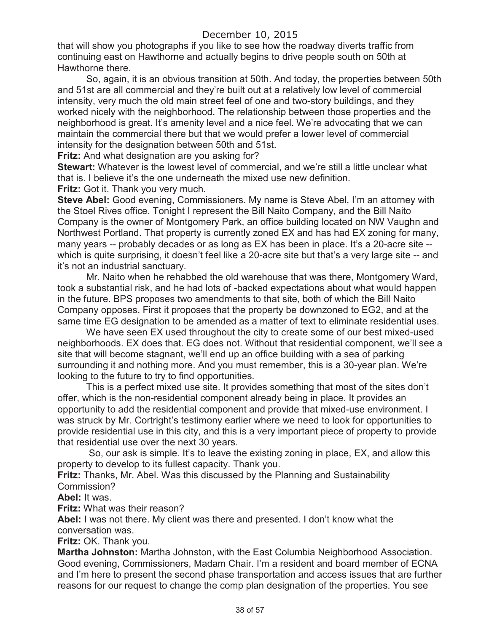that will show you photographs if you like to see how the roadway diverts traffic from continuing east on Hawthorne and actually begins to drive people south on 50th at Hawthorne there.

So, again, it is an obvious transition at 50th. And today, the properties between 50th and 51st are all commercial and they're built out at a relatively low level of commercial intensity, very much the old main street feel of one and two-story buildings, and they worked nicely with the neighborhood. The relationship between those properties and the neighborhood is great. It's amenity level and a nice feel. We're advocating that we can maintain the commercial there but that we would prefer a lower level of commercial intensity for the designation between 50th and 51st.

**Fritz:** And what designation are you asking for?

**Stewart:** Whatever is the lowest level of commercial, and we're still a little unclear what that is. I believe it's the one underneath the mixed use new definition.

**Fritz: Got it. Thank you very much.** 

**Steve Abel:** Good evening, Commissioners. My name is Steve Abel, I'm an attorney with the Stoel Rives office. Tonight I represent the Bill Naito Company, and the Bill Naito Company is the owner of Montgomery Park, an office building located on NW Vaughn and Northwest Portland. That property is currently zoned EX and has had EX zoning for many, many years -- probably decades or as long as EX has been in place. It's a 20-acre site - which is quite surprising, it doesn't feel like a 20-acre site but that's a very large site -- and it's not an industrial sanctuary.

Mr. Naito when he rehabbed the old warehouse that was there, Montgomery Ward, took a substantial risk, and he had lots of -backed expectations about what would happen in the future. BPS proposes two amendments to that site, both of which the Bill Naito Company opposes. First it proposes that the property be downzoned to EG2, and at the same time EG designation to be amended as a matter of text to eliminate residential uses.

We have seen EX used throughout the city to create some of our best mixed-used neighborhoods. EX does that. EG does not. Without that residential component, we'll see a site that will become stagnant, we'll end up an office building with a sea of parking surrounding it and nothing more. And you must remember, this is a 30-year plan. We're looking to the future to try to find opportunities.

This is a perfect mixed use site. It provides something that most of the sites don't offer, which is the non-residential component already being in place. It provides an opportunity to add the residential component and provide that mixed-use environment. I was struck by Mr. Cortright's testimony earlier where we need to look for opportunities to provide residential use in this city, and this is a very important piece of property to provide that residential use over the next 30 years.

So, our ask is simple. It's to leave the existing zoning in place, EX, and allow this property to develop to its fullest capacity. Thank you.

**Fritz:** Thanks, Mr. Abel. Was this discussed by the Planning and Sustainability Commission?

**Abel:** It was.

**Fritz:** What was their reason?

**Abel:** I was not there. My client was there and presented. I don't know what the conversation was.

**Fritz:** OK. Thank you.

**Martha Johnston:** Martha Johnston, with the East Columbia Neighborhood Association. Good evening, Commissioners, Madam Chair. I'm a resident and board member of ECNA and I'm here to present the second phase transportation and access issues that are further reasons for our request to change the comp plan designation of the properties. You see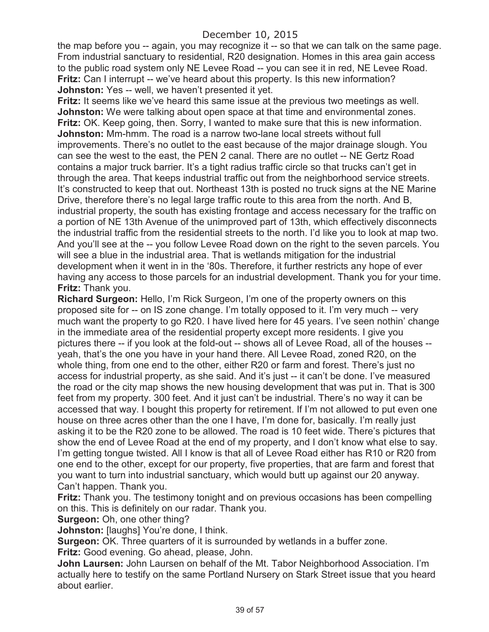the map before you -- again, you may recognize it -- so that we can talk on the same page. From industrial sanctuary to residential, R20 designation. Homes in this area gain access to the public road system only NE Levee Road -- you can see it in red, NE Levee Road. **Fritz:** Can I interrupt -- we've heard about this property. Is this new information? **Johnston:** Yes -- well, we haven't presented it yet.

**Fritz:** It seems like we've heard this same issue at the previous two meetings as well. **Johnston:** We were talking about open space at that time and environmental zones. **Fritz:** OK. Keep going, then. Sorry, I wanted to make sure that this is new information. **Johnston:** Mm-hmm. The road is a narrow two-lane local streets without full improvements. There's no outlet to the east because of the major drainage slough. You can see the west to the east, the PEN 2 canal. There are no outlet -- NE Gertz Road contains a major truck barrier. It's a tight radius traffic circle so that trucks can't get in through the area. That keeps industrial traffic out from the neighborhood service streets. It's constructed to keep that out. Northeast 13th is posted no truck signs at the NE Marine Drive, therefore there's no legal large traffic route to this area from the north. And B, industrial property, the south has existing frontage and access necessary for the traffic on a portion of NE 13th Avenue of the unimproved part of 13th, which effectively disconnects the industrial traffic from the residential streets to the north. I'd like you to look at map two. And you'll see at the -- you follow Levee Road down on the right to the seven parcels. You will see a blue in the industrial area. That is wetlands mitigation for the industrial development when it went in in the '80s. Therefore, it further restricts any hope of ever having any access to those parcels for an industrial development. Thank you for your time. **Fritz:** Thank you.

**Richard Surgeon:** Hello, I'm Rick Surgeon, I'm one of the property owners on this proposed site for -- on IS zone change. I'm totally opposed to it. I'm very much -- very much want the property to go R20. I have lived here for 45 years. I've seen nothin' change in the immediate area of the residential property except more residents. I give you pictures there -- if you look at the fold-out -- shows all of Levee Road, all of the houses - yeah, that's the one you have in your hand there. All Levee Road, zoned R20, on the whole thing, from one end to the other, either R20 or farm and forest. There's just no access for industrial property, as she said. And it's just -- it can't be done. I've measured the road or the city map shows the new housing development that was put in. That is 300 feet from my property. 300 feet. And it just can't be industrial. There's no way it can be accessed that way. I bought this property for retirement. If I'm not allowed to put even one house on three acres other than the one I have, I'm done for, basically. I'm really just asking it to be the R20 zone to be allowed. The road is 10 feet wide. There's pictures that show the end of Levee Road at the end of my property, and I don't know what else to say. I'm getting tongue twisted. All I know is that all of Levee Road either has R10 or R20 from one end to the other, except for our property, five properties, that are farm and forest that you want to turn into industrial sanctuary, which would butt up against our 20 anyway. Can't happen. Thank you.

**Fritz:** Thank you. The testimony tonight and on previous occasions has been compelling on this. This is definitely on our radar. Thank you.

### **Surgeon:** Oh, one other thing?

**Johnston:** [laughs] You're done, I think.

**Surgeon:** OK. Three quarters of it is surrounded by wetlands in a buffer zone.

**Fritz:** Good evening. Go ahead, please, John.

**John Laursen:** John Laursen on behalf of the Mt. Tabor Neighborhood Association. I'm actually here to testify on the same Portland Nursery on Stark Street issue that you heard about earlier.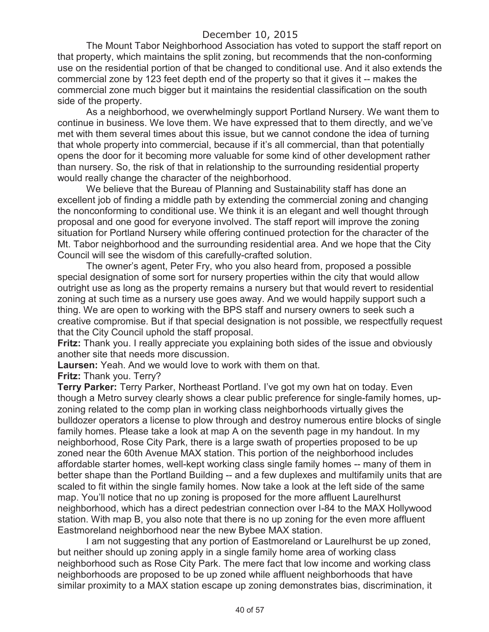The Mount Tabor Neighborhood Association has voted to support the staff report on that property, which maintains the split zoning, but recommends that the non-conforming use on the residential portion of that be changed to conditional use. And it also extends the commercial zone by 123 feet depth end of the property so that it gives it -- makes the commercial zone much bigger but it maintains the residential classification on the south side of the property.

As a neighborhood, we overwhelmingly support Portland Nursery. We want them to continue in business. We love them. We have expressed that to them directly, and we've met with them several times about this issue, but we cannot condone the idea of turning that whole property into commercial, because if it's all commercial, than that potentially opens the door for it becoming more valuable for some kind of other development rather than nursery. So, the risk of that in relationship to the surrounding residential property would really change the character of the neighborhood.

We believe that the Bureau of Planning and Sustainability staff has done an excellent job of finding a middle path by extending the commercial zoning and changing the nonconforming to conditional use. We think it is an elegant and well thought through proposal and one good for everyone involved. The staff report will improve the zoning situation for Portland Nursery while offering continued protection for the character of the Mt. Tabor neighborhood and the surrounding residential area. And we hope that the City Council will see the wisdom of this carefully-crafted solution.

The owner's agent, Peter Fry, who you also heard from, proposed a possible special designation of some sort for nursery properties within the city that would allow outright use as long as the property remains a nursery but that would revert to residential zoning at such time as a nursery use goes away. And we would happily support such a thing. We are open to working with the BPS staff and nursery owners to seek such a creative compromise. But if that special designation is not possible, we respectfully request that the City Council uphold the staff proposal.

**Fritz:** Thank you. I really appreciate you explaining both sides of the issue and obviously another site that needs more discussion.

**Laursen:** Yeah. And we would love to work with them on that.

**Fritz:** Thank you. Terry?

**Terry Parker:** Terry Parker, Northeast Portland. I've got my own hat on today. Even though a Metro survey clearly shows a clear public preference for single-family homes, upzoning related to the comp plan in working class neighborhoods virtually gives the bulldozer operators a license to plow through and destroy numerous entire blocks of single family homes. Please take a look at map A on the seventh page in my handout. In my neighborhood, Rose City Park, there is a large swath of properties proposed to be up zoned near the 60th Avenue MAX station. This portion of the neighborhood includes affordable starter homes, well-kept working class single family homes -- many of them in better shape than the Portland Building -- and a few duplexes and multifamily units that are scaled to fit within the single family homes. Now take a look at the left side of the same map. You'll notice that no up zoning is proposed for the more affluent Laurelhurst neighborhood, which has a direct pedestrian connection over I-84 to the MAX Hollywood station. With map B, you also note that there is no up zoning for the even more affluent Eastmoreland neighborhood near the new Bybee MAX station.

I am not suggesting that any portion of Eastmoreland or Laurelhurst be up zoned, but neither should up zoning apply in a single family home area of working class neighborhood such as Rose City Park. The mere fact that low income and working class neighborhoods are proposed to be up zoned while affluent neighborhoods that have similar proximity to a MAX station escape up zoning demonstrates bias, discrimination, it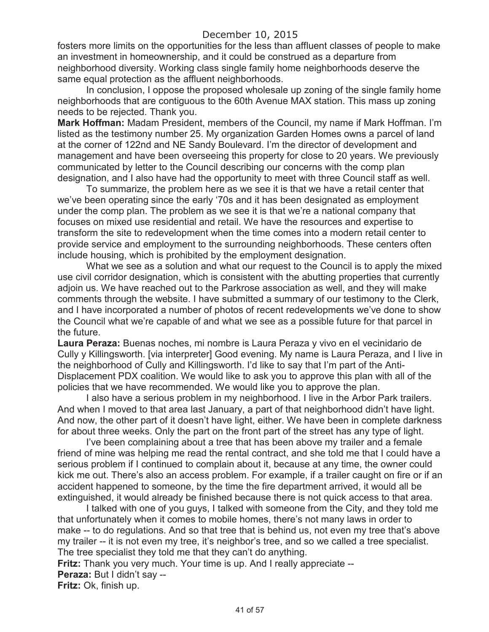fosters more limits on the opportunities for the less than affluent classes of people to make an investment in homeownership, and it could be construed as a departure from neighborhood diversity. Working class single family home neighborhoods deserve the same equal protection as the affluent neighborhoods.

In conclusion, I oppose the proposed wholesale up zoning of the single family home neighborhoods that are contiguous to the 60th Avenue MAX station. This mass up zoning needs to be rejected. Thank you.

**Mark Hoffman:** Madam President, members of the Council, my name if Mark Hoffman. I'm listed as the testimony number 25. My organization Garden Homes owns a parcel of land at the corner of 122nd and NE Sandy Boulevard. I'm the director of development and management and have been overseeing this property for close to 20 years. We previously communicated by letter to the Council describing our concerns with the comp plan designation, and I also have had the opportunity to meet with three Council staff as well.

To summarize, the problem here as we see it is that we have a retail center that we've been operating since the early '70s and it has been designated as employment under the comp plan. The problem as we see it is that we're a national company that focuses on mixed use residential and retail. We have the resources and expertise to transform the site to redevelopment when the time comes into a modern retail center to provide service and employment to the surrounding neighborhoods. These centers often include housing, which is prohibited by the employment designation.

What we see as a solution and what our request to the Council is to apply the mixed use civil corridor designation, which is consistent with the abutting properties that currently adjoin us. We have reached out to the Parkrose association as well, and they will make comments through the website. I have submitted a summary of our testimony to the Clerk, and I have incorporated a number of photos of recent redevelopments we've done to show the Council what we're capable of and what we see as a possible future for that parcel in the future.

**Laura Peraza:** Buenas noches, mi nombre is Laura Peraza y vivo en el vecinidario de Cully y Killingsworth. [via interpreter] Good evening. My name is Laura Peraza, and I live in the neighborhood of Cully and Killingsworth. I'd like to say that I'm part of the Anti-Displacement PDX coalition. We would like to ask you to approve this plan with all of the policies that we have recommended. We would like you to approve the plan.

I also have a serious problem in my neighborhood. I live in the Arbor Park trailers. And when I moved to that area last January, a part of that neighborhood didn't have light. And now, the other part of it doesn't have light, either. We have been in complete darkness for about three weeks. Only the part on the front part of the street has any type of light.

I've been complaining about a tree that has been above my trailer and a female friend of mine was helping me read the rental contract, and she told me that I could have a serious problem if I continued to complain about it, because at any time, the owner could kick me out. There's also an access problem. For example, if a trailer caught on fire or if an accident happened to someone, by the time the fire department arrived, it would all be extinguished, it would already be finished because there is not quick access to that area.

I talked with one of you guys, I talked with someone from the City, and they told me that unfortunately when it comes to mobile homes, there's not many laws in order to make -- to do regulations. And so that tree that is behind us, not even my tree that's above my trailer -- it is not even my tree, it's neighbor's tree, and so we called a tree specialist. The tree specialist they told me that they can't do anything.

**Fritz:** Thank you very much. Your time is up. And I really appreciate -- **Peraza:** But I didn't say --

**Fritz:** Ok, finish up.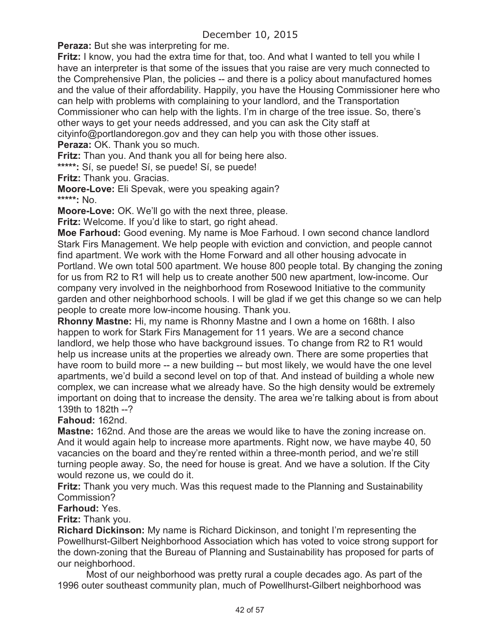**Peraza:** But she was interpreting for me.

**Fritz:** I know, you had the extra time for that, too. And what I wanted to tell you while I have an interpreter is that some of the issues that you raise are very much connected to the Comprehensive Plan, the policies -- and there is a policy about manufactured homes and the value of their affordability. Happily, you have the Housing Commissioner here who can help with problems with complaining to your landlord, and the Transportation Commissioner who can help with the lights. I'm in charge of the tree issue. So, there's other ways to get your needs addressed, and you can ask the City staff at cityinfo@portlandoregon.gov and they can help you with those other issues. **Peraza: OK. Thank you so much.** 

**Fritz:** Than you. And thank you all for being here also.

**\*\*\*\*\*:** Sí, se puede! Sí, se puede! Sí, se puede!

**Fritz:** Thank you. Gracias.

**Moore-Love:** Eli Spevak, were you speaking again? **\*\*\*\*\*:** No.

**Moore-Love:** OK. We'll go with the next three, please.

**Fritz:** Welcome. If you'd like to start, go right ahead.

**Moe Farhoud:** Good evening. My name is Moe Farhoud. I own second chance landlord Stark Firs Management. We help people with eviction and conviction, and people cannot find apartment. We work with the Home Forward and all other housing advocate in Portland. We own total 500 apartment. We house 800 people total. By changing the zoning for us from R2 to R1 will help us to create another 500 new apartment, low-income. Our company very involved in the neighborhood from Rosewood Initiative to the community garden and other neighborhood schools. I will be glad if we get this change so we can help people to create more low-income housing. Thank you.

**Rhonny Mastne:** Hi, my name is Rhonny Mastne and I own a home on 168th. I also happen to work for Stark Firs Management for 11 years. We are a second chance landlord, we help those who have background issues. To change from R2 to R1 would help us increase units at the properties we already own. There are some properties that have room to build more -- a new building -- but most likely, we would have the one level apartments, we'd build a second level on top of that. And instead of building a whole new complex, we can increase what we already have. So the high density would be extremely important on doing that to increase the density. The area we're talking about is from about 139th to 182th --?

**Fahoud:** 162nd.

**Mastne:** 162nd. And those are the areas we would like to have the zoning increase on. And it would again help to increase more apartments. Right now, we have maybe 40, 50 vacancies on the board and they're rented within a three-month period, and we're still turning people away. So, the need for house is great. And we have a solution. If the City would rezone us, we could do it.

**Fritz:** Thank you very much. Was this request made to the Planning and Sustainability Commission?

### **Farhoud:** Yes.

**Fritz:** Thank you.

**Richard Dickinson:** My name is Richard Dickinson, and tonight I'm representing the Powellhurst-Gilbert Neighborhood Association which has voted to voice strong support for the down-zoning that the Bureau of Planning and Sustainability has proposed for parts of our neighborhood.

Most of our neighborhood was pretty rural a couple decades ago. As part of the 1996 outer southeast community plan, much of Powellhurst-Gilbert neighborhood was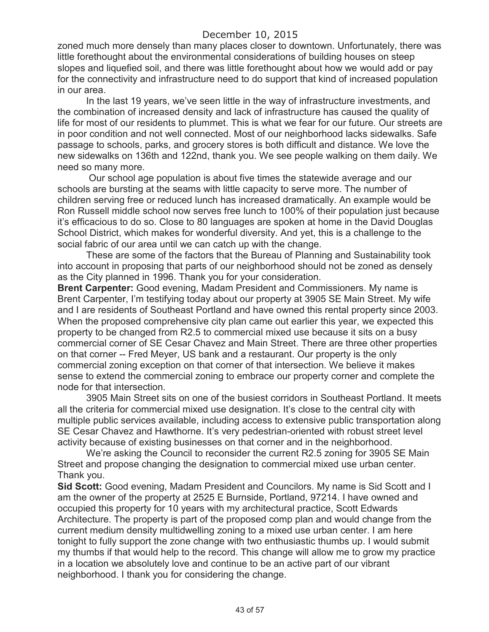zoned much more densely than many places closer to downtown. Unfortunately, there was little forethought about the environmental considerations of building houses on steep slopes and liquefied soil, and there was little forethought about how we would add or pay for the connectivity and infrastructure need to do support that kind of increased population in our area.

In the last 19 years, we've seen little in the way of infrastructure investments, and the combination of increased density and lack of infrastructure has caused the quality of life for most of our residents to plummet. This is what we fear for our future. Our streets are in poor condition and not well connected. Most of our neighborhood lacks sidewalks. Safe passage to schools, parks, and grocery stores is both difficult and distance. We love the new sidewalks on 136th and 122nd, thank you. We see people walking on them daily. We need so many more.

Our school age population is about five times the statewide average and our schools are bursting at the seams with little capacity to serve more. The number of children serving free or reduced lunch has increased dramatically. An example would be Ron Russell middle school now serves free lunch to 100% of their population just because it's efficacious to do so. Close to 80 languages are spoken at home in the David Douglas School District, which makes for wonderful diversity. And yet, this is a challenge to the social fabric of our area until we can catch up with the change.

These are some of the factors that the Bureau of Planning and Sustainability took into account in proposing that parts of our neighborhood should not be zoned as densely as the City planned in 1996. Thank you for your consideration.

**Brent Carpenter:** Good evening, Madam President and Commissioners. My name is Brent Carpenter, I'm testifying today about our property at 3905 SE Main Street. My wife and I are residents of Southeast Portland and have owned this rental property since 2003. When the proposed comprehensive city plan came out earlier this year, we expected this property to be changed from R2.5 to commercial mixed use because it sits on a busy commercial corner of SE Cesar Chavez and Main Street. There are three other properties on that corner -- Fred Meyer, US bank and a restaurant. Our property is the only commercial zoning exception on that corner of that intersection. We believe it makes sense to extend the commercial zoning to embrace our property corner and complete the node for that intersection.

3905 Main Street sits on one of the busiest corridors in Southeast Portland. It meets all the criteria for commercial mixed use designation. It's close to the central city with multiple public services available, including access to extensive public transportation along SE Cesar Chavez and Hawthorne. It's very pedestrian-oriented with robust street level activity because of existing businesses on that corner and in the neighborhood.

We're asking the Council to reconsider the current R2.5 zoning for 3905 SE Main Street and propose changing the designation to commercial mixed use urban center. Thank you.

**Sid Scott:** Good evening, Madam President and Councilors. My name is Sid Scott and I am the owner of the property at 2525 E Burnside, Portland, 97214. I have owned and occupied this property for 10 years with my architectural practice, Scott Edwards Architecture. The property is part of the proposed comp plan and would change from the current medium density multidwelling zoning to a mixed use urban center. I am here tonight to fully support the zone change with two enthusiastic thumbs up. I would submit my thumbs if that would help to the record. This change will allow me to grow my practice in a location we absolutely love and continue to be an active part of our vibrant neighborhood. I thank you for considering the change.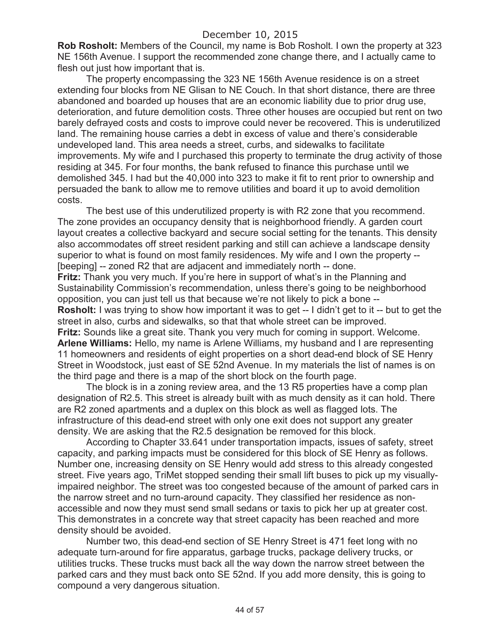**Rob Rosholt:** Members of the Council, my name is Bob Rosholt. I own the property at 323 NE 156th Avenue. I support the recommended zone change there, and I actually came to flesh out just how important that is.

The property encompassing the 323 NE 156th Avenue residence is on a street extending four blocks from NE Glisan to NE Couch. In that short distance, there are three abandoned and boarded up houses that are an economic liability due to prior drug use, deterioration, and future demolition costs. Three other houses are occupied but rent on two barely defrayed costs and costs to improve could never be recovered. This is underutilized land. The remaining house carries a debt in excess of value and there's considerable undeveloped land. This area needs a street, curbs, and sidewalks to facilitate improvements. My wife and I purchased this property to terminate the drug activity of those residing at 345. For four months, the bank refused to finance this purchase until we demolished 345. I had but the 40,000 into 323 to make it fit to rent prior to ownership and persuaded the bank to allow me to remove utilities and board it up to avoid demolition costs.

The best use of this underutilized property is with R2 zone that you recommend. The zone provides an occupancy density that is neighborhood friendly. A garden court layout creates a collective backyard and secure social setting for the tenants. This density also accommodates off street resident parking and still can achieve a landscape density superior to what is found on most family residences. My wife and I own the property -- [beeping] -- zoned R2 that are adjacent and immediately north -- done. **Fritz:** Thank you very much. If you're here in support of what's in the Planning and Sustainability Commission's recommendation, unless there's going to be neighborhood opposition, you can just tell us that because we're not likely to pick a bone -- **Rosholt:** I was trying to show how important it was to get -- I didn't get to it -- but to get the street in also, curbs and sidewalks, so that that whole street can be improved. **Fritz:** Sounds like a great site. Thank you very much for coming in support. Welcome. **Arlene Williams:** Hello, my name is Arlene Williams, my husband and I are representing 11 homeowners and residents of eight properties on a short dead-end block of SE Henry Street in Woodstock, just east of SE 52nd Avenue. In my materials the list of names is on the third page and there is a map of the short block on the fourth page.

The block is in a zoning review area, and the 13 R5 properties have a comp plan designation of R2.5. This street is already built with as much density as it can hold. There are R2 zoned apartments and a duplex on this block as well as flagged lots. The infrastructure of this dead-end street with only one exit does not support any greater density. We are asking that the R2.5 designation be removed for this block.

According to Chapter 33.641 under transportation impacts, issues of safety, street capacity, and parking impacts must be considered for this block of SE Henry as follows. Number one, increasing density on SE Henry would add stress to this already congested street. Five years ago, TriMet stopped sending their small lift buses to pick up my visuallyimpaired neighbor. The street was too congested because of the amount of parked cars in the narrow street and no turn-around capacity. They classified her residence as nonaccessible and now they must send small sedans or taxis to pick her up at greater cost. This demonstrates in a concrete way that street capacity has been reached and more density should be avoided.

Number two, this dead-end section of SE Henry Street is 471 feet long with no adequate turn-around for fire apparatus, garbage trucks, package delivery trucks, or utilities trucks. These trucks must back all the way down the narrow street between the parked cars and they must back onto SE 52nd. If you add more density, this is going to compound a very dangerous situation.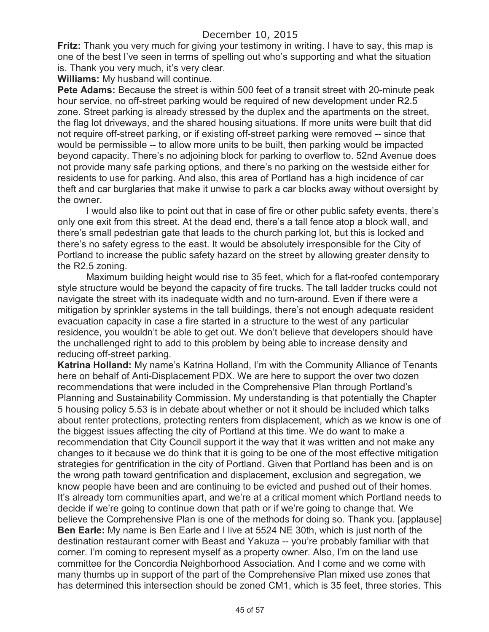**Fritz:** Thank you very much for giving your testimony in writing. I have to say, this map is one of the best I've seen in terms of spelling out who's supporting and what the situation is. Thank you very much, it's very clear.

**Williams:** My husband will continue.

**Pete Adams:** Because the street is within 500 feet of a transit street with 20-minute peak hour service, no off-street parking would be required of new development under R2.5 zone. Street parking is already stressed by the duplex and the apartments on the street, the flag lot driveways, and the shared housing situations. If more units were built that did not require off-street parking, or if existing off-street parking were removed -- since that would be permissible -- to allow more units to be built, then parking would be impacted beyond capacity. There's no adjoining block for parking to overflow to. 52nd Avenue does not provide many safe parking options, and there's no parking on the westside either for residents to use for parking. And also, this area of Portland has a high incidence of car theft and car burglaries that make it unwise to park a car blocks away without oversight by the owner.

I would also like to point out that in case of fire or other public safety events, there's only one exit from this street. At the dead end, there's a tall fence atop a block wall, and there's small pedestrian gate that leads to the church parking lot, but this is locked and there's no safety egress to the east. It would be absolutely irresponsible for the City of Portland to increase the public safety hazard on the street by allowing greater density to the R2.5 zoning.

Maximum building height would rise to 35 feet, which for a flat-roofed contemporary style structure would be beyond the capacity of fire trucks. The tall ladder trucks could not navigate the street with its inadequate width and no turn-around. Even if there were a mitigation by sprinkler systems in the tall buildings, there's not enough adequate resident evacuation capacity in case a fire started in a structure to the west of any particular residence, you wouldn't be able to get out. We don't believe that developers should have the unchallenged right to add to this problem by being able to increase density and reducing off-street parking.

**Katrina Holland:** My name's Katrina Holland, I'm with the Community Alliance of Tenants here on behalf of Anti-Displacement PDX. We are here to support the over two dozen recommendations that were included in the Comprehensive Plan through Portland's Planning and Sustainability Commission. My understanding is that potentially the Chapter 5 housing policy 5.53 is in debate about whether or not it should be included which talks about renter protections, protecting renters from displacement, which as we know is one of the biggest issues affecting the city of Portland at this time. We do want to make a recommendation that City Council support it the way that it was written and not make any changes to it because we do think that it is going to be one of the most effective mitigation strategies for gentrification in the city of Portland. Given that Portland has been and is on the wrong path toward gentrification and displacement, exclusion and segregation, we know people have been and are continuing to be evicted and pushed out of their homes. It's already torn communities apart, and we're at a critical moment which Portland needs to decide if we're going to continue down that path or if we're going to change that. We believe the Comprehensive Plan is one of the methods for doing so. Thank you. [applause] **Ben Earle:** My name is Ben Earle and I live at 5524 NE 30th, which is just north of the destination restaurant corner with Beast and Yakuza -- you're probably familiar with that corner. I'm coming to represent myself as a property owner. Also, I'm on the land use committee for the Concordia Neighborhood Association. And I come and we come with many thumbs up in support of the part of the Comprehensive Plan mixed use zones that has determined this intersection should be zoned CM1, which is 35 feet, three stories. This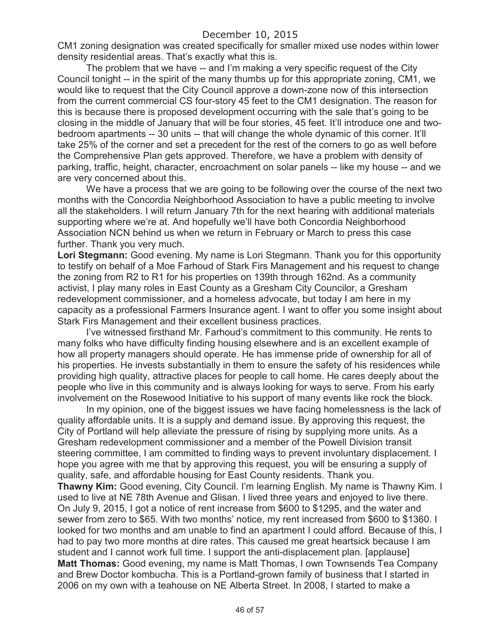CM1 zoning designation was created specifically for smaller mixed use nodes within lower density residential areas. That's exactly what this is.

The problem that we have -- and I'm making a very specific request of the City Council tonight -- in the spirit of the many thumbs up for this appropriate zoning, CM1, we would like to request that the City Council approve a down-zone now of this intersection from the current commercial CS four-story 45 feet to the CM1 designation. The reason for this is because there is proposed development occurring with the sale that's going to be closing in the middle of January that will be four stories, 45 feet. It'll introduce one and twobedroom apartments -- 30 units -- that will change the whole dynamic of this corner. It'll take 25% of the corner and set a precedent for the rest of the corners to go as well before the Comprehensive Plan gets approved. Therefore, we have a problem with density of parking, traffic, height, character, encroachment on solar panels -- like my house -- and we are very concerned about this.

We have a process that we are going to be following over the course of the next two months with the Concordia Neighborhood Association to have a public meeting to involve all the stakeholders. I will return January 7th for the next hearing with additional materials supporting where we're at. And hopefully we'll have both Concordia Neighborhood Association NCN behind us when we return in February or March to press this case further. Thank you very much.

**Lori Stegmann:** Good evening. My name is Lori Stegmann. Thank you for this opportunity to testify on behalf of a Moe Farhoud of Stark Firs Management and his request to change the zoning from R2 to R1 for his properties on 139th through 162nd. As a community activist, I play many roles in East County as a Gresham City Councilor, a Gresham redevelopment commissioner, and a homeless advocate, but today I am here in my capacity as a professional Farmers Insurance agent. I want to offer you some insight about Stark Firs Management and their excellent business practices.

I've witnessed firsthand Mr. Farhoud's commitment to this community. He rents to many folks who have difficulty finding housing elsewhere and is an excellent example of how all property managers should operate. He has immense pride of ownership for all of his properties. He invests substantially in them to ensure the safety of his residences while providing high quality, attractive places for people to call home. He cares deeply about the people who live in this community and is always looking for ways to serve. From his early involvement on the Rosewood Initiative to his support of many events like rock the block.

In my opinion, one of the biggest issues we have facing homelessness is the lack of quality affordable units. It is a supply and demand issue. By approving this request, the City of Portland will help alleviate the pressure of rising by supplying more units. As a Gresham redevelopment commissioner and a member of the Powell Division transit steering committee, I am committed to finding ways to prevent involuntary displacement. I hope you agree with me that by approving this request, you will be ensuring a supply of quality, safe, and affordable housing for East County residents. Thank you.

**Thawny Kim:** Good evening, City Council. I'm learning English. My name is Thawny Kim. I used to live at NE 78th Avenue and Glisan. I lived three years and enjoyed to live there. On July 9, 2015, I got a notice of rent increase from \$600 to \$1295, and the water and sewer from zero to \$65. With two months' notice, my rent increased from \$600 to \$1360. I looked for two months and am unable to find an apartment I could afford. Because of this, I had to pay two more months at dire rates. This caused me great heartsick because I am student and I cannot work full time. I support the anti-displacement plan. [applause] **Matt Thomas:** Good evening, my name is Matt Thomas, I own Townsends Tea Company and Brew Doctor kombucha. This is a Portland-grown family of business that I started in 2006 on my own with a teahouse on NE Alberta Street. In 2008, I started to make a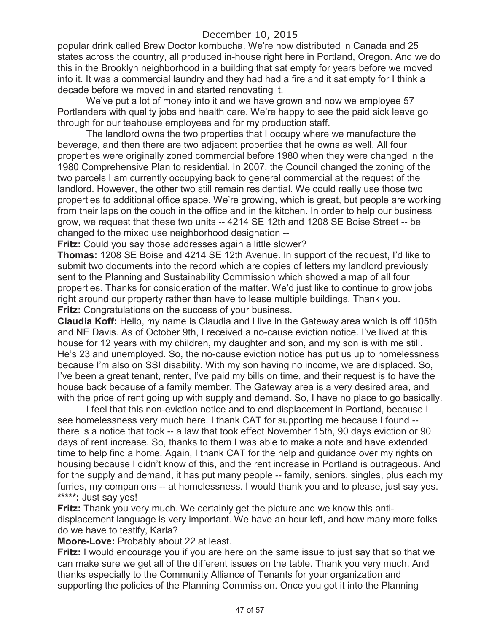popular drink called Brew Doctor kombucha. We're now distributed in Canada and 25 states across the country, all produced in-house right here in Portland, Oregon. And we do this in the Brooklyn neighborhood in a building that sat empty for years before we moved into it. It was a commercial laundry and they had had a fire and it sat empty for I think a decade before we moved in and started renovating it.

We've put a lot of money into it and we have grown and now we employee 57 Portlanders with quality jobs and health care. We're happy to see the paid sick leave go through for our teahouse employees and for my production staff.

The landlord owns the two properties that I occupy where we manufacture the beverage, and then there are two adjacent properties that he owns as well. All four properties were originally zoned commercial before 1980 when they were changed in the 1980 Comprehensive Plan to residential. In 2007, the Council changed the zoning of the two parcels I am currently occupying back to general commercial at the request of the landlord. However, the other two still remain residential. We could really use those two properties to additional office space. We're growing, which is great, but people are working from their laps on the couch in the office and in the kitchen. In order to help our business grow, we request that these two units -- 4214 SE 12th and 1208 SE Boise Street -- be changed to the mixed use neighborhood designation --

**Fritz:** Could you say those addresses again a little slower?

**Thomas:** 1208 SE Boise and 4214 SE 12th Avenue. In support of the request, I'd like to submit two documents into the record which are copies of letters my landlord previously sent to the Planning and Sustainability Commission which showed a map of all four properties. Thanks for consideration of the matter. We'd just like to continue to grow jobs right around our property rather than have to lease multiple buildings. Thank you. **Fritz:** Congratulations on the success of your business.

**Claudia Koff:** Hello, my name is Claudia and I live in the Gateway area which is off 105th and NE Davis. As of October 9th, I received a no-cause eviction notice. I've lived at this house for 12 years with my children, my daughter and son, and my son is with me still. He's 23 and unemployed. So, the no-cause eviction notice has put us up to homelessness because I'm also on SSI disability. With my son having no income, we are displaced. So, I've been a great tenant, renter, I've paid my bills on time, and their request is to have the house back because of a family member. The Gateway area is a very desired area, and with the price of rent going up with supply and demand. So, I have no place to go basically.

I feel that this non-eviction notice and to end displacement in Portland, because I see homelessness very much here. I thank CAT for supporting me because I found - there is a notice that took -- a law that took effect November 15th, 90 days eviction or 90 days of rent increase. So, thanks to them I was able to make a note and have extended time to help find a home. Again, I thank CAT for the help and guidance over my rights on housing because I didn't know of this, and the rent increase in Portland is outrageous. And for the supply and demand, it has put many people -- family, seniors, singles, plus each my furries, my companions -- at homelessness. I would thank you and to please, just say yes. **\*\*\*\*\*:** Just say yes!

**Fritz:** Thank you very much. We certainly get the picture and we know this antidisplacement language is very important. We have an hour left, and how many more folks do we have to testify, Karla?

**Moore-Love:** Probably about 22 at least.

**Fritz:** I would encourage you if you are here on the same issue to just say that so that we can make sure we get all of the different issues on the table. Thank you very much. And thanks especially to the Community Alliance of Tenants for your organization and supporting the policies of the Planning Commission. Once you got it into the Planning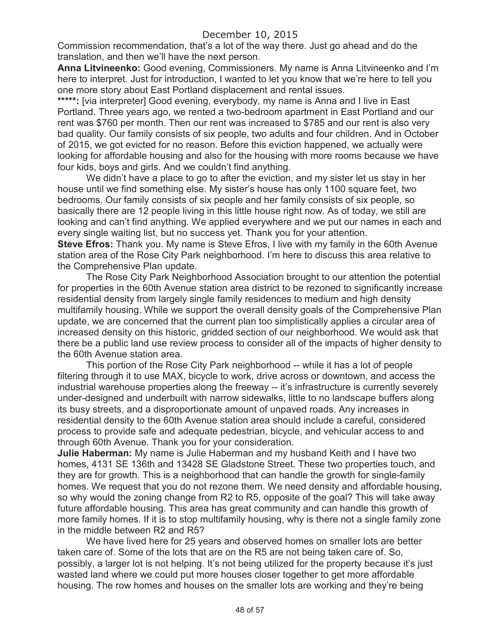Commission recommendation, that's a lot of the way there. Just go ahead and do the translation, and then we'll have the next person.

**Anna Litvineenko:** Good evening, Commissioners. My name is Anna Litvineenko and I'm here to interpret. Just for introduction, I wanted to let you know that we're here to tell you one more story about East Portland displacement and rental issues.

\*\*\*\*\*: [via interpreter] Good evening, everybody, my name is Anna and I live in East Portland. Three years ago, we rented a two-bedroom apartment in East Portland and our rent was \$760 per month. Then our rent was increased to \$785 and our rent is also very bad quality. Our family consists of six people, two adults and four children. And in October of 2015, we got evicted for no reason. Before this eviction happened, we actually were looking for affordable housing and also for the housing with more rooms because we have four kids, boys and girls. And we couldn't find anything.

We didn't have a place to go to after the eviction, and my sister let us stay in her house until we find something else. My sister's house has only 1100 square feet, two bedrooms. Our family consists of six people and her family consists of six people, so basically there are 12 people living in this little house right now. As of today, we still are looking and can't find anything. We applied everywhere and we put our names in each and every single waiting list, but no success yet. Thank you for your attention.

**Steve Efros:** Thank you. My name is Steve Efros, I live with my family in the 60th Avenue station area of the Rose City Park neighborhood. I'm here to discuss this area relative to the Comprehensive Plan update.

The Rose City Park Neighborhood Association brought to our attention the potential for properties in the 60th Avenue station area district to be rezoned to significantly increase residential density from largely single family residences to medium and high density multifamily housing. While we support the overall density goals of the Comprehensive Plan update, we are concerned that the current plan too simplistically applies a circular area of increased density on this historic, gridded section of our neighborhood. We would ask that there be a public land use review process to consider all of the impacts of higher density to the 60th Avenue station area.

This portion of the Rose City Park neighborhood -- while it has a lot of people filtering through it to use MAX, bicycle to work, drive across or downtown, and access the industrial warehouse properties along the freeway -- it's infrastructure is currently severely under-designed and underbuilt with narrow sidewalks, little to no landscape buffers along its busy streets, and a disproportionate amount of unpaved roads. Any increases in residential density to the 60th Avenue station area should include a careful, considered process to provide safe and adequate pedestrian, bicycle, and vehicular access to and through 60th Avenue. Thank you for your consideration.

**Julie Haberman:** My name is Julie Haberman and my husband Keith and I have two homes, 4131 SE 136th and 13428 SE Gladstone Street. These two properties touch, and they are for growth. This is a neighborhood that can handle the growth for single-family homes. We request that you do not rezone them. We need density and affordable housing, so why would the zoning change from R2 to R5, opposite of the goal? This will take away future affordable housing. This area has great community and can handle this growth of more family homes. If it is to stop multifamily housing, why is there not a single family zone in the middle between R2 and R5?

We have lived here for 25 years and observed homes on smaller lots are better taken care of. Some of the lots that are on the R5 are not being taken care of. So, possibly, a larger lot is not helping. It's not being utilized for the property because it's just wasted land where we could put more houses closer together to get more affordable housing. The row homes and houses on the smaller lots are working and they're being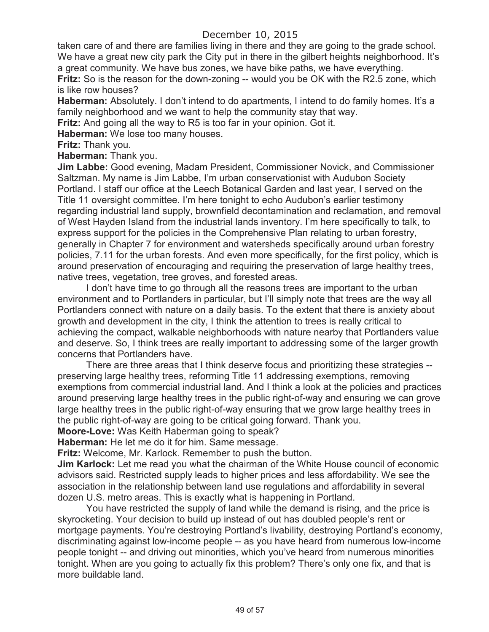taken care of and there are families living in there and they are going to the grade school. We have a great new city park the City put in there in the gilbert heights neighborhood. It's a great community. We have bus zones, we have bike paths, we have everything.

**Fritz:** So is the reason for the down-zoning -- would you be OK with the R2.5 zone, which is like row houses?

**Haberman:** Absolutely. I don't intend to do apartments, I intend to do family homes. It's a family neighborhood and we want to help the community stay that way.

**Fritz:** And going all the way to R5 is too far in your opinion. Got it.

**Haberman:** We lose too many houses.

**Fritz:** Thank you.

**Haberman:** Thank you.

**Jim Labbe:** Good evening, Madam President, Commissioner Novick, and Commissioner Saltzman. My name is Jim Labbe, I'm urban conservationist with Audubon Society Portland. I staff our office at the Leech Botanical Garden and last year, I served on the Title 11 oversight committee. I'm here tonight to echo Audubon's earlier testimony regarding industrial land supply, brownfield decontamination and reclamation, and removal of West Hayden Island from the industrial lands inventory. I'm here specifically to talk, to express support for the policies in the Comprehensive Plan relating to urban forestry, generally in Chapter 7 for environment and watersheds specifically around urban forestry policies, 7.11 for the urban forests. And even more specifically, for the first policy, which is around preservation of encouraging and requiring the preservation of large healthy trees, native trees, vegetation, tree groves, and forested areas.

I don't have time to go through all the reasons trees are important to the urban environment and to Portlanders in particular, but I'll simply note that trees are the way all Portlanders connect with nature on a daily basis. To the extent that there is anxiety about growth and development in the city, I think the attention to trees is really critical to achieving the compact, walkable neighborhoods with nature nearby that Portlanders value and deserve. So, I think trees are really important to addressing some of the larger growth concerns that Portlanders have.

There are three areas that I think deserve focus and prioritizing these strategies - preserving large healthy trees, reforming Title 11 addressing exemptions, removing exemptions from commercial industrial land. And I think a look at the policies and practices around preserving large healthy trees in the public right-of-way and ensuring we can grove large healthy trees in the public right-of-way ensuring that we grow large healthy trees in the public right-of-way are going to be critical going forward. Thank you.

**Moore-Love:** Was Keith Haberman going to speak?

**Haberman:** He let me do it for him. Same message.

**Fritz:** Welcome, Mr. Karlock. Remember to push the button.

**Jim Karlock:** Let me read you what the chairman of the White House council of economic advisors said. Restricted supply leads to higher prices and less affordability. We see the association in the relationship between land use regulations and affordability in several dozen U.S. metro areas. This is exactly what is happening in Portland.

You have restricted the supply of land while the demand is rising, and the price is skyrocketing. Your decision to build up instead of out has doubled people's rent or mortgage payments. You're destroying Portland's livability, destroying Portland's economy, discriminating against low-income people -- as you have heard from numerous low-income people tonight -- and driving out minorities, which you've heard from numerous minorities tonight. When are you going to actually fix this problem? There's only one fix, and that is more buildable land.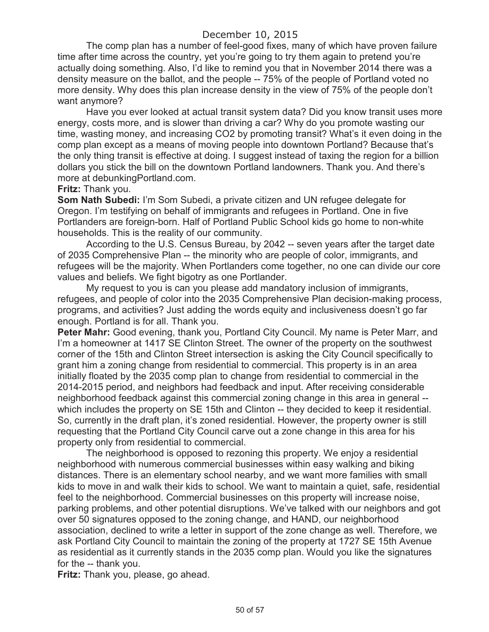The comp plan has a number of feel-good fixes, many of which have proven failure time after time across the country, yet you're going to try them again to pretend you're actually doing something. Also, I'd like to remind you that in November 2014 there was a density measure on the ballot, and the people -- 75% of the people of Portland voted no more density. Why does this plan increase density in the view of 75% of the people don't want anymore?

Have you ever looked at actual transit system data? Did you know transit uses more energy, costs more, and is slower than driving a car? Why do you promote wasting our time, wasting money, and increasing CO2 by promoting transit? What's it even doing in the comp plan except as a means of moving people into downtown Portland? Because that's the only thing transit is effective at doing. I suggest instead of taxing the region for a billion dollars you stick the bill on the downtown Portland landowners. Thank you. And there's more at debunkingPortland.com.

#### **Fritz:** Thank you.

**Som Nath Subedi:** I'm Som Subedi, a private citizen and UN refugee delegate for Oregon. I'm testifying on behalf of immigrants and refugees in Portland. One in five Portlanders are foreign-born. Half of Portland Public School kids go home to non-white households. This is the reality of our community.

According to the U.S. Census Bureau, by 2042 -- seven years after the target date of 2035 Comprehensive Plan -- the minority who are people of color, immigrants, and refugees will be the majority. When Portlanders come together, no one can divide our core values and beliefs. We fight bigotry as one Portlander.

My request to you is can you please add mandatory inclusion of immigrants, refugees, and people of color into the 2035 Comprehensive Plan decision-making process, programs, and activities? Just adding the words equity and inclusiveness doesn't go far enough. Portland is for all. Thank you.

**Peter Mahr:** Good evening, thank you, Portland City Council. My name is Peter Marr, and I'm a homeowner at 1417 SE Clinton Street. The owner of the property on the southwest corner of the 15th and Clinton Street intersection is asking the City Council specifically to grant him a zoning change from residential to commercial. This property is in an area initially floated by the 2035 comp plan to change from residential to commercial in the 2014-2015 period, and neighbors had feedback and input. After receiving considerable neighborhood feedback against this commercial zoning change in this area in general - which includes the property on SE 15th and Clinton -- they decided to keep it residential. So, currently in the draft plan, it's zoned residential. However, the property owner is still requesting that the Portland City Council carve out a zone change in this area for his property only from residential to commercial.

The neighborhood is opposed to rezoning this property. We enjoy a residential neighborhood with numerous commercial businesses within easy walking and biking distances. There is an elementary school nearby, and we want more families with small kids to move in and walk their kids to school. We want to maintain a quiet, safe, residential feel to the neighborhood. Commercial businesses on this property will increase noise, parking problems, and other potential disruptions. We've talked with our neighbors and got over 50 signatures opposed to the zoning change, and HAND, our neighborhood association, declined to write a letter in support of the zone change as well. Therefore, we ask Portland City Council to maintain the zoning of the property at 1727 SE 15th Avenue as residential as it currently stands in the 2035 comp plan. Would you like the signatures for the -- thank you.

**Fritz:** Thank you, please, go ahead.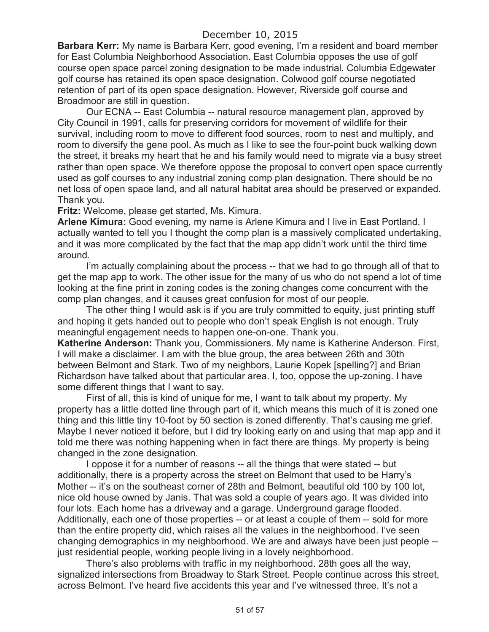**Barbara Kerr:** My name is Barbara Kerr, good evening, I'm a resident and board member for East Columbia Neighborhood Association. East Columbia opposes the use of golf course open space parcel zoning designation to be made industrial. Columbia Edgewater golf course has retained its open space designation. Colwood golf course negotiated retention of part of its open space designation. However, Riverside golf course and Broadmoor are still in question.

Our ECNA -- East Columbia -- natural resource management plan, approved by City Council in 1991, calls for preserving corridors for movement of wildlife for their survival, including room to move to different food sources, room to nest and multiply, and room to diversify the gene pool. As much as I like to see the four-point buck walking down the street, it breaks my heart that he and his family would need to migrate via a busy street rather than open space. We therefore oppose the proposal to convert open space currently used as golf courses to any industrial zoning comp plan designation. There should be no net loss of open space land, and all natural habitat area should be preserved or expanded. Thank you.

**Fritz:** Welcome, please get started, Ms. Kimura.

**Arlene Kimura:** Good evening, my name is Arlene Kimura and I live in East Portland. I actually wanted to tell you I thought the comp plan is a massively complicated undertaking, and it was more complicated by the fact that the map app didn't work until the third time around.

I'm actually complaining about the process -- that we had to go through all of that to get the map app to work. The other issue for the many of us who do not spend a lot of time looking at the fine print in zoning codes is the zoning changes come concurrent with the comp plan changes, and it causes great confusion for most of our people.

The other thing I would ask is if you are truly committed to equity, just printing stuff and hoping it gets handed out to people who don't speak English is not enough. Truly meaningful engagement needs to happen one-on-one. Thank you.

**Katherine Anderson:** Thank you, Commissioners. My name is Katherine Anderson. First, I will make a disclaimer. I am with the blue group, the area between 26th and 30th between Belmont and Stark. Two of my neighbors, Laurie Kopek [spelling?] and Brian Richardson have talked about that particular area. I, too, oppose the up-zoning. I have some different things that I want to say.

First of all, this is kind of unique for me, I want to talk about my property. My property has a little dotted line through part of it, which means this much of it is zoned one thing and this little tiny 10-foot by 50 section is zoned differently. That's causing me grief. Maybe I never noticed it before, but I did try looking early on and using that map app and it told me there was nothing happening when in fact there are things. My property is being changed in the zone designation.

I oppose it for a number of reasons -- all the things that were stated -- but additionally, there is a property across the street on Belmont that used to be Harry's Mother -- it's on the southeast corner of 28th and Belmont, beautiful old 100 by 100 lot, nice old house owned by Janis. That was sold a couple of years ago. It was divided into four lots. Each home has a driveway and a garage. Underground garage flooded. Additionally, each one of those properties -- or at least a couple of them -- sold for more than the entire property did, which raises all the values in the neighborhood. I've seen changing demographics in my neighborhood. We are and always have been just people - just residential people, working people living in a lovely neighborhood.

There's also problems with traffic in my neighborhood. 28th goes all the way, signalized intersections from Broadway to Stark Street. People continue across this street, across Belmont. I've heard five accidents this year and I've witnessed three. It's not a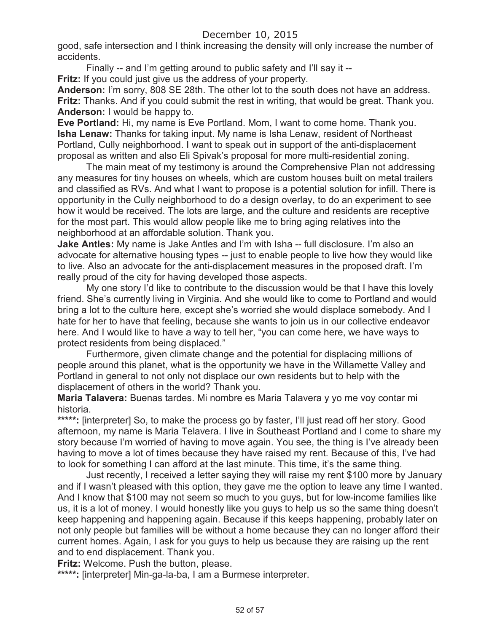good, safe intersection and I think increasing the density will only increase the number of accidents.

Finally -- and I'm getting around to public safety and I'll say it --

**Fritz:** If you could just give us the address of your property.

**Anderson:** I'm sorry, 808 SE 28th. The other lot to the south does not have an address. **Fritz:** Thanks. And if you could submit the rest in writing, that would be great. Thank you. **Anderson:** I would be happy to.

**Eve Portland:** Hi, my name is Eve Portland. Mom, I want to come home. Thank you. **Isha Lenaw:** Thanks for taking input. My name is Isha Lenaw, resident of Northeast Portland, Cully neighborhood. I want to speak out in support of the anti-displacement proposal as written and also Eli Spivak's proposal for more multi-residential zoning.

The main meat of my testimony is around the Comprehensive Plan not addressing any measures for tiny houses on wheels, which are custom houses built on metal trailers and classified as RVs. And what I want to propose is a potential solution for infill. There is opportunity in the Cully neighborhood to do a design overlay, to do an experiment to see how it would be received. The lots are large, and the culture and residents are receptive for the most part. This would allow people like me to bring aging relatives into the neighborhood at an affordable solution. Thank you.

**Jake Antles:** My name is Jake Antles and I'm with Isha -- full disclosure. I'm also an advocate for alternative housing types -- just to enable people to live how they would like to live. Also an advocate for the anti-displacement measures in the proposed draft. I'm really proud of the city for having developed those aspects.

My one story I'd like to contribute to the discussion would be that I have this lovely friend. She's currently living in Virginia. And she would like to come to Portland and would bring a lot to the culture here, except she's worried she would displace somebody. And I hate for her to have that feeling, because she wants to join us in our collective endeavor here. And I would like to have a way to tell her, "you can come here, we have ways to protect residents from being displaced."

Furthermore, given climate change and the potential for displacing millions of people around this planet, what is the opportunity we have in the Willamette Valley and Portland in general to not only not displace our own residents but to help with the displacement of others in the world? Thank you.

**Maria Talavera:** Buenas tardes. Mi nombre es Maria Talavera y yo me voy contar mi historia.

\*\*\*\*\*: [interpreter] So, to make the process go by faster, I'll just read off her story. Good afternoon, my name is Maria Telavera. I live in Southeast Portland and I come to share my story because I'm worried of having to move again. You see, the thing is I've already been having to move a lot of times because they have raised my rent. Because of this, I've had to look for something I can afford at the last minute. This time, it's the same thing.

Just recently, I received a letter saying they will raise my rent \$100 more by January and if I wasn't pleased with this option, they gave me the option to leave any time I wanted. And I know that \$100 may not seem so much to you guys, but for low-income families like us, it is a lot of money. I would honestly like you guys to help us so the same thing doesn't keep happening and happening again. Because if this keeps happening, probably later on not only people but families will be without a home because they can no longer afford their current homes. Again, I ask for you guys to help us because they are raising up the rent and to end displacement. Thank you.

**Fritz:** Welcome. Push the button, please.

**\*\*\*\*\*:** [interpreter] Min-ga-la-ba, I am a Burmese interpreter.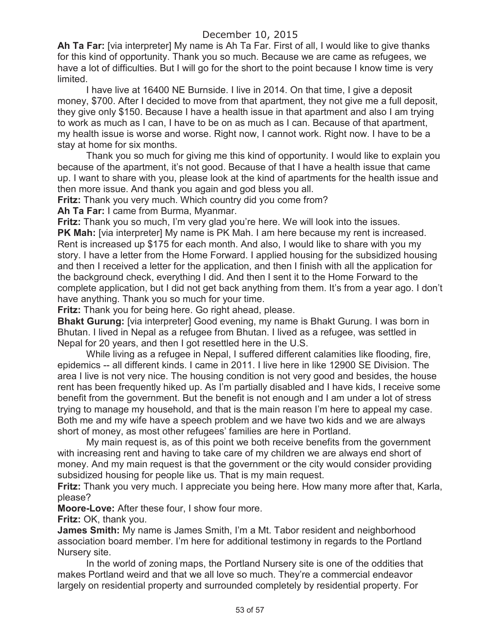**Ah Ta Far:** [via interpreter] My name is Ah Ta Far. First of all, I would like to give thanks for this kind of opportunity. Thank you so much. Because we are came as refugees, we have a lot of difficulties. But I will go for the short to the point because I know time is very limited.

I have live at 16400 NE Burnside. I live in 2014. On that time, I give a deposit money, \$700. After I decided to move from that apartment, they not give me a full deposit, they give only \$150. Because I have a health issue in that apartment and also I am trying to work as much as I can, I have to be on as much as I can. Because of that apartment, my health issue is worse and worse. Right now, I cannot work. Right now. I have to be a stay at home for six months.

Thank you so much for giving me this kind of opportunity. I would like to explain you because of the apartment, it's not good. Because of that I have a health issue that came up. I want to share with you, please look at the kind of apartments for the health issue and then more issue. And thank you again and god bless you all.

**Fritz:** Thank you very much. Which country did you come from?

**Ah Ta Far:** I came from Burma, Myanmar.

**Fritz:** Thank you so much, I'm very glad you're here. We will look into the issues. **PK Mah:** [via interpreter] My name is PK Mah. I am here because my rent is increased. Rent is increased up \$175 for each month. And also, I would like to share with you my story. I have a letter from the Home Forward. I applied housing for the subsidized housing and then I received a letter for the application, and then I finish with all the application for the background check, everything I did. And then I sent it to the Home Forward to the complete application, but I did not get back anything from them. It's from a year ago. I don't have anything. Thank you so much for your time.

**Fritz:** Thank you for being here. Go right ahead, please.

**Bhakt Gurung:** [via interpreter] Good evening, my name is Bhakt Gurung. I was born in Bhutan. I lived in Nepal as a refugee from Bhutan. I lived as a refugee, was settled in Nepal for 20 years, and then I got resettled here in the U.S.

While living as a refugee in Nepal, I suffered different calamities like flooding, fire, epidemics -- all different kinds. I came in 2011. I live here in like 12900 SE Division. The area I live is not very nice. The housing condition is not very good and besides, the house rent has been frequently hiked up. As I'm partially disabled and I have kids, I receive some benefit from the government. But the benefit is not enough and I am under a lot of stress trying to manage my household, and that is the main reason I'm here to appeal my case. Both me and my wife have a speech problem and we have two kids and we are always short of money, as most other refugees' families are here in Portland.

My main request is, as of this point we both receive benefits from the government with increasing rent and having to take care of my children we are always end short of money. And my main request is that the government or the city would consider providing subsidized housing for people like us. That is my main request.

**Fritz:** Thank you very much. I appreciate you being here. How many more after that, Karla, please?

**Moore-Love:** After these four, I show four more.

**Fritz:** OK, thank you.

**James Smith:** My name is James Smith, I'm a Mt. Tabor resident and neighborhood association board member. I'm here for additional testimony in regards to the Portland Nursery site.

In the world of zoning maps, the Portland Nursery site is one of the oddities that makes Portland weird and that we all love so much. They're a commercial endeavor largely on residential property and surrounded completely by residential property. For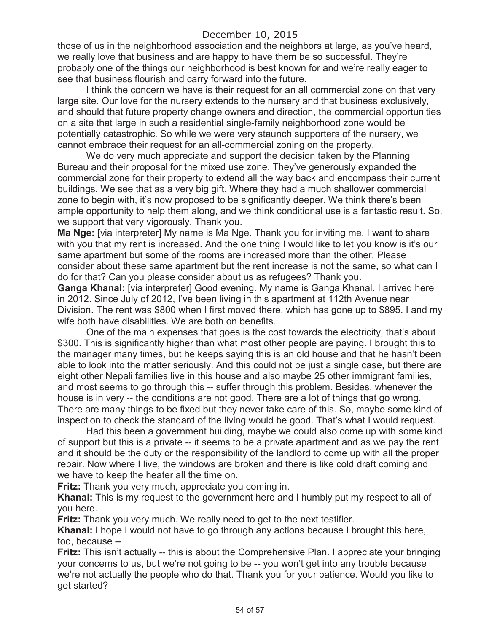those of us in the neighborhood association and the neighbors at large, as you've heard, we really love that business and are happy to have them be so successful. They're probably one of the things our neighborhood is best known for and we're really eager to see that business flourish and carry forward into the future.

I think the concern we have is their request for an all commercial zone on that very large site. Our love for the nursery extends to the nursery and that business exclusively, and should that future property change owners and direction, the commercial opportunities on a site that large in such a residential single-family neighborhood zone would be potentially catastrophic. So while we were very staunch supporters of the nursery, we cannot embrace their request for an all-commercial zoning on the property.

We do very much appreciate and support the decision taken by the Planning Bureau and their proposal for the mixed use zone. They've generously expanded the commercial zone for their property to extend all the way back and encompass their current buildings. We see that as a very big gift. Where they had a much shallower commercial zone to begin with, it's now proposed to be significantly deeper. We think there's been ample opportunity to help them along, and we think conditional use is a fantastic result. So, we support that very vigorously. Thank you.

**Ma Nge:** [via interpreter] My name is Ma Nge. Thank you for inviting me. I want to share with you that my rent is increased. And the one thing I would like to let you know is it's our same apartment but some of the rooms are increased more than the other. Please consider about these same apartment but the rent increase is not the same, so what can I do for that? Can you please consider about us as refugees? Thank you.

**Ganga Khanal:** [via interpreter] Good evening. My name is Ganga Khanal. I arrived here in 2012. Since July of 2012, I've been living in this apartment at 112th Avenue near Division. The rent was \$800 when I first moved there, which has gone up to \$895. I and my wife both have disabilities. We are both on benefits.

One of the main expenses that goes is the cost towards the electricity, that's about \$300. This is significantly higher than what most other people are paying. I brought this to the manager many times, but he keeps saying this is an old house and that he hasn't been able to look into the matter seriously. And this could not be just a single case, but there are eight other Nepali families live in this house and also maybe 25 other immigrant families, and most seems to go through this -- suffer through this problem. Besides, whenever the house is in very -- the conditions are not good. There are a lot of things that go wrong. There are many things to be fixed but they never take care of this. So, maybe some kind of inspection to check the standard of the living would be good. That's what I would request.

Had this been a government building, maybe we could also come up with some kind of support but this is a private -- it seems to be a private apartment and as we pay the rent and it should be the duty or the responsibility of the landlord to come up with all the proper repair. Now where I live, the windows are broken and there is like cold draft coming and we have to keep the heater all the time on.

**Fritz:** Thank you very much, appreciate you coming in.

**Khanal:** This is my request to the government here and I humbly put my respect to all of you here.

**Fritz:** Thank you very much. We really need to get to the next testifier.

**Khanal:** I hope I would not have to go through any actions because I brought this here, too, because --

**Fritz:** This isn't actually -- this is about the Comprehensive Plan. I appreciate your bringing your concerns to us, but we're not going to be -- you won't get into any trouble because we're not actually the people who do that. Thank you for your patience. Would you like to get started?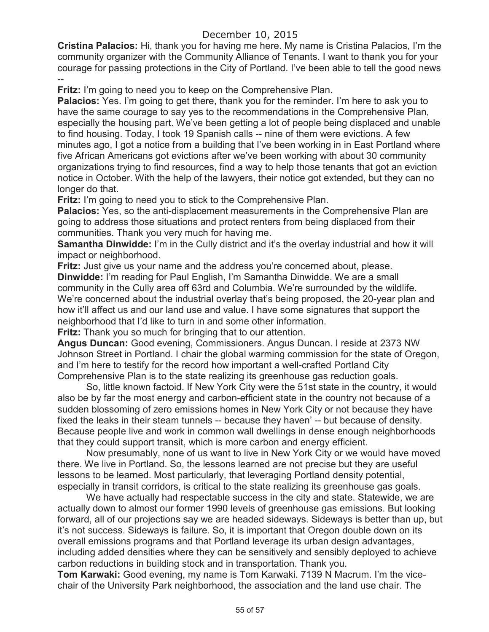**Cristina Palacios:** Hi, thank you for having me here. My name is Cristina Palacios, I'm the community organizer with the Community Alliance of Tenants. I want to thank you for your courage for passing protections in the City of Portland. I've been able to tell the good news --

**Fritz:** I'm going to need you to keep on the Comprehensive Plan.

**Palacios:** Yes. I'm going to get there, thank you for the reminder. I'm here to ask you to have the same courage to say yes to the recommendations in the Comprehensive Plan, especially the housing part. We've been getting a lot of people being displaced and unable to find housing. Today, I took 19 Spanish calls -- nine of them were evictions. A few minutes ago, I got a notice from a building that I've been working in in East Portland where five African Americans got evictions after we've been working with about 30 community organizations trying to find resources, find a way to help those tenants that got an eviction notice in October. With the help of the lawyers, their notice got extended, but they can no longer do that.

**Fritz:** I'm going to need you to stick to the Comprehensive Plan.

**Palacios:** Yes, so the anti-displacement measurements in the Comprehensive Plan are going to address those situations and protect renters from being displaced from their communities. Thank you very much for having me.

**Samantha Dinwidde:** I'm in the Cully district and it's the overlay industrial and how it will impact or neighborhood.

**Fritz:** Just give us your name and the address you're concerned about, please. **Dinwidde:** I'm reading for Paul English, I'm Samantha Dinwidde. We are a small community in the Cully area off 63rd and Columbia. We're surrounded by the wildlife. We're concerned about the industrial overlay that's being proposed, the 20-year plan and how it'll affect us and our land use and value. I have some signatures that support the neighborhood that I'd like to turn in and some other information.

**Fritz:** Thank you so much for bringing that to our attention.

**Angus Duncan:** Good evening, Commissioners. Angus Duncan. I reside at 2373 NW Johnson Street in Portland. I chair the global warming commission for the state of Oregon, and I'm here to testify for the record how important a well-crafted Portland City Comprehensive Plan is to the state realizing its greenhouse gas reduction goals.

So, little known factoid. If New York City were the 51st state in the country, it would also be by far the most energy and carbon-efficient state in the country not because of a sudden blossoming of zero emissions homes in New York City or not because they have fixed the leaks in their steam tunnels -- because they haven' -- but because of density. Because people live and work in common wall dwellings in dense enough neighborhoods that they could support transit, which is more carbon and energy efficient.

Now presumably, none of us want to live in New York City or we would have moved there. We live in Portland. So, the lessons learned are not precise but they are useful lessons to be learned. Most particularly, that leveraging Portland density potential, especially in transit corridors, is critical to the state realizing its greenhouse gas goals.

We have actually had respectable success in the city and state. Statewide, we are actually down to almost our former 1990 levels of greenhouse gas emissions. But looking forward, all of our projections say we are headed sideways. Sideways is better than up, but it's not success. Sideways is failure. So, it is important that Oregon double down on its overall emissions programs and that Portland leverage its urban design advantages, including added densities where they can be sensitively and sensibly deployed to achieve carbon reductions in building stock and in transportation. Thank you.

**Tom Karwaki:** Good evening, my name is Tom Karwaki. 7139 N Macrum. I'm the vicechair of the University Park neighborhood, the association and the land use chair. The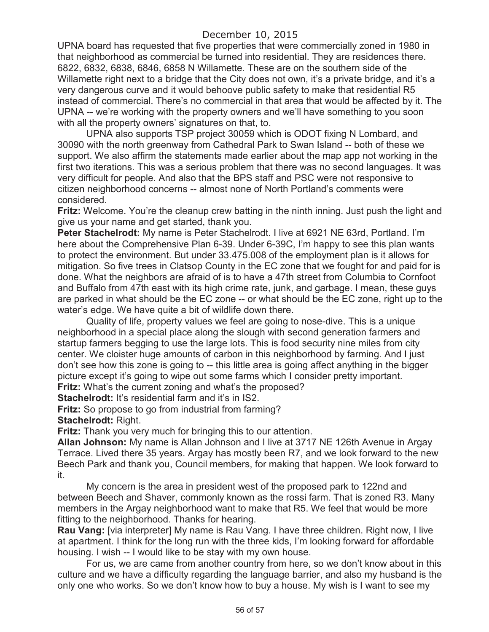UPNA board has requested that five properties that were commercially zoned in 1980 in that neighborhood as commercial be turned into residential. They are residences there. 6822, 6832, 6838, 6846, 6858 N Willamette. These are on the southern side of the Willamette right next to a bridge that the City does not own, it's a private bridge, and it's a very dangerous curve and it would behoove public safety to make that residential R5 instead of commercial. There's no commercial in that area that would be affected by it. The UPNA -- we're working with the property owners and we'll have something to you soon with all the property owners' signatures on that, to.

UPNA also supports TSP project 30059 which is ODOT fixing N Lombard, and 30090 with the north greenway from Cathedral Park to Swan Island -- both of these we support. We also affirm the statements made earlier about the map app not working in the first two iterations. This was a serious problem that there was no second languages. It was very difficult for people. And also that the BPS staff and PSC were not responsive to citizen neighborhood concerns -- almost none of North Portland's comments were considered.

**Fritz:** Welcome. You're the cleanup crew batting in the ninth inning. Just push the light and give us your name and get started, thank you.

**Peter Stachelrodt:** My name is Peter Stachelrodt. I live at 6921 NE 63rd, Portland. I'm here about the Comprehensive Plan 6-39. Under 6-39C, I'm happy to see this plan wants to protect the environment. But under 33.475.008 of the employment plan is it allows for mitigation. So five trees in Clatsop County in the EC zone that we fought for and paid for is done. What the neighbors are afraid of is to have a 47th street from Columbia to Cornfoot and Buffalo from 47th east with its high crime rate, junk, and garbage. I mean, these guys are parked in what should be the EC zone -- or what should be the EC zone, right up to the water's edge. We have quite a bit of wildlife down there.

Quality of life, property values we feel are going to nose-dive. This is a unique neighborhood in a special place along the slough with second generation farmers and startup farmers begging to use the large lots. This is food security nine miles from city center. We cloister huge amounts of carbon in this neighborhood by farming. And I just don't see how this zone is going to -- this little area is going affect anything in the bigger picture except it's going to wipe out some farms which I consider pretty important. **Fritz:** What's the current zoning and what's the proposed?

**Stachelrodt:** It's residential farm and it's in IS2.

**Fritz:** So propose to go from industrial from farming?

**Stachelrodt:** Right.

**Fritz:** Thank you very much for bringing this to our attention.

**Allan Johnson:** My name is Allan Johnson and I live at 3717 NE 126th Avenue in Argay Terrace. Lived there 35 years. Argay has mostly been R7, and we look forward to the new Beech Park and thank you, Council members, for making that happen. We look forward to it.

My concern is the area in president west of the proposed park to 122nd and between Beech and Shaver, commonly known as the rossi farm. That is zoned R3. Many members in the Argay neighborhood want to make that R5. We feel that would be more fitting to the neighborhood. Thanks for hearing.

**Rau Vang:** [via interpreter] My name is Rau Vang. I have three children. Right now, I live at apartment. I think for the long run with the three kids, I'm looking forward for affordable housing. I wish -- I would like to be stay with my own house.

For us, we are came from another country from here, so we don't know about in this culture and we have a difficulty regarding the language barrier, and also my husband is the only one who works. So we don't know how to buy a house. My wish is I want to see my